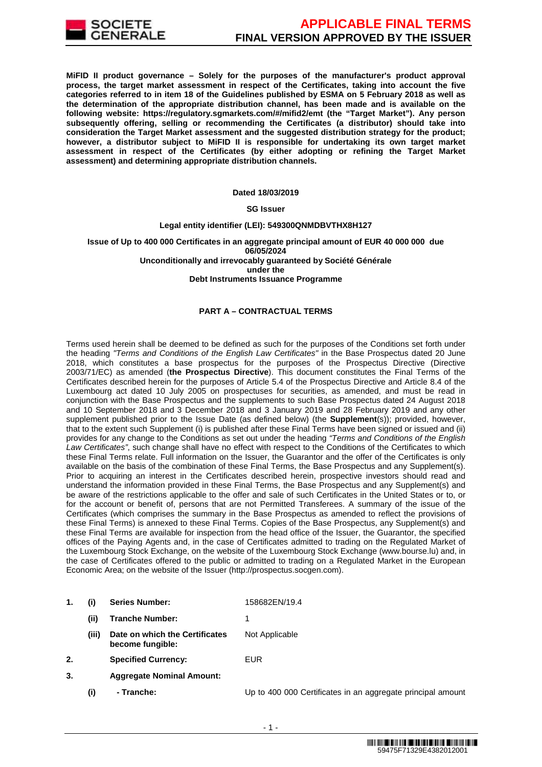

**MiFID II product governance – Solely for the purposes of the manufacturer's product approval process, the target market assessment in respect of the Certificates, taking into account the five categories referred to in item 18 of the Guidelines published by ESMA on 5 February 2018 as well as the determination of the appropriate distribution channel, has been made and is available on the following website: https://regulatory.sgmarkets.com/#/mifid2/emt (the "Target Market"). Any person subsequently offering, selling or recommending the Certificates (a distributor) should take into consideration the Target Market assessment and the suggested distribution strategy for the product; however, a distributor subject to MiFID II is responsible for undertaking its own target market assessment in respect of the Certificates (by either adopting or refining the Target Market assessment) and determining appropriate distribution channels.**

#### **Dated 18/03/2019**

#### **SG Issuer**

#### **Legal entity identifier (LEI): 549300QNMDBVTHX8H127**

**Issue of Up to 400 000 Certificates in an aggregate principal amount of EUR 40 000 000 due 06/05/2024 Unconditionally and irrevocably guaranteed by Société Générale under the Debt Instruments Issuance Programme**

#### **PART A – CONTRACTUAL TERMS**

Terms used herein shall be deemed to be defined as such for the purposes of the Conditions set forth under the heading "Terms and Conditions of the English Law Certificates" in the Base Prospectus dated 20 June 2018, which constitutes a base prospectus for the purposes of the Prospectus Directive (Directive 2003/71/EC) as amended (**the Prospectus Directive**). This document constitutes the Final Terms of the Certificates described herein for the purposes of Article 5.4 of the Prospectus Directive and Article 8.4 of the Luxembourg act dated 10 July 2005 on prospectuses for securities, as amended, and must be read in conjunction with the Base Prospectus and the supplements to such Base Prospectus dated 24 August 2018 and 10 September 2018 and 3 December 2018 and 3 January 2019 and 28 February 2019 and any other supplement published prior to the Issue Date (as defined below) (the **Supplement**(s)); provided, however, that to the extent such Supplement (i) is published after these Final Terms have been signed or issued and (ii) provides for any change to the Conditions as set out under the heading "Terms and Conditions of the English Law Certificates", such change shall have no effect with respect to the Conditions of the Certificates to which these Final Terms relate. Full information on the Issuer, the Guarantor and the offer of the Certificates is only available on the basis of the combination of these Final Terms, the Base Prospectus and any Supplement(s). Prior to acquiring an interest in the Certificates described herein, prospective investors should read and understand the information provided in these Final Terms, the Base Prospectus and any Supplement(s) and be aware of the restrictions applicable to the offer and sale of such Certificates in the United States or to, or for the account or benefit of, persons that are not Permitted Transferees. A summary of the issue of the Certificates (which comprises the summary in the Base Prospectus as amended to reflect the provisions of these Final Terms) is annexed to these Final Terms. Copies of the Base Prospectus, any Supplement(s) and these Final Terms are available for inspection from the head office of the Issuer, the Guarantor, the specified offices of the Paying Agents and, in the case of Certificates admitted to trading on the Regulated Market of the Luxembourg Stock Exchange, on the website of the Luxembourg Stock Exchange (www.bourse.lu) and, in the case of Certificates offered to the public or admitted to trading on a Regulated Market in the European Economic Area; on the website of the Issuer (http://prospectus.socgen.com).

- **1. (i) Series Number:** 158682EN/19.4 **(ii) Tranche Number:** 1 **(iii) Date on which the Certificates become fungible:** Not Applicable **2. Specified Currency:** EUR **3. Aggregate Nominal Amount:**
	- **(i) Tranche:** Up to 400 000 Certificates in an aggregate principal amount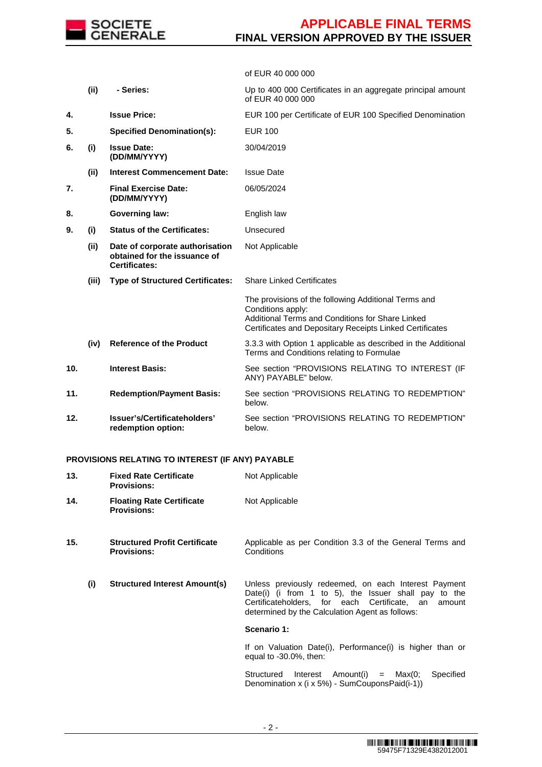

of EUR 40 000 000

|     | (ii)  | - Series:                                                                               | Up to 400 000 Certificates in an aggregate principal amount<br>of EUR 40 000 000                                                                                                          |
|-----|-------|-----------------------------------------------------------------------------------------|-------------------------------------------------------------------------------------------------------------------------------------------------------------------------------------------|
| 4.  |       | <b>Issue Price:</b>                                                                     | EUR 100 per Certificate of EUR 100 Specified Denomination                                                                                                                                 |
| 5.  |       | <b>Specified Denomination(s):</b>                                                       | <b>EUR 100</b>                                                                                                                                                                            |
| 6.  | (i)   | <b>Issue Date:</b><br>(DD/MM/YYYY)                                                      | 30/04/2019                                                                                                                                                                                |
|     | (ii)  | <b>Interest Commencement Date:</b>                                                      | <b>Issue Date</b>                                                                                                                                                                         |
| 7.  |       | <b>Final Exercise Date:</b><br>(DD/MM/YYYY)                                             | 06/05/2024                                                                                                                                                                                |
| 8.  |       | <b>Governing law:</b>                                                                   | English law                                                                                                                                                                               |
| 9.  | (i)   | <b>Status of the Certificates:</b>                                                      | Unsecured                                                                                                                                                                                 |
|     | (ii)  | Date of corporate authorisation<br>obtained for the issuance of<br><b>Certificates:</b> | Not Applicable                                                                                                                                                                            |
|     | (iii) | <b>Type of Structured Certificates:</b>                                                 | <b>Share Linked Certificates</b>                                                                                                                                                          |
|     |       |                                                                                         | The provisions of the following Additional Terms and<br>Conditions apply:<br>Additional Terms and Conditions for Share Linked<br>Certificates and Depositary Receipts Linked Certificates |
|     | (iv)  | <b>Reference of the Product</b>                                                         | 3.3.3 with Option 1 applicable as described in the Additional<br>Terms and Conditions relating to Formulae                                                                                |
| 10. |       | <b>Interest Basis:</b>                                                                  | See section "PROVISIONS RELATING TO INTEREST (IF<br>ANY) PAYABLE" below.                                                                                                                  |
| 11. |       | <b>Redemption/Payment Basis:</b>                                                        | See section "PROVISIONS RELATING TO REDEMPTION"<br>below.                                                                                                                                 |
| 12. |       | Issuer's/Certificateholders'<br>redemption option:                                      | See section "PROVISIONS RELATING TO REDEMPTION"<br>below.                                                                                                                                 |

### **PROVISIONS RELATING TO INTEREST (IF ANY) PAYABLE**

| 13. |     | <b>Fixed Rate Certificate</b><br><b>Provisions:</b>        | Not Applicable                                                                                                                                                                                                            |
|-----|-----|------------------------------------------------------------|---------------------------------------------------------------------------------------------------------------------------------------------------------------------------------------------------------------------------|
| 14. |     | <b>Floating Rate Certificate</b><br><b>Provisions:</b>     | Not Applicable                                                                                                                                                                                                            |
| 15. |     | <b>Structured Profit Certificate</b><br><b>Provisions:</b> | Applicable as per Condition 3.3 of the General Terms and<br>Conditions                                                                                                                                                    |
|     | (i) | <b>Structured Interest Amount(s)</b>                       | Unless previously redeemed, on each Interest Payment<br>Date(i) (i from 1 to 5), the Issuer shall pay to the<br>Certificateholders, for each Certificate, an<br>amount<br>determined by the Calculation Agent as follows: |
|     |     |                                                            | Scenario 1:                                                                                                                                                                                                               |
|     |     |                                                            | If on Valuation Date(i), Performance(i) is higher than or<br>equal to $-30.0\%$ , then:                                                                                                                                   |
|     |     |                                                            | Interest Amount(i)<br>Specified<br>Structured<br>$=$ Max(0;<br>Denomination x (i x 5%) - SumCouponsPaid(i-1))                                                                                                             |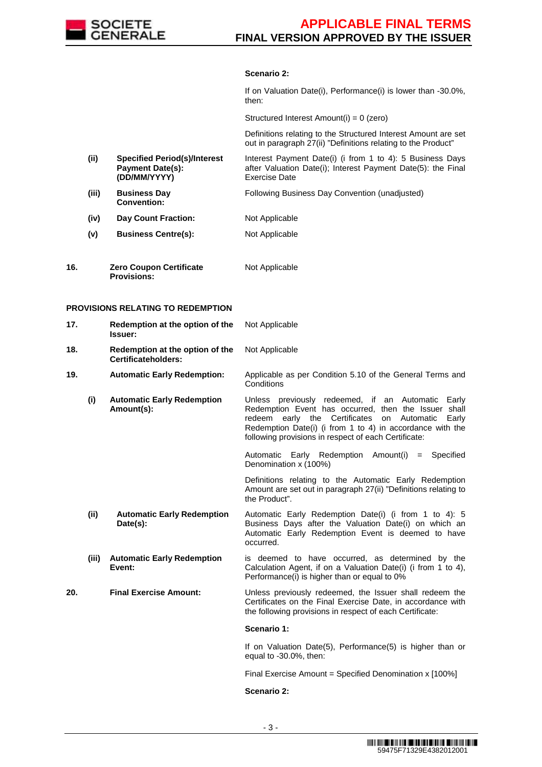

#### **Scenario 2:**

If on Valuation Date(i), Performance(i) is lower than -30.0%, then:

Structured Interest Amount(i) = 0 (zero)

 Definitions relating to the Structured Interest Amount are set out in paragraph 27(ii) "Definitions relating to the Product"

- **(ii) Specified Period(s)/Interest Payment Date(s): (DD/MM/YYYY)** Interest Payment Date(i) (i from 1 to 4): 5 Business Days after Valuation Date(i); Interest Payment Date(5): the Final Exercise Date
- **(iii) Business Day Convention:** Following Business Day Convention (unadjusted)
- **(iv) Day Count Fraction:** Not Applicable
- **(v) Business Centre(s):** Not Applicable
- **16. Zero Coupon Certificate Provisions:** Not Applicable

### **PROVISIONS RELATING TO REDEMPTION**

| 17. |       | Redemption at the option of the<br>Issuer:             | Not Applicable                                                                                                                                                                                                                                                                           |
|-----|-------|--------------------------------------------------------|------------------------------------------------------------------------------------------------------------------------------------------------------------------------------------------------------------------------------------------------------------------------------------------|
| 18. |       | Redemption at the option of the<br>Certificateholders: | Not Applicable                                                                                                                                                                                                                                                                           |
| 19. |       | <b>Automatic Early Redemption:</b>                     | Applicable as per Condition 5.10 of the General Terms and<br>Conditions                                                                                                                                                                                                                  |
|     | (i)   | <b>Automatic Early Redemption</b><br>Amount(s):        | Unless previously redeemed, if an Automatic Early<br>Redemption Event has occurred, then the Issuer shall<br>redeem early the Certificates<br>on Automatic<br>Early<br>Redemption Date(i) (i from 1 to 4) in accordance with the<br>following provisions in respect of each Certificate: |
|     |       |                                                        | Automatic Early Redemption Amount(i) = Specified<br>Denomination x (100%)                                                                                                                                                                                                                |
|     |       |                                                        | Definitions relating to the Automatic Early Redemption<br>Amount are set out in paragraph 27(ii) "Definitions relating to<br>the Product".                                                                                                                                               |
|     | (ii)  | <b>Automatic Early Redemption</b><br>Date(s):          | Automatic Early Redemption Date(i) (i from 1 to 4): 5<br>Business Days after the Valuation Date(i) on which an<br>Automatic Early Redemption Event is deemed to have<br>occurred.                                                                                                        |
|     | (iii) | <b>Automatic Early Redemption</b><br>Event:            | is deemed to have occurred, as determined by the<br>Calculation Agent, if on a Valuation Date(i) (i from 1 to 4),<br>Performance(i) is higher than or equal to 0%                                                                                                                        |
| 20. |       | <b>Final Exercise Amount:</b>                          | Unless previously redeemed, the Issuer shall redeem the<br>Certificates on the Final Exercise Date, in accordance with<br>the following provisions in respect of each Certificate:                                                                                                       |
|     |       |                                                        | Scenario 1:                                                                                                                                                                                                                                                                              |
|     |       |                                                        | If on Valuation Date(5), Performance(5) is higher than or<br>equal to -30.0%, then:                                                                                                                                                                                                      |
|     |       |                                                        | Final Exercise Amount = Specified Denomination x [100%]                                                                                                                                                                                                                                  |

#### **Scenario 2:**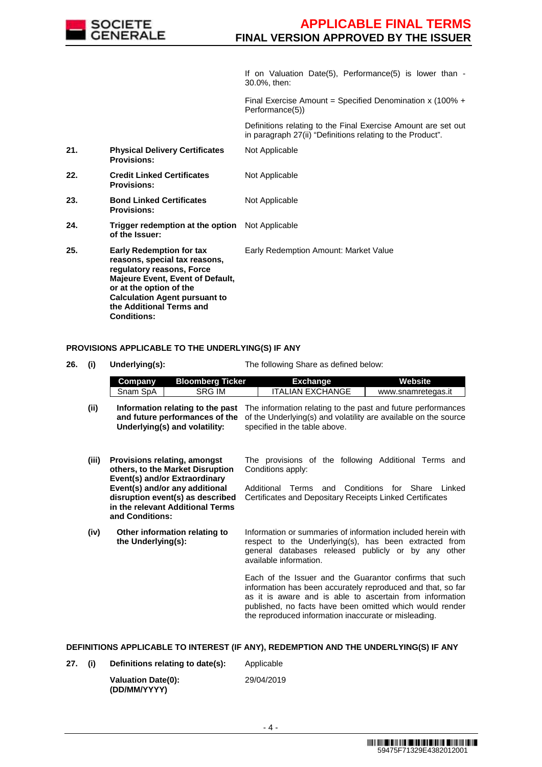

If on Valuation Date(5), Performance(5) is lower than - 30.0%, then:

Final Exercise Amount = Specified Denomination x (100% + Performance(5))

 Definitions relating to the Final Exercise Amount are set out in paragraph 27(ii) "Definitions relating to the Product".

| 21. | <b>Physical Delivery Certificates</b><br><b>Provisions:</b>                                                                                                                                                                                                   | Not Applicable                        |
|-----|---------------------------------------------------------------------------------------------------------------------------------------------------------------------------------------------------------------------------------------------------------------|---------------------------------------|
| 22. | <b>Credit Linked Certificates</b><br><b>Provisions:</b>                                                                                                                                                                                                       | Not Applicable                        |
| 23. | <b>Bond Linked Certificates</b><br><b>Provisions:</b>                                                                                                                                                                                                         | Not Applicable                        |
| 24. | <b>Trigger redemption at the option</b> Not Applicable<br>of the Issuer:                                                                                                                                                                                      |                                       |
| 25. | <b>Early Redemption for tax</b><br>reasons, special tax reasons,<br>regulatory reasons, Force<br><b>Majeure Event, Event of Default,</b><br>or at the option of the<br><b>Calculation Agent pursuant to</b><br>the Additional Terms and<br><b>Conditions:</b> | Early Redemption Amount: Market Value |

**PROVISIONS APPLICABLE TO THE UNDERLYING(S) IF ANY**

| 26. | THE UNDER THE UNDER THE MANUSCRIPT OF ANY<br>The following Share as defined below: |                                                                                                                                                                                                                                       |                                                                                                                                                                                                                                                                                                        |
|-----|------------------------------------------------------------------------------------|---------------------------------------------------------------------------------------------------------------------------------------------------------------------------------------------------------------------------------------|--------------------------------------------------------------------------------------------------------------------------------------------------------------------------------------------------------------------------------------------------------------------------------------------------------|
|     |                                                                                    | <b>Bloomberg Ticker</b><br>Company<br>Snam SpA<br><b>SRG IM</b>                                                                                                                                                                       | Website<br><b>Exchange</b><br><b>ITALIAN EXCHANGE</b><br>www.snamretegas.it                                                                                                                                                                                                                            |
|     | (ii)                                                                               | Information relating to the past<br>and future performances of the<br>Underlying(s) and volatility:                                                                                                                                   | The information relating to the past and future performances<br>of the Underlying(s) and volatility are available on the source<br>specified in the table above.                                                                                                                                       |
|     | (iii)                                                                              | <b>Provisions relating, amongst</b><br>others, to the Market Disruption<br>Event(s) and/or Extraordinary<br>Event(s) and/or any additional<br>disruption event(s) as described<br>in the relevant Additional Terms<br>and Conditions: | The provisions of the following Additional Terms and<br>Conditions apply:<br>Conditions<br>Additional<br>Terms and<br>for Share<br>Linked<br>Certificates and Depositary Receipts Linked Certificates                                                                                                  |
|     | (iv)                                                                               | Other information relating to<br>the Underlying(s):                                                                                                                                                                                   | Information or summaries of information included herein with<br>respect to the Underlying(s), has been extracted from<br>general databases released publicly or by any other<br>available information.                                                                                                 |
|     |                                                                                    |                                                                                                                                                                                                                                       | Each of the Issuer and the Guarantor confirms that such<br>information has been accurately reproduced and that, so far<br>as it is aware and is able to ascertain from information<br>published, no facts have been omitted which would render<br>the reproduced information inaccurate or misleading. |
|     |                                                                                    |                                                                                                                                                                                                                                       | DEFINITIONS APPLICABLE TO INTEREST (IF ANY), REDEMPTION AND THE UNDERLYING(S) IF ANY                                                                                                                                                                                                                   |

**27. (i) Definitions relating to date(s):** Applicable

| <b>Valuation Date(0):</b> | 29/04/2019 |
|---------------------------|------------|
| (DD/MM/YYYY)              |            |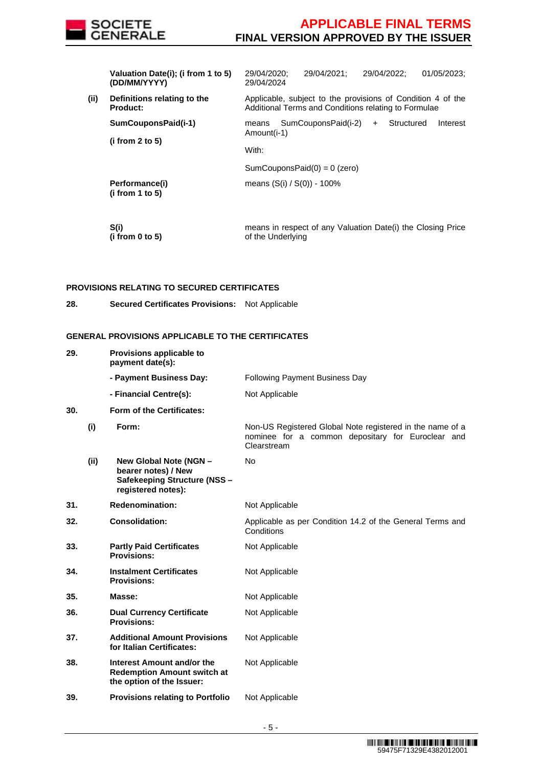

|      | Valuation Date(i); (i from 1 to 5)<br>(DD/MM/YYYY) | 29/04/2020;<br>29/04/2024                                                                                           | 29/04/2021:                                                 | 29/04/2022: |            | 01/05/2023: |  |
|------|----------------------------------------------------|---------------------------------------------------------------------------------------------------------------------|-------------------------------------------------------------|-------------|------------|-------------|--|
| (ii) | Definitions relating to the<br><b>Product:</b>     | Applicable, subject to the provisions of Condition 4 of the<br>Additional Terms and Conditions relating to Formulae |                                                             |             |            |             |  |
|      | SumCouponsPaid(i-1)                                | means<br>Amount(i-1)                                                                                                | SumCouponsPaid(i-2)                                         | $+$         | Structured | Interest    |  |
|      | (i from 2 to 5)                                    | With:                                                                                                               |                                                             |             |            |             |  |
|      |                                                    |                                                                                                                     | SumCouponsPaid $(0) = 0$ (zero)                             |             |            |             |  |
|      | Performance(i)<br>(i from 1 to 5)                  | means $(S(i) / S(0)) - 100\%$                                                                                       |                                                             |             |            |             |  |
|      | S(i)<br>(i from $0$ to $5$ )                       | of the Underlying                                                                                                   | means in respect of any Valuation Date(i) the Closing Price |             |            |             |  |

### **PROVISIONS RELATING TO SECURED CERTIFICATES**

**28. Secured Certificates Provisions:** Not Applicable

### **GENERAL PROVISIONS APPLICABLE TO THE CERTIFICATES**

| 29. |      | <b>Provisions applicable to</b><br>payment date(s):                                                 |                                                                                                                               |
|-----|------|-----------------------------------------------------------------------------------------------------|-------------------------------------------------------------------------------------------------------------------------------|
|     |      | - Payment Business Day:                                                                             | <b>Following Payment Business Day</b>                                                                                         |
|     |      | - Financial Centre(s):                                                                              | Not Applicable                                                                                                                |
| 30. |      | Form of the Certificates:                                                                           |                                                                                                                               |
|     | (i)  | Form:                                                                                               | Non-US Registered Global Note registered in the name of a<br>nominee for a common depositary for Euroclear and<br>Clearstream |
|     | (ii) | New Global Note (NGN -<br>bearer notes) / New<br>Safekeeping Structure (NSS -<br>registered notes): | <b>No</b>                                                                                                                     |
| 31. |      | <b>Redenomination:</b>                                                                              | Not Applicable                                                                                                                |
| 32. |      | <b>Consolidation:</b>                                                                               | Applicable as per Condition 14.2 of the General Terms and<br>Conditions                                                       |
| 33. |      | <b>Partly Paid Certificates</b><br><b>Provisions:</b>                                               | Not Applicable                                                                                                                |
| 34. |      | <b>Instalment Certificates</b><br><b>Provisions:</b>                                                | Not Applicable                                                                                                                |
| 35. |      | Masse:                                                                                              | Not Applicable                                                                                                                |
| 36. |      | <b>Dual Currency Certificate</b><br><b>Provisions:</b>                                              | Not Applicable                                                                                                                |
| 37. |      | <b>Additional Amount Provisions</b><br>for Italian Certificates:                                    | Not Applicable                                                                                                                |
| 38. |      | Interest Amount and/or the<br><b>Redemption Amount switch at</b><br>the option of the Issuer:       | Not Applicable                                                                                                                |
| 39. |      | <b>Provisions relating to Portfolio</b>                                                             | Not Applicable                                                                                                                |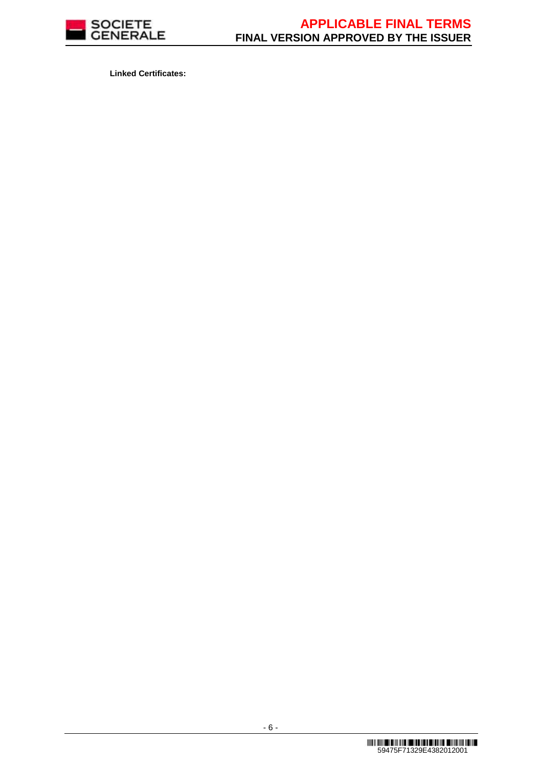

**Linked Certificates:**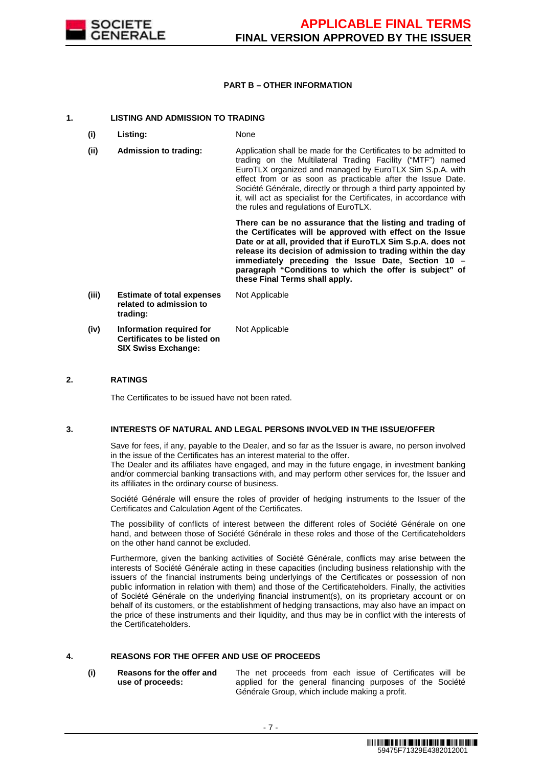

#### **PART B – OTHER INFORMATION**

#### **1. LISTING AND ADMISSION TO TRADING**

- **(i) Listing:** None
- **(ii) Admission to trading:** Application shall be made for the Certificates to be admitted to trading on the Multilateral Trading Facility ("MTF") named EuroTLX organized and managed by EuroTLX Sim S.p.A. with effect from or as soon as practicable after the Issue Date. Société Générale, directly or through a third party appointed by it, will act as specialist for the Certificates, in accordance with the rules and regulations of EuroTLX.

 **There can be no assurance that the listing and trading of the Certificates will be approved with effect on the Issue Date or at all, provided that if EuroTLX Sim S.p.A. does not release its decision of admission to trading within the day immediately preceding the Issue Date, Section 10 – paragraph "Conditions to which the offer is subject" of these Final Terms shall apply.**

**(iii) Estimate of total expenses related to admission to trading:** Not Applicable **(iv) Information required for Certificates to be listed on SIX Swiss Exchange:** Not Applicable

#### **2. RATINGS**

The Certificates to be issued have not been rated.

#### **3. INTERESTS OF NATURAL AND LEGAL PERSONS INVOLVED IN THE ISSUE/OFFER**

 Save for fees, if any, payable to the Dealer, and so far as the Issuer is aware, no person involved in the issue of the Certificates has an interest material to the offer.

The Dealer and its affiliates have engaged, and may in the future engage, in investment banking and/or commercial banking transactions with, and may perform other services for, the Issuer and its affiliates in the ordinary course of business.

 Société Générale will ensure the roles of provider of hedging instruments to the Issuer of the Certificates and Calculation Agent of the Certificates.

 The possibility of conflicts of interest between the different roles of Société Générale on one hand, and between those of Société Générale in these roles and those of the Certificateholders on the other hand cannot be excluded.

 Furthermore, given the banking activities of Société Générale, conflicts may arise between the interests of Société Générale acting in these capacities (including business relationship with the issuers of the financial instruments being underlyings of the Certificates or possession of non public information in relation with them) and those of the Certificateholders. Finally, the activities of Société Générale on the underlying financial instrument(s), on its proprietary account or on behalf of its customers, or the establishment of hedging transactions, may also have an impact on the price of these instruments and their liquidity, and thus may be in conflict with the interests of the Certificateholders.

### **4. REASONS FOR THE OFFER AND USE OF PROCEEDS**

**(i) Reasons for the offer and use of proceeds:**

The net proceeds from each issue of Certificates will be applied for the general financing purposes of the Société Générale Group, which include making a profit.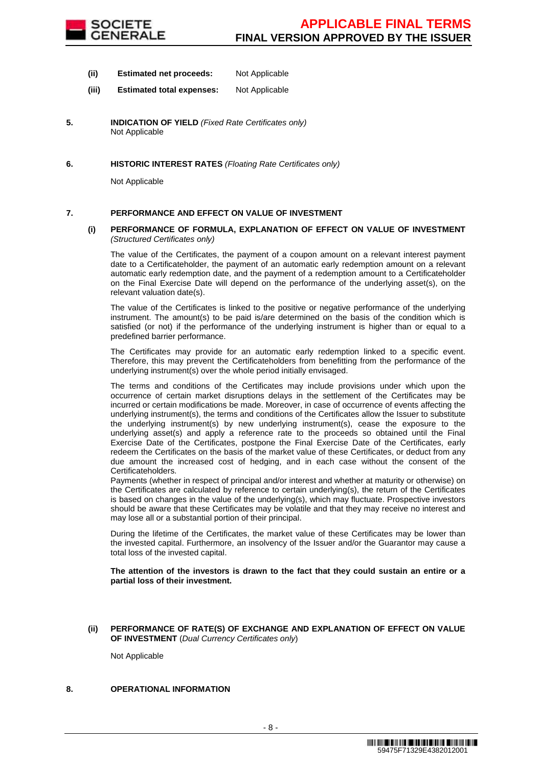

- **(ii) Estimated net proceeds:** Not Applicable
- **(iii) Estimated total expenses:** Not Applicable
- **5. INDICATION OF YIELD** (Fixed Rate Certificates only) Not Applicable
- **6. HISTORIC INTEREST RATES** (Floating Rate Certificates only)

Not Applicable

### **7. PERFORMANCE AND EFFECT ON VALUE OF INVESTMENT**

#### **(i) PERFORMANCE OF FORMULA, EXPLANATION OF EFFECT ON VALUE OF INVESTMENT**  (Structured Certificates only)

 The value of the Certificates, the payment of a coupon amount on a relevant interest payment date to a Certificateholder, the payment of an automatic early redemption amount on a relevant automatic early redemption date, and the payment of a redemption amount to a Certificateholder on the Final Exercise Date will depend on the performance of the underlying asset(s), on the relevant valuation date(s).

 The value of the Certificates is linked to the positive or negative performance of the underlying instrument. The amount(s) to be paid is/are determined on the basis of the condition which is satisfied (or not) if the performance of the underlying instrument is higher than or equal to a predefined barrier performance.

 The Certificates may provide for an automatic early redemption linked to a specific event. Therefore, this may prevent the Certificateholders from benefitting from the performance of the underlying instrument(s) over the whole period initially envisaged.

 The terms and conditions of the Certificates may include provisions under which upon the occurrence of certain market disruptions delays in the settlement of the Certificates may be incurred or certain modifications be made. Moreover, in case of occurrence of events affecting the underlying instrument(s), the terms and conditions of the Certificates allow the Issuer to substitute the underlying instrument(s) by new underlying instrument(s), cease the exposure to the underlying asset(s) and apply a reference rate to the proceeds so obtained until the Final Exercise Date of the Certificates, postpone the Final Exercise Date of the Certificates, early redeem the Certificates on the basis of the market value of these Certificates, or deduct from any due amount the increased cost of hedging, and in each case without the consent of the Certificateholders.

Payments (whether in respect of principal and/or interest and whether at maturity or otherwise) on the Certificates are calculated by reference to certain underlying(s), the return of the Certificates is based on changes in the value of the underlying(s), which may fluctuate. Prospective investors should be aware that these Certificates may be volatile and that they may receive no interest and may lose all or a substantial portion of their principal.

 During the lifetime of the Certificates, the market value of these Certificates may be lower than the invested capital. Furthermore, an insolvency of the Issuer and/or the Guarantor may cause a total loss of the invested capital.

**The attention of the investors is drawn to the fact that they could sustain an entire or a partial loss of their investment.**

#### **(ii) PERFORMANCE OF RATE(S) OF EXCHANGE AND EXPLANATION OF EFFECT ON VALUE OF INVESTMENT** (Dual Currency Certificates only)

Not Applicable

### **8. OPERATIONAL INFORMATION**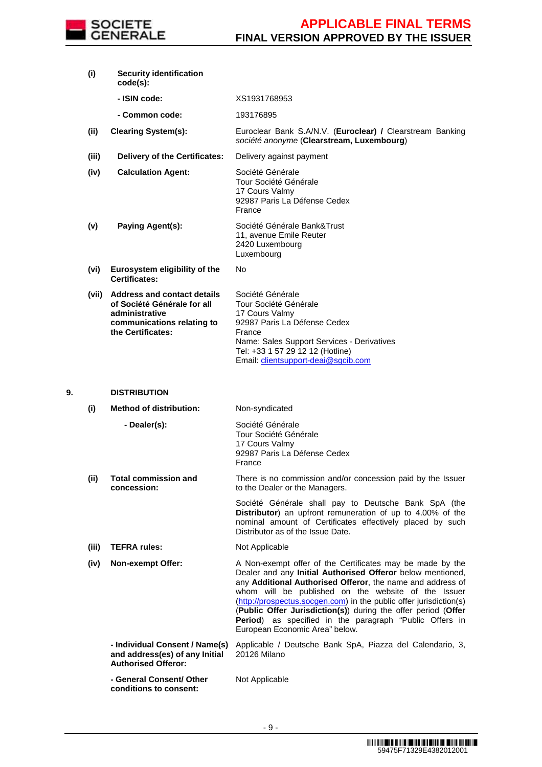

|    | (i)   | <b>Security identification</b><br>$code(s)$ :                                                                                         |                                                                                                                                                                                                                                                                                                                                                                                                                                                                                  |
|----|-------|---------------------------------------------------------------------------------------------------------------------------------------|----------------------------------------------------------------------------------------------------------------------------------------------------------------------------------------------------------------------------------------------------------------------------------------------------------------------------------------------------------------------------------------------------------------------------------------------------------------------------------|
|    |       | - ISIN code:                                                                                                                          | XS1931768953                                                                                                                                                                                                                                                                                                                                                                                                                                                                     |
|    |       | - Common code:                                                                                                                        | 193176895                                                                                                                                                                                                                                                                                                                                                                                                                                                                        |
|    | (ii)  | <b>Clearing System(s):</b>                                                                                                            | Euroclear Bank S.A/N.V. (Euroclear) / Clearstream Banking<br>société anonyme (Clearstream, Luxembourg)                                                                                                                                                                                                                                                                                                                                                                           |
|    | (iii) | <b>Delivery of the Certificates:</b>                                                                                                  | Delivery against payment                                                                                                                                                                                                                                                                                                                                                                                                                                                         |
|    | (iv)  | <b>Calculation Agent:</b>                                                                                                             | Société Générale<br>Tour Société Générale<br>17 Cours Valmy<br>92987 Paris La Défense Cedex<br>France                                                                                                                                                                                                                                                                                                                                                                            |
|    | (v)   | Paying Agent(s):                                                                                                                      | Société Générale Bank&Trust<br>11, avenue Emile Reuter<br>2420 Luxembourg<br>Luxembourg                                                                                                                                                                                                                                                                                                                                                                                          |
|    | (vi)  | Eurosystem eligibility of the<br><b>Certificates:</b>                                                                                 | No                                                                                                                                                                                                                                                                                                                                                                                                                                                                               |
|    |       | (vii) Address and contact details<br>of Société Générale for all<br>administrative<br>communications relating to<br>the Certificates: | Société Générale<br>Tour Société Générale<br>17 Cours Valmy<br>92987 Paris La Défense Cedex<br>France<br>Name: Sales Support Services - Derivatives<br>Tel: +33 1 57 29 12 12 (Hotline)<br>Email: clientsupport-deai@sgcib.com                                                                                                                                                                                                                                                   |
| 9. |       | <b>DISTRIBUTION</b>                                                                                                                   |                                                                                                                                                                                                                                                                                                                                                                                                                                                                                  |
|    |       |                                                                                                                                       |                                                                                                                                                                                                                                                                                                                                                                                                                                                                                  |
|    | (i)   | <b>Method of distribution:</b>                                                                                                        | Non-syndicated                                                                                                                                                                                                                                                                                                                                                                                                                                                                   |
|    |       | - Dealer(s):                                                                                                                          | Société Générale<br>Tour Société Générale<br>17 Cours Valmy<br>92987 Paris La Défense Cedex<br>France                                                                                                                                                                                                                                                                                                                                                                            |
|    | (ii)  | <b>Total commission and</b><br>concession:                                                                                            | There is no commission and/or concession paid by the Issuer<br>to the Dealer or the Managers.                                                                                                                                                                                                                                                                                                                                                                                    |
|    |       |                                                                                                                                       | Société Générale shall pay to Deutsche Bank SpA (the<br>Distributor) an upfront remuneration of up to 4.00% of the<br>nominal amount of Certificates effectively placed by such<br>Distributor as of the Issue Date.                                                                                                                                                                                                                                                             |
|    | (iii) | <b>TEFRA rules:</b>                                                                                                                   | Not Applicable                                                                                                                                                                                                                                                                                                                                                                                                                                                                   |
|    | (iv)  | <b>Non-exempt Offer:</b>                                                                                                              | A Non-exempt offer of the Certificates may be made by the<br>Dealer and any Initial Authorised Offeror below mentioned,<br>any Additional Authorised Offeror, the name and address of<br>whom will be published on the website of the Issuer<br>(http://prospectus.socgen.com) in the public offer jurisdiction(s)<br>(Public Offer Jurisdiction(s)) during the offer period (Offer<br>Period) as specified in the paragraph "Public Offers in<br>European Economic Area" below. |
|    |       | - Individual Consent / Name(s)<br>and address(es) of any Initial<br><b>Authorised Offeror:</b>                                        | Applicable / Deutsche Bank SpA, Piazza del Calendario, 3,<br>20126 Milano                                                                                                                                                                                                                                                                                                                                                                                                        |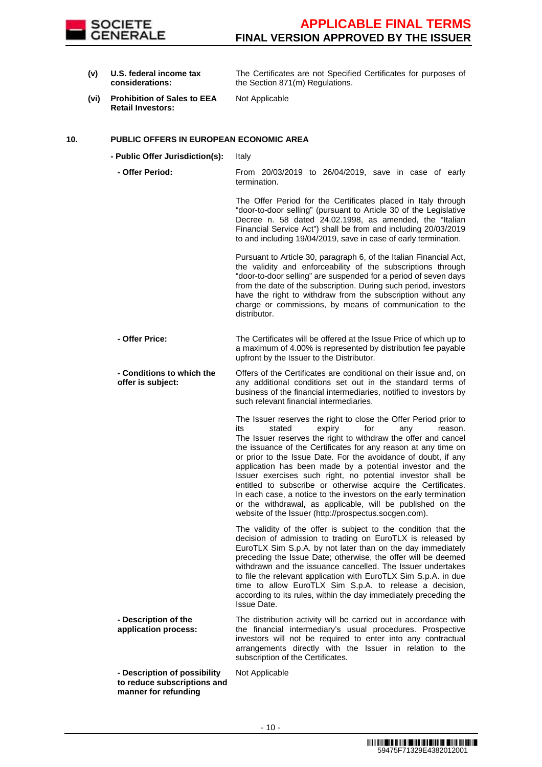

**(v) U.S. federal income tax considerations:**

The Certificates are not Specified Certificates for purposes of the Section 871(m) Regulations.

**(vi) Prohibition of Sales to EEA Retail Investors:**

Not Applicable

### **10. PUBLIC OFFERS IN EUROPEAN ECONOMIC AREA**

**- Public Offer Jurisdiction(s):** Italy

 **- Offer Period:** From 20/03/2019 to 26/04/2019, save in case of early termination.

> The Offer Period for the Certificates placed in Italy through "door-to-door selling" (pursuant to Article 30 of the Legislative Decree n. 58 dated 24.02.1998, as amended, the "Italian Financial Service Act") shall be from and including 20/03/2019 to and including 19/04/2019, save in case of early termination.

> Pursuant to Article 30, paragraph 6, of the Italian Financial Act, the validity and enforceability of the subscriptions through "door-to-door selling" are suspended for a period of seven days from the date of the subscription. During such period, investors have the right to withdraw from the subscription without any charge or commissions, by means of communication to the distributor.

- **Offer Price:** The Certificates will be offered at the Issue Price of which up to a maximum of 4.00% is represented by distribution fee payable upfront by the Issuer to the Distributor.
- **Conditions to which the offer is subject:** Offers of the Certificates are conditional on their issue and, on any additional conditions set out in the standard terms of business of the financial intermediaries, notified to investors by such relevant financial intermediaries.

The Issuer reserves the right to close the Offer Period prior to its stated expiry for any reason. The Issuer reserves the right to withdraw the offer and cancel the issuance of the Certificates for any reason at any time on or prior to the Issue Date. For the avoidance of doubt, if any application has been made by a potential investor and the Issuer exercises such right, no potential investor shall be entitled to subscribe or otherwise acquire the Certificates. In each case, a notice to the investors on the early termination or the withdrawal, as applicable, will be published on the website of the Issuer (http://prospectus.socgen.com).

 The validity of the offer is subject to the condition that the decision of admission to trading on EuroTLX is released by EuroTLX Sim S.p.A. by not later than on the day immediately preceding the Issue Date; otherwise, the offer will be deemed withdrawn and the issuance cancelled. The Issuer undertakes to file the relevant application with EuroTLX Sim S.p.A. in due time to allow EuroTLX Sim S.p.A. to release a decision, according to its rules, within the day immediately preceding the Issue Date.

The distribution activity will be carried out in accordance with the financial intermediary's usual procedures. Prospective investors will not be required to enter into any contractual arrangements directly with the Issuer in relation to the subscription of the Certificates.

 **- Description of possibility to reduce subscriptions and manner for refunding** 

 **- Description of the application process:**

Not Applicable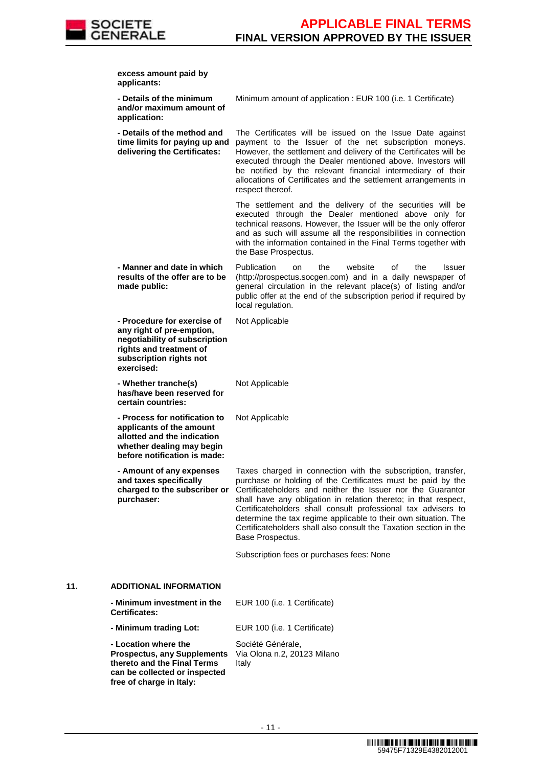

|     | excess amount paid by<br>applicants:                                                                                                                          |                                                                                                                                                                                                                                                                                                                                                                                                                                                                                            |
|-----|---------------------------------------------------------------------------------------------------------------------------------------------------------------|--------------------------------------------------------------------------------------------------------------------------------------------------------------------------------------------------------------------------------------------------------------------------------------------------------------------------------------------------------------------------------------------------------------------------------------------------------------------------------------------|
|     | - Details of the minimum<br>and/or maximum amount of<br>application:                                                                                          | Minimum amount of application : EUR 100 (i.e. 1 Certificate)                                                                                                                                                                                                                                                                                                                                                                                                                               |
|     | - Details of the method and<br>time limits for paying up and<br>delivering the Certificates:                                                                  | The Certificates will be issued on the Issue Date against<br>payment to the Issuer of the net subscription moneys.<br>However, the settlement and delivery of the Certificates will be<br>executed through the Dealer mentioned above. Investors will<br>be notified by the relevant financial intermediary of their<br>allocations of Certificates and the settlement arrangements in<br>respect thereof.                                                                                 |
|     |                                                                                                                                                               | The settlement and the delivery of the securities will be<br>executed through the Dealer mentioned above only for<br>technical reasons. However, the Issuer will be the only offeror<br>and as such will assume all the responsibilities in connection<br>with the information contained in the Final Terms together with<br>the Base Prospectus.                                                                                                                                          |
|     | - Manner and date in which<br>results of the offer are to be<br>made public:                                                                                  | Publication<br>website<br>οf<br>the<br>the<br>Issuer<br>on<br>(http://prospectus.socgen.com) and in a daily newspaper of<br>general circulation in the relevant place(s) of listing and/or<br>public offer at the end of the subscription period if required by<br>local regulation.                                                                                                                                                                                                       |
|     | - Procedure for exercise of<br>any right of pre-emption,<br>negotiability of subscription<br>rights and treatment of<br>subscription rights not<br>exercised: | Not Applicable                                                                                                                                                                                                                                                                                                                                                                                                                                                                             |
|     | - Whether tranche(s)<br>has/have been reserved for<br>certain countries:                                                                                      | Not Applicable                                                                                                                                                                                                                                                                                                                                                                                                                                                                             |
|     | - Process for notification to<br>applicants of the amount<br>allotted and the indication<br>whether dealing may begin<br>before notification is made:         | Not Applicable                                                                                                                                                                                                                                                                                                                                                                                                                                                                             |
|     | - Amount of any expenses<br>and taxes specifically<br>charged to the subscriber or<br>purchaser:                                                              | Taxes charged in connection with the subscription, transfer,<br>purchase or holding of the Certificates must be paid by the<br>Certificateholders and neither the Issuer nor the Guarantor<br>shall have any obligation in relation thereto; in that respect,<br>Certificateholders shall consult professional tax advisers to<br>determine the tax regime applicable to their own situation. The<br>Certificateholders shall also consult the Taxation section in the<br>Base Prospectus. |
|     |                                                                                                                                                               | Subscription fees or purchases fees: None                                                                                                                                                                                                                                                                                                                                                                                                                                                  |
| 11. | <b>ADDITIONAL INFORMATION</b>                                                                                                                                 |                                                                                                                                                                                                                                                                                                                                                                                                                                                                                            |
|     | - Minimum investment in the<br><b>Certificates:</b>                                                                                                           | EUR 100 (i.e. 1 Certificate)                                                                                                                                                                                                                                                                                                                                                                                                                                                               |
|     | - Minimum trading Lot:                                                                                                                                        | EUR 100 (i.e. 1 Certificate)                                                                                                                                                                                                                                                                                                                                                                                                                                                               |
|     | - Location where the<br><b>Prospectus, any Supplements</b><br>thereto and the Final Terms<br>can be collected or inspected<br>free of charge in Italy:        | Société Générale,<br>Via Olona n.2, 20123 Milano<br>Italy                                                                                                                                                                                                                                                                                                                                                                                                                                  |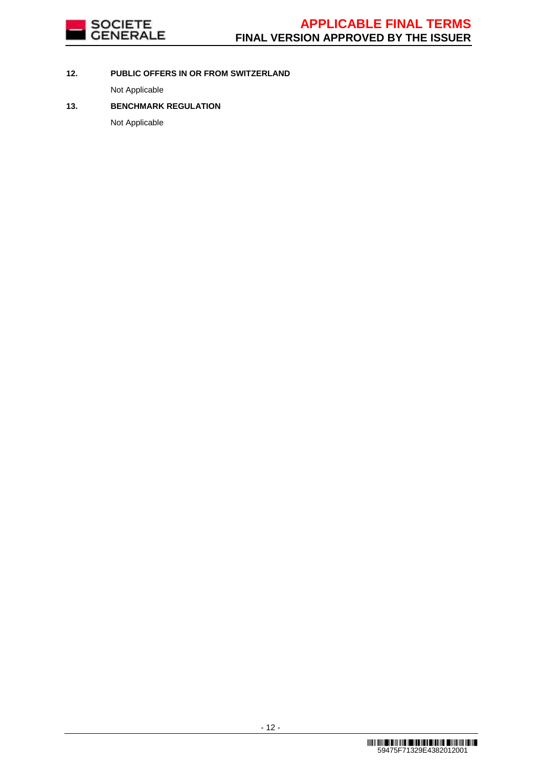

### **12. PUBLIC OFFERS IN OR FROM SWITZERLAND**

Not Applicable

## **13. BENCHMARK REGULATION**

Not Applicable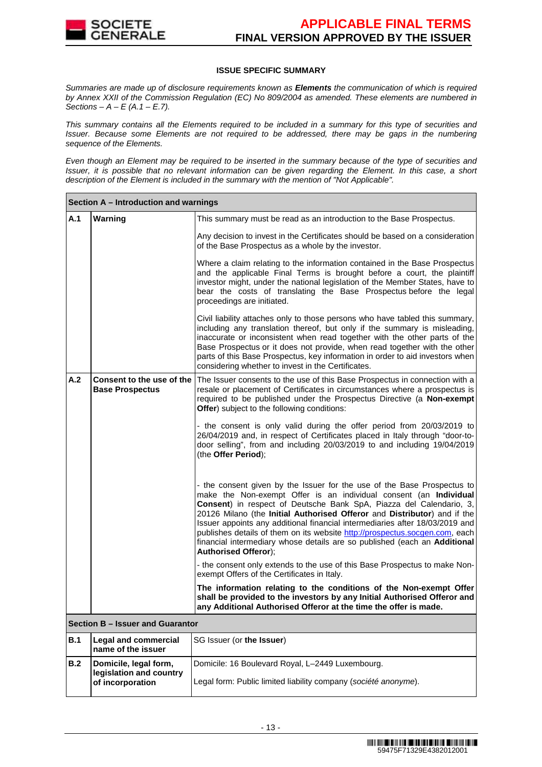

### **ISSUE SPECIFIC SUMMARY**

Summaries are made up of disclosure requirements known as **Elements** the communication of which is required by Annex XXII of the Commission Regulation (EC) No 809/2004 as amended. These elements are numbered in Sections –  $A - E(A.1 - E.7)$ .

This summary contains all the Elements required to be included in a summary for this type of securities and Issuer. Because some Elements are not required to be addressed, there may be gaps in the numbering sequence of the Elements.

Even though an Element may be required to be inserted in the summary because of the type of securities and Issuer, it is possible that no relevant information can be given regarding the Element. In this case, a short description of the Element is included in the summary with the mention of "Not Applicable".

|                                                            | Section A - Introduction and warnings                                |                                                                                                                                                                                                                                                                                                                                                                                                                                                                                                                                                                            |  |  |  |
|------------------------------------------------------------|----------------------------------------------------------------------|----------------------------------------------------------------------------------------------------------------------------------------------------------------------------------------------------------------------------------------------------------------------------------------------------------------------------------------------------------------------------------------------------------------------------------------------------------------------------------------------------------------------------------------------------------------------------|--|--|--|
| A.1                                                        | Warning                                                              | This summary must be read as an introduction to the Base Prospectus.                                                                                                                                                                                                                                                                                                                                                                                                                                                                                                       |  |  |  |
|                                                            |                                                                      | Any decision to invest in the Certificates should be based on a consideration<br>of the Base Prospectus as a whole by the investor.                                                                                                                                                                                                                                                                                                                                                                                                                                        |  |  |  |
|                                                            |                                                                      | Where a claim relating to the information contained in the Base Prospectus<br>and the applicable Final Terms is brought before a court, the plaintiff<br>investor might, under the national legislation of the Member States, have to<br>bear the costs of translating the Base Prospectus before the legal<br>proceedings are initiated.                                                                                                                                                                                                                                  |  |  |  |
|                                                            |                                                                      | Civil liability attaches only to those persons who have tabled this summary,<br>including any translation thereof, but only if the summary is misleading,<br>inaccurate or inconsistent when read together with the other parts of the<br>Base Prospectus or it does not provide, when read together with the other<br>parts of this Base Prospectus, key information in order to aid investors when<br>considering whether to invest in the Certificates.                                                                                                                 |  |  |  |
| A.2<br>Consent to the use of the<br><b>Base Prospectus</b> |                                                                      | The Issuer consents to the use of this Base Prospectus in connection with a<br>resale or placement of Certificates in circumstances where a prospectus is<br>required to be published under the Prospectus Directive (a Non-exempt<br>Offer) subject to the following conditions:                                                                                                                                                                                                                                                                                          |  |  |  |
|                                                            |                                                                      | - the consent is only valid during the offer period from 20/03/2019 to<br>26/04/2019 and, in respect of Certificates placed in Italy through "door-to-<br>door selling", from and including 20/03/2019 to and including 19/04/2019<br>(the Offer Period);                                                                                                                                                                                                                                                                                                                  |  |  |  |
|                                                            |                                                                      | - the consent given by the Issuer for the use of the Base Prospectus to<br>make the Non-exempt Offer is an individual consent (an Individual<br>Consent) in respect of Deutsche Bank SpA, Piazza del Calendario, 3,<br>20126 Milano (the Initial Authorised Offeror and Distributor) and if the<br>Issuer appoints any additional financial intermediaries after 18/03/2019 and<br>publishes details of them on its website http://prospectus.socgen.com, each<br>financial intermediary whose details are so published (each an Additional<br><b>Authorised Offeror);</b> |  |  |  |
|                                                            |                                                                      | - the consent only extends to the use of this Base Prospectus to make Non-<br>exempt Offers of the Certificates in Italy.                                                                                                                                                                                                                                                                                                                                                                                                                                                  |  |  |  |
|                                                            |                                                                      | The information relating to the conditions of the Non-exempt Offer<br>shall be provided to the investors by any Initial Authorised Offeror and<br>any Additional Authorised Offeror at the time the offer is made.                                                                                                                                                                                                                                                                                                                                                         |  |  |  |
|                                                            | Section B - Issuer and Guarantor                                     |                                                                                                                                                                                                                                                                                                                                                                                                                                                                                                                                                                            |  |  |  |
| <b>B.1</b>                                                 | <b>Legal and commercial</b><br>name of the issuer                    | SG Issuer (or the Issuer)                                                                                                                                                                                                                                                                                                                                                                                                                                                                                                                                                  |  |  |  |
| B.2                                                        | Domicile, legal form,<br>legislation and country<br>of incorporation | Domicile: 16 Boulevard Royal, L-2449 Luxembourg.<br>Legal form: Public limited liability company (société anonyme).                                                                                                                                                                                                                                                                                                                                                                                                                                                        |  |  |  |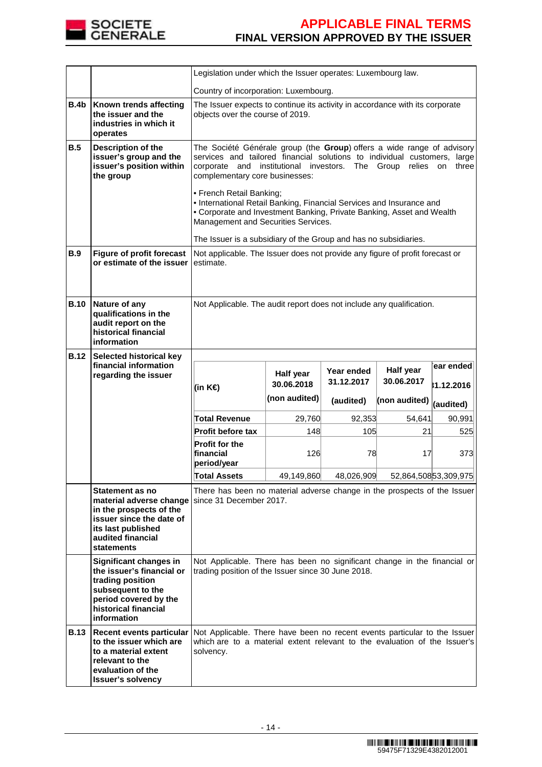

|             |                                                                                                                                                              | Legislation under which the Issuer operates: Luxembourg law.                                                                                                                                                                                                                                                                                                                                                                                                                             |                                                                                                                  |                          |                         |                       |  |
|-------------|--------------------------------------------------------------------------------------------------------------------------------------------------------------|------------------------------------------------------------------------------------------------------------------------------------------------------------------------------------------------------------------------------------------------------------------------------------------------------------------------------------------------------------------------------------------------------------------------------------------------------------------------------------------|------------------------------------------------------------------------------------------------------------------|--------------------------|-------------------------|-----------------------|--|
|             |                                                                                                                                                              |                                                                                                                                                                                                                                                                                                                                                                                                                                                                                          | Country of incorporation: Luxembourg.                                                                            |                          |                         |                       |  |
| B.4b        | Known trends affecting<br>the issuer and the<br>industries in which it<br>operates                                                                           |                                                                                                                                                                                                                                                                                                                                                                                                                                                                                          | The Issuer expects to continue its activity in accordance with its corporate<br>objects over the course of 2019. |                          |                         |                       |  |
| B.5         | Description of the<br>issuer's group and the<br>issuer's position within<br>the group                                                                        | The Société Générale group (the Group) offers a wide range of advisory<br>services and tailored financial solutions to individual customers, large<br>corporate and institutional investors.<br>The Group<br>relies<br>three<br>on<br>complementary core businesses:<br>• French Retail Banking;<br>. International Retail Banking, Financial Services and Insurance and<br>• Corporate and Investment Banking, Private Banking, Asset and Wealth<br>Management and Securities Services. |                                                                                                                  |                          |                         |                       |  |
|             |                                                                                                                                                              | The Issuer is a subsidiary of the Group and has no subsidiaries.                                                                                                                                                                                                                                                                                                                                                                                                                         |                                                                                                                  |                          |                         |                       |  |
| B.9         | <b>Figure of profit forecast</b><br>or estimate of the issuer                                                                                                | Not applicable. The Issuer does not provide any figure of profit forecast or<br>estimate.                                                                                                                                                                                                                                                                                                                                                                                                |                                                                                                                  |                          |                         |                       |  |
| <b>B.10</b> | Nature of any<br>qualifications in the<br>audit report on the<br>historical financial<br>information                                                         | Not Applicable. The audit report does not include any qualification.                                                                                                                                                                                                                                                                                                                                                                                                                     |                                                                                                                  |                          |                         |                       |  |
| <b>B.12</b> | <b>Selected historical key</b><br>financial information                                                                                                      |                                                                                                                                                                                                                                                                                                                                                                                                                                                                                          |                                                                                                                  |                          |                         |                       |  |
|             | regarding the issuer                                                                                                                                         |                                                                                                                                                                                                                                                                                                                                                                                                                                                                                          | Half year                                                                                                        | Year ended<br>31.12.2017 | Half year<br>30.06.2017 | ear ended             |  |
|             |                                                                                                                                                              | (in K€)                                                                                                                                                                                                                                                                                                                                                                                                                                                                                  | 30.06.2018<br>(non audited)                                                                                      | (audited)                | (non audited)           | }1.12.2016            |  |
|             |                                                                                                                                                              | <b>Total Revenue</b>                                                                                                                                                                                                                                                                                                                                                                                                                                                                     | 29,760                                                                                                           | 92,353                   | 54,641                  | (audited)<br>90,991   |  |
|             |                                                                                                                                                              | <b>Profit before tax</b>                                                                                                                                                                                                                                                                                                                                                                                                                                                                 | 148                                                                                                              | 105                      | 21                      | 525                   |  |
|             |                                                                                                                                                              | Profit for the<br>financial<br>period/year                                                                                                                                                                                                                                                                                                                                                                                                                                               | 126                                                                                                              | 78                       | 17                      | 373                   |  |
|             |                                                                                                                                                              | <b>Total Assets</b>                                                                                                                                                                                                                                                                                                                                                                                                                                                                      | 49,149,860                                                                                                       | 48,026,909               |                         | 52,864,508 53,309,975 |  |
|             | Statement as no<br>in the prospects of the<br>issuer since the date of<br>its last published<br>audited financial<br><b>statements</b>                       | There has been no material adverse change in the prospects of the Issuer<br>material adverse change   since 31 December 2017.                                                                                                                                                                                                                                                                                                                                                            |                                                                                                                  |                          |                         |                       |  |
|             | Significant changes in<br>the issuer's financial or<br>trading position<br>subsequent to the<br>period covered by the<br>historical financial<br>information | Not Applicable. There has been no significant change in the financial or<br>trading position of the Issuer since 30 June 2018.                                                                                                                                                                                                                                                                                                                                                           |                                                                                                                  |                          |                         |                       |  |
| <b>B.13</b> | <b>Recent events particular</b><br>to the issuer which are<br>to a material extent<br>relevant to the                                                        | Not Applicable. There have been no recent events particular to the Issuer<br>which are to a material extent relevant to the evaluation of the Issuer's<br>solvency.                                                                                                                                                                                                                                                                                                                      |                                                                                                                  |                          |                         |                       |  |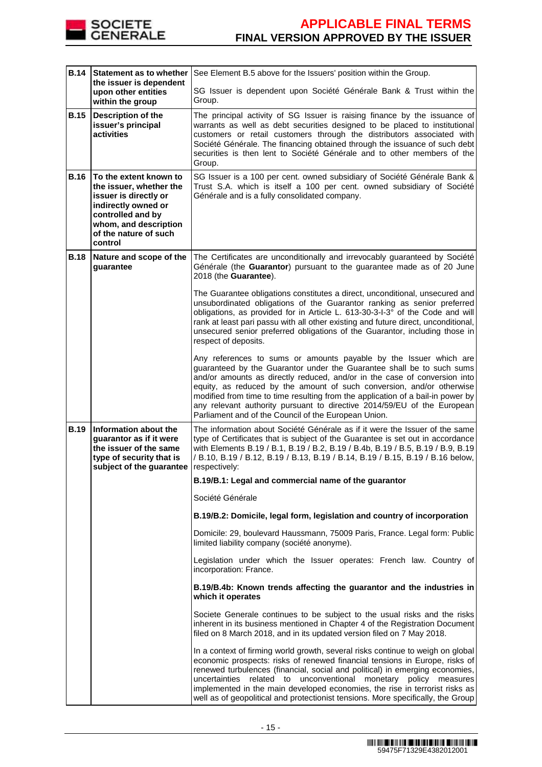

| <b>B.14</b> | <b>Statement as to whether</b>                                                                                                                                                      | See Element B.5 above for the Issuers' position within the Group.                                                                                                                                                                                                                                                                                                                                                                                                                                                      |
|-------------|-------------------------------------------------------------------------------------------------------------------------------------------------------------------------------------|------------------------------------------------------------------------------------------------------------------------------------------------------------------------------------------------------------------------------------------------------------------------------------------------------------------------------------------------------------------------------------------------------------------------------------------------------------------------------------------------------------------------|
|             | the issuer is dependent<br>upon other entities<br>within the group                                                                                                                  | SG Issuer is dependent upon Société Générale Bank & Trust within the<br>Group.                                                                                                                                                                                                                                                                                                                                                                                                                                         |
| <b>B.15</b> | Description of the<br>issuer's principal<br>activities                                                                                                                              | The principal activity of SG Issuer is raising finance by the issuance of<br>warrants as well as debt securities designed to be placed to institutional<br>customers or retail customers through the distributors associated with<br>Société Générale. The financing obtained through the issuance of such debt<br>securities is then lent to Société Générale and to other members of the<br>Group.                                                                                                                   |
| <b>B.16</b> | To the extent known to<br>the issuer, whether the<br>issuer is directly or<br>indirectly owned or<br>controlled and by<br>whom, and description<br>of the nature of such<br>control | SG Issuer is a 100 per cent. owned subsidiary of Société Générale Bank &<br>Trust S.A. which is itself a 100 per cent. owned subsidiary of Société<br>Générale and is a fully consolidated company.                                                                                                                                                                                                                                                                                                                    |
| <b>B.18</b> | Nature and scope of the<br>guarantee                                                                                                                                                | The Certificates are unconditionally and irrevocably guaranteed by Société<br>Générale (the Guarantor) pursuant to the guarantee made as of 20 June<br>2018 (the Guarantee).                                                                                                                                                                                                                                                                                                                                           |
|             |                                                                                                                                                                                     | The Guarantee obligations constitutes a direct, unconditional, unsecured and<br>unsubordinated obligations of the Guarantor ranking as senior preferred<br>obligations, as provided for in Article L. 613-30-3-I-3° of the Code and will<br>rank at least pari passu with all other existing and future direct, unconditional,<br>unsecured senior preferred obligations of the Guarantor, including those in<br>respect of deposits.                                                                                  |
|             |                                                                                                                                                                                     | Any references to sums or amounts payable by the Issuer which are<br>guaranteed by the Guarantor under the Guarantee shall be to such sums<br>and/or amounts as directly reduced, and/or in the case of conversion into<br>equity, as reduced by the amount of such conversion, and/or otherwise<br>modified from time to time resulting from the application of a bail-in power by<br>any relevant authority pursuant to directive 2014/59/EU of the European<br>Parliament and of the Council of the European Union. |
| <b>B.19</b> | Information about the<br>guarantor as if it were<br>the issuer of the same<br>type of security that is<br>subject of the guarantee                                                  | The information about Société Générale as if it were the Issuer of the same<br>type of Certificates that is subject of the Guarantee is set out in accordance<br>with Elements B.19 / B.1, B.19 / B.2, B.19 / B.4b, B.19 / B.5, B.19 / B.9, B.19<br>/ B.10, B.19 / B.12, B.19 / B.13, B.19 / B.14, B.19 / B.15, B.19 / B.16 below,<br>respectively:                                                                                                                                                                    |
|             |                                                                                                                                                                                     | B.19/B.1: Legal and commercial name of the guarantor                                                                                                                                                                                                                                                                                                                                                                                                                                                                   |
|             |                                                                                                                                                                                     | Société Générale                                                                                                                                                                                                                                                                                                                                                                                                                                                                                                       |
|             |                                                                                                                                                                                     | B.19/B.2: Domicile, legal form, legislation and country of incorporation                                                                                                                                                                                                                                                                                                                                                                                                                                               |
|             |                                                                                                                                                                                     | Domicile: 29, boulevard Haussmann, 75009 Paris, France. Legal form: Public<br>limited liability company (société anonyme).                                                                                                                                                                                                                                                                                                                                                                                             |
|             |                                                                                                                                                                                     | Legislation under which the Issuer operates: French law. Country of<br>incorporation: France.                                                                                                                                                                                                                                                                                                                                                                                                                          |
|             |                                                                                                                                                                                     | B.19/B.4b: Known trends affecting the guarantor and the industries in<br>which it operates                                                                                                                                                                                                                                                                                                                                                                                                                             |
|             |                                                                                                                                                                                     | Societe Generale continues to be subject to the usual risks and the risks<br>inherent in its business mentioned in Chapter 4 of the Registration Document<br>filed on 8 March 2018, and in its updated version filed on 7 May 2018.                                                                                                                                                                                                                                                                                    |
|             |                                                                                                                                                                                     | In a context of firming world growth, several risks continue to weigh on global<br>economic prospects: risks of renewed financial tensions in Europe, risks of<br>renewed turbulences (financial, social and political) in emerging economies,<br>uncertainties related to unconventional monetary policy measures<br>implemented in the main developed economies, the rise in terrorist risks as<br>well as of geopolitical and protectionist tensions. More specifically, the Group                                  |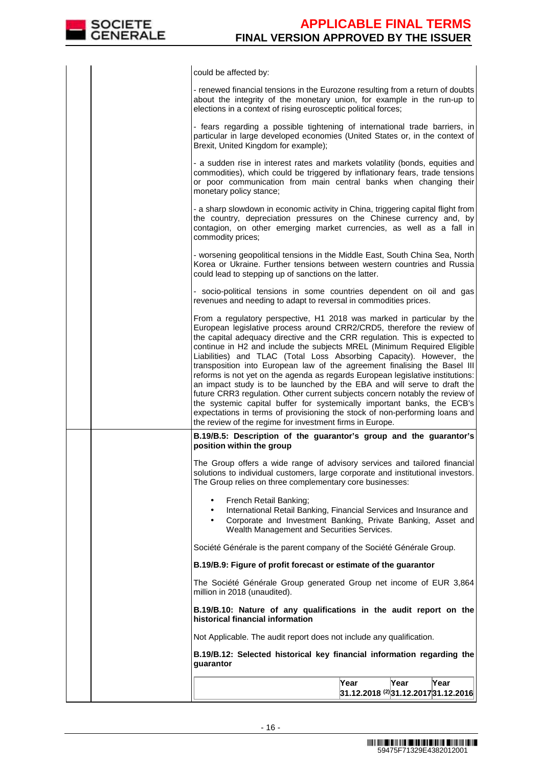

could be affected by: - renewed financial tensions in the Eurozone resulting from a return of doubts about the integrity of the monetary union, for example in the run-up to elections in a context of rising eurosceptic political forces; - fears regarding a possible tightening of international trade barriers, in particular in large developed economies (United States or, in the context of Brexit, United Kingdom for example); - a sudden rise in interest rates and markets volatility (bonds, equities and commodities), which could be triggered by inflationary fears, trade tensions or poor communication from main central banks when changing their monetary policy stance; - a sharp slowdown in economic activity in China, triggering capital flight from the country, depreciation pressures on the Chinese currency and, by contagion, on other emerging market currencies, as well as a fall in commodity prices; - worsening geopolitical tensions in the Middle East, South China Sea, North Korea or Ukraine. Further tensions between western countries and Russia could lead to stepping up of sanctions on the latter. - socio-political tensions in some countries dependent on oil and gas revenues and needing to adapt to reversal in commodities prices. From a regulatory perspective, H1 2018 was marked in particular by the European legislative process around CRR2/CRD5, therefore the review of the capital adequacy directive and the CRR regulation. This is expected to continue in H2 and include the subjects MREL (Minimum Required Eligible Liabilities) and TLAC (Total Loss Absorbing Capacity). However, the transposition into European law of the agreement finalising the Basel III reforms is not yet on the agenda as regards European legislative institutions: an impact study is to be launched by the EBA and will serve to draft the future CRR3 regulation. Other current subjects concern notably the review of the systemic capital buffer for systemically important banks, the ECB's expectations in terms of provisioning the stock of non-performing loans and the review of the regime for investment firms in Europe. **B.19/B.5: Description of the guarantor's group and the guarantor's position within the group**  The Group offers a wide range of advisory services and tailored financial solutions to individual customers, large corporate and institutional investors. The Group relies on three complementary core businesses: • French Retail Banking; • International Retail Banking, Financial Services and Insurance and • Corporate and Investment Banking, Private Banking, Asset and Wealth Management and Securities Services. Société Générale is the parent company of the Société Générale Group. **B.19/B.9: Figure of profit forecast or estimate of the guarantor**  The Société Générale Group generated Group net income of EUR 3,864 million in 2018 (unaudited). **B.19/B.10: Nature of any qualifications in the audit report on the historical financial information** Not Applicable. The audit report does not include any qualification. **B.19/B.12: Selected historical key financial information regarding the guarantor**

|  | Year       | ∣Year | ∣Year                                                |
|--|------------|-------|------------------------------------------------------|
|  | 31.12.2018 |       | <sup>22</sup> 31.12.2017 <sup>31.12.2016. [18]</sup> |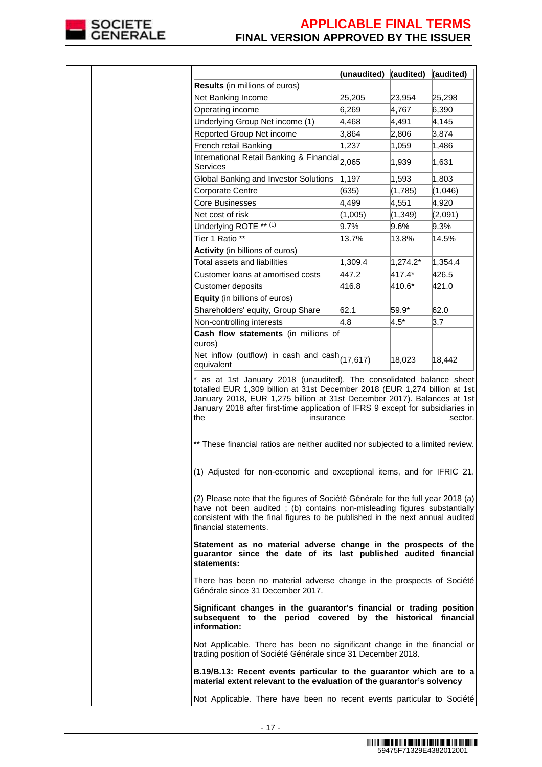

|  |                                                                                                                                                                                                                                                                                                                                     | (unaudited) | (audited) | (audited) |
|--|-------------------------------------------------------------------------------------------------------------------------------------------------------------------------------------------------------------------------------------------------------------------------------------------------------------------------------------|-------------|-----------|-----------|
|  | Results (in millions of euros)                                                                                                                                                                                                                                                                                                      |             |           |           |
|  | Net Banking Income                                                                                                                                                                                                                                                                                                                  | 25,205      | 23,954    | 25,298    |
|  | Operating income                                                                                                                                                                                                                                                                                                                    | 6,269       | 4,767     | 6,390     |
|  | Underlying Group Net income (1)                                                                                                                                                                                                                                                                                                     | 4,468       | 4,491     | 4,145     |
|  | <b>Reported Group Net income</b>                                                                                                                                                                                                                                                                                                    | 3,864       | 2,806     | 3,874     |
|  | French retail Banking                                                                                                                                                                                                                                                                                                               | 1,237       | 1,059     | 1,486     |
|  | International Retail Banking & Financial <sub>2,065</sub><br>Services                                                                                                                                                                                                                                                               |             | 1,939     | 1,631     |
|  | Global Banking and Investor Solutions                                                                                                                                                                                                                                                                                               | 1,197       | 1,593     | 1,803     |
|  | Corporate Centre                                                                                                                                                                                                                                                                                                                    | (635)       | (1,785)   | (1,046)   |
|  | Core Businesses                                                                                                                                                                                                                                                                                                                     | 4,499       | 4,551     | 4,920     |
|  | Net cost of risk                                                                                                                                                                                                                                                                                                                    | (1,005)     | (1, 349)  | (2,091)   |
|  | Underlying ROTE ** (1)                                                                                                                                                                                                                                                                                                              | $9.7\%$     | 9.6%      | 9.3%      |
|  | Tier 1 Ratio **                                                                                                                                                                                                                                                                                                                     | 13.7%       | 13.8%     | 14.5%     |
|  | Activity (in billions of euros)                                                                                                                                                                                                                                                                                                     |             |           |           |
|  | Total assets and liabilities                                                                                                                                                                                                                                                                                                        | 1,309.4     | 1,274.2*  | 1,354.4   |
|  | Customer loans at amortised costs                                                                                                                                                                                                                                                                                                   | 447.2       | 417.4*    | 426.5     |
|  | Customer deposits                                                                                                                                                                                                                                                                                                                   | 416.8       | 410.6*    | 421.0     |
|  | Equity (in billions of euros)                                                                                                                                                                                                                                                                                                       |             |           |           |
|  | Shareholders' equity, Group Share                                                                                                                                                                                                                                                                                                   | 62.1        | 59.9*     | 62.0      |
|  |                                                                                                                                                                                                                                                                                                                                     | 4.8         | $4.5*$    | 3.7       |
|  | Non-controlling interests                                                                                                                                                                                                                                                                                                           |             |           |           |
|  | Cash flow statements (in millions of<br>euros)                                                                                                                                                                                                                                                                                      |             |           |           |
|  | Net inflow (outflow) in cash and $\cosh$ (17,617)<br>equivalent                                                                                                                                                                                                                                                                     |             | 18,023    | 18,442    |
|  | * as at 1st January 2018 (unaudited). The consolidated balance sheet<br>totalled EUR 1,309 billion at 31st December 2018 (EUR 1,274 billion at 1st<br>January 2018, EUR 1,275 billion at 31st December 2017). Balances at 1st<br>January 2018 after first-time application of IFRS 9 except for subsidiaries in<br>the<br>insurance |             |           | sector.   |
|  | ** These financial ratios are neither audited nor subjected to a limited review.<br>(1) Adjusted for non-economic and exceptional items, and for IFRIC 21.                                                                                                                                                                          |             |           |           |
|  | (2) Please note that the figures of Société Générale for the full year 2018 (a)<br>have not been audited; (b) contains non-misleading figures substantially<br>consistent with the final figures to be published in the next annual audited<br>financial statements.                                                                |             |           |           |
|  | Statement as no material adverse change in the prospects of the<br>guarantor since the date of its last published audited financial<br>statements:                                                                                                                                                                                  |             |           |           |
|  | There has been no material adverse change in the prospects of Société<br>Générale since 31 December 2017.                                                                                                                                                                                                                           |             |           |           |
|  | Significant changes in the guarantor's financial or trading position<br>subsequent to the period covered by the historical financial<br>information:                                                                                                                                                                                |             |           |           |
|  | Not Applicable. There has been no significant change in the financial or<br>trading position of Société Générale since 31 December 2018.                                                                                                                                                                                            |             |           |           |
|  | B.19/B.13: Recent events particular to the guarantor which are to a<br>material extent relevant to the evaluation of the guarantor's solvency                                                                                                                                                                                       |             |           |           |
|  | Not Applicable. There have been no recent events particular to Société                                                                                                                                                                                                                                                              |             |           |           |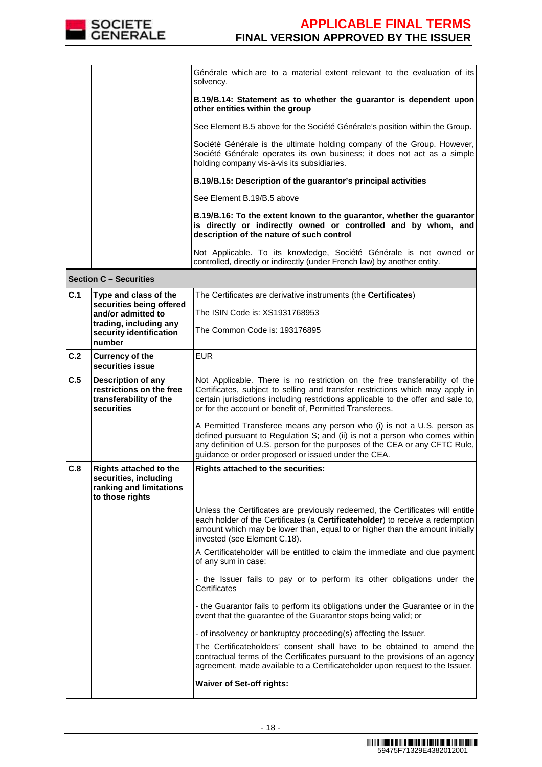

|                               | Générale which are to a material extent relevant to the evaluation of its<br>solvency.                                                                                                            |
|-------------------------------|---------------------------------------------------------------------------------------------------------------------------------------------------------------------------------------------------|
|                               | B.19/B.14: Statement as to whether the guarantor is dependent upon<br>other entities within the group                                                                                             |
|                               | See Element B.5 above for the Société Générale's position within the Group.                                                                                                                       |
|                               | Société Générale is the ultimate holding company of the Group. However,<br>Société Générale operates its own business; it does not act as a simple<br>holding company vis-à-vis its subsidiaries. |
|                               | B.19/B.15: Description of the quarantor's principal activities                                                                                                                                    |
|                               | See Element B.19/B.5 above                                                                                                                                                                        |
|                               | B.19/B.16: To the extent known to the guarantor, whether the guarantor<br>is directly or indirectly owned or controlled and by whom, and<br>description of the nature of such control             |
|                               | Not Applicable. To its knowledge, Société Générale is not owned or<br>controlled, directly or indirectly (under French law) by another entity.                                                    |
| <b>Section C - Securities</b> |                                                                                                                                                                                                   |

| C.1 | Type and class of the<br>securities being offered                                                    | The Certificates are derivative instruments (the <b>Certificates</b> )                                                                                                                                                                                                                                       |
|-----|------------------------------------------------------------------------------------------------------|--------------------------------------------------------------------------------------------------------------------------------------------------------------------------------------------------------------------------------------------------------------------------------------------------------------|
|     | and/or admitted to                                                                                   | The ISIN Code is: XS1931768953                                                                                                                                                                                                                                                                               |
|     | trading, including any<br>security identification<br>number                                          | The Common Code is: 193176895                                                                                                                                                                                                                                                                                |
| C.2 | <b>Currency of the</b><br>securities issue                                                           | <b>EUR</b>                                                                                                                                                                                                                                                                                                   |
| C.5 | <b>Description of any</b><br>restrictions on the free<br>transferability of the<br>securities        | Not Applicable. There is no restriction on the free transferability of the<br>Certificates, subject to selling and transfer restrictions which may apply in<br>certain jurisdictions including restrictions applicable to the offer and sale to,<br>or for the account or benefit of, Permitted Transferees. |
|     |                                                                                                      | A Permitted Transferee means any person who (i) is not a U.S. person as<br>defined pursuant to Regulation S; and (ii) is not a person who comes within<br>any definition of U.S. person for the purposes of the CEA or any CFTC Rule,<br>guidance or order proposed or issued under the CEA.                 |
| C.8 | <b>Rights attached to the</b><br>securities, including<br>ranking and limitations<br>to those rights | Rights attached to the securities:                                                                                                                                                                                                                                                                           |
|     |                                                                                                      | Unless the Certificates are previously redeemed, the Certificates will entitle<br>each holder of the Certificates (a Certificateholder) to receive a redemption<br>amount which may be lower than, equal to or higher than the amount initially<br>invested (see Element C.18).                              |
|     |                                                                                                      | A Certificateholder will be entitled to claim the immediate and due payment<br>of any sum in case:                                                                                                                                                                                                           |
|     |                                                                                                      | - the Issuer fails to pay or to perform its other obligations under the<br>Certificates                                                                                                                                                                                                                      |
|     |                                                                                                      | - the Guarantor fails to perform its obligations under the Guarantee or in the<br>event that the guarantee of the Guarantor stops being valid; or                                                                                                                                                            |
|     |                                                                                                      | - of insolvency or bankruptcy proceeding(s) affecting the Issuer.                                                                                                                                                                                                                                            |
|     |                                                                                                      | The Certificateholders' consent shall have to be obtained to amend the<br>contractual terms of the Certificates pursuant to the provisions of an agency<br>agreement, made available to a Certificateholder upon request to the Issuer.                                                                      |
|     |                                                                                                      | <b>Waiver of Set-off rights:</b>                                                                                                                                                                                                                                                                             |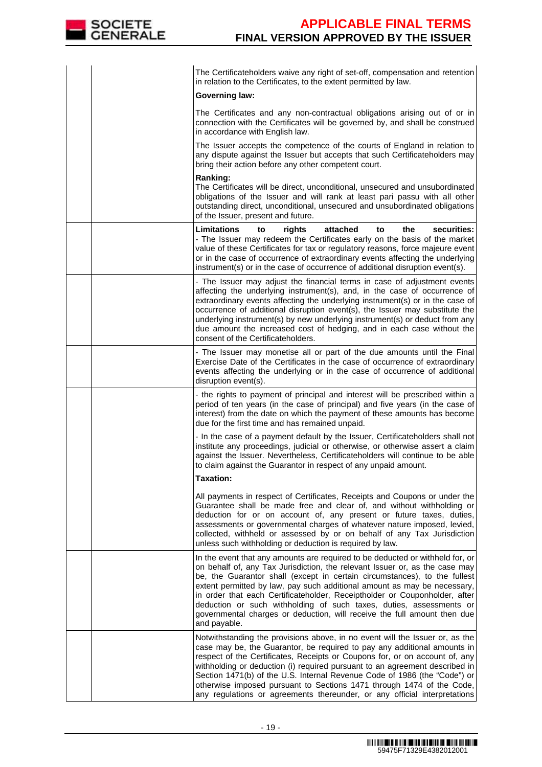

|  | The Certificateholders waive any right of set-off, compensation and retention<br>in relation to the Certificates, to the extent permitted by law.<br><b>Governing law:</b>                                                                                                                                                                                                                                                                                                                                                                                             |
|--|------------------------------------------------------------------------------------------------------------------------------------------------------------------------------------------------------------------------------------------------------------------------------------------------------------------------------------------------------------------------------------------------------------------------------------------------------------------------------------------------------------------------------------------------------------------------|
|  |                                                                                                                                                                                                                                                                                                                                                                                                                                                                                                                                                                        |
|  | The Certificates and any non-contractual obligations arising out of or in<br>connection with the Certificates will be governed by, and shall be construed<br>in accordance with English law.                                                                                                                                                                                                                                                                                                                                                                           |
|  | The Issuer accepts the competence of the courts of England in relation to<br>any dispute against the Issuer but accepts that such Certificateholders may<br>bring their action before any other competent court.                                                                                                                                                                                                                                                                                                                                                       |
|  | Ranking:<br>The Certificates will be direct, unconditional, unsecured and unsubordinated<br>obligations of the Issuer and will rank at least pari passu with all other<br>outstanding direct, unconditional, unsecured and unsubordinated obligations<br>of the Issuer, present and future.                                                                                                                                                                                                                                                                            |
|  | <b>Limitations</b><br>to<br>attached<br>the<br>securities:<br>rights<br>to<br>- The Issuer may redeem the Certificates early on the basis of the market<br>value of these Certificates for tax or regulatory reasons, force majeure event<br>or in the case of occurrence of extraordinary events affecting the underlying<br>instrument(s) or in the case of occurrence of additional disruption event(s).                                                                                                                                                            |
|  | - The Issuer may adjust the financial terms in case of adjustment events<br>affecting the underlying instrument(s), and, in the case of occurrence of<br>extraordinary events affecting the underlying instrument(s) or in the case of<br>occurrence of additional disruption event(s), the Issuer may substitute the<br>underlying instrument(s) by new underlying instrument(s) or deduct from any<br>due amount the increased cost of hedging, and in each case without the<br>consent of the Certificateholders.                                                   |
|  | - The Issuer may monetise all or part of the due amounts until the Final<br>Exercise Date of the Certificates in the case of occurrence of extraordinary<br>events affecting the underlying or in the case of occurrence of additional<br>disruption event(s).                                                                                                                                                                                                                                                                                                         |
|  | - the rights to payment of principal and interest will be prescribed within a<br>period of ten years (in the case of principal) and five years (in the case of<br>interest) from the date on which the payment of these amounts has become<br>due for the first time and has remained unpaid.                                                                                                                                                                                                                                                                          |
|  | - In the case of a payment default by the Issuer, Certificateholders shall not<br>institute any proceedings, judicial or otherwise, or otherwise assert a claim<br>against the Issuer. Nevertheless, Certificateholders will continue to be able<br>to claim against the Guarantor in respect of any unpaid amount.                                                                                                                                                                                                                                                    |
|  | <b>Taxation:</b>                                                                                                                                                                                                                                                                                                                                                                                                                                                                                                                                                       |
|  | All payments in respect of Certificates, Receipts and Coupons or under the<br>Guarantee shall be made free and clear of, and without withholding or<br>deduction for or on account of, any present or future taxes, duties,<br>assessments or governmental charges of whatever nature imposed, levied,<br>collected, withheld or assessed by or on behalf of any Tax Jurisdiction<br>unless such withholding or deduction is required by law.                                                                                                                          |
|  | In the event that any amounts are required to be deducted or withheld for, or<br>on behalf of, any Tax Jurisdiction, the relevant Issuer or, as the case may<br>be, the Guarantor shall (except in certain circumstances), to the fullest<br>extent permitted by law, pay such additional amount as may be necessary,<br>in order that each Certificateholder, Receiptholder or Couponholder, after<br>deduction or such withholding of such taxes, duties, assessments or<br>governmental charges or deduction, will receive the full amount then due<br>and payable. |
|  | Notwithstanding the provisions above, in no event will the Issuer or, as the<br>case may be, the Guarantor, be required to pay any additional amounts in<br>respect of the Certificates, Receipts or Coupons for, or on account of, any<br>withholding or deduction (i) required pursuant to an agreement described in<br>Section 1471(b) of the U.S. Internal Revenue Code of 1986 (the "Code") or<br>otherwise imposed pursuant to Sections 1471 through 1474 of the Code,<br>any regulations or agreements thereunder, or any official interpretations              |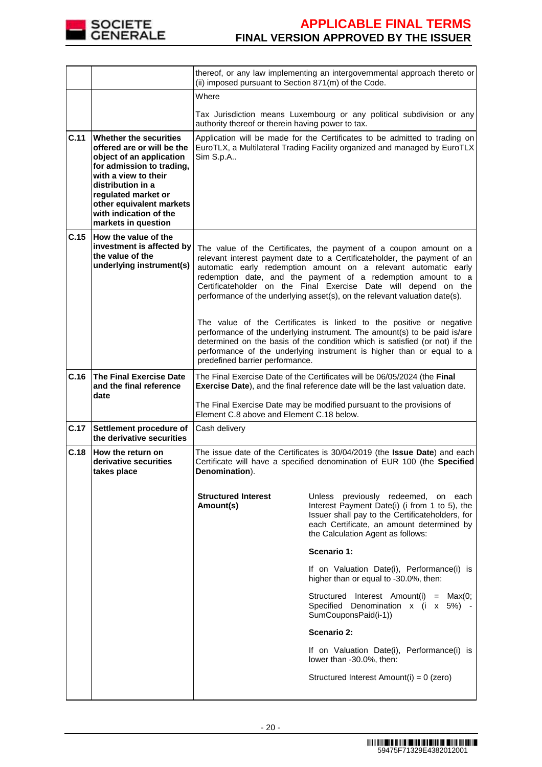

|      |                                                                                                                                                                                                                                                                | (ii) imposed pursuant to Section 871(m) of the Code.                                                                                                                             | thereof, or any law implementing an intergovernmental approach thereto or                                                                                                                                                                                                                                                                                                                                                                                                                                                                                                                                                                                                                                                                      |
|------|----------------------------------------------------------------------------------------------------------------------------------------------------------------------------------------------------------------------------------------------------------------|----------------------------------------------------------------------------------------------------------------------------------------------------------------------------------|------------------------------------------------------------------------------------------------------------------------------------------------------------------------------------------------------------------------------------------------------------------------------------------------------------------------------------------------------------------------------------------------------------------------------------------------------------------------------------------------------------------------------------------------------------------------------------------------------------------------------------------------------------------------------------------------------------------------------------------------|
|      |                                                                                                                                                                                                                                                                | Where                                                                                                                                                                            |                                                                                                                                                                                                                                                                                                                                                                                                                                                                                                                                                                                                                                                                                                                                                |
|      |                                                                                                                                                                                                                                                                | authority thereof or therein having power to tax.                                                                                                                                | Tax Jurisdiction means Luxembourg or any political subdivision or any                                                                                                                                                                                                                                                                                                                                                                                                                                                                                                                                                                                                                                                                          |
| C.11 | Whether the securities<br>offered are or will be the<br>object of an application<br>for admission to trading,<br>with a view to their<br>distribution in a<br>regulated market or<br>other equivalent markets<br>with indication of the<br>markets in question | Sim S.p.A                                                                                                                                                                        | Application will be made for the Certificates to be admitted to trading on<br>EuroTLX, a Multilateral Trading Facility organized and managed by EuroTLX                                                                                                                                                                                                                                                                                                                                                                                                                                                                                                                                                                                        |
| C.15 | How the value of the<br>investment is affected by<br>the value of the<br>underlying instrument(s)                                                                                                                                                              | predefined barrier performance.                                                                                                                                                  | The value of the Certificates, the payment of a coupon amount on a<br>relevant interest payment date to a Certificateholder, the payment of an<br>automatic early redemption amount on a relevant automatic early<br>redemption date, and the payment of a redemption amount to a<br>Certificateholder on the Final Exercise Date will depend on the<br>performance of the underlying asset(s), on the relevant valuation date(s).<br>The value of the Certificates is linked to the positive or negative<br>performance of the underlying instrument. The amount(s) to be paid is/are<br>determined on the basis of the condition which is satisfied (or not) if the<br>performance of the underlying instrument is higher than or equal to a |
| C.16 | <b>The Final Exercise Date</b><br>and the final reference                                                                                                                                                                                                      |                                                                                                                                                                                  | The Final Exercise Date of the Certificates will be 06/05/2024 (the Final<br>Exercise Date), and the final reference date will be the last valuation date.                                                                                                                                                                                                                                                                                                                                                                                                                                                                                                                                                                                     |
|      | date                                                                                                                                                                                                                                                           | Element C.8 above and Element C.18 below.                                                                                                                                        | The Final Exercise Date may be modified pursuant to the provisions of                                                                                                                                                                                                                                                                                                                                                                                                                                                                                                                                                                                                                                                                          |
| C.17 | Settlement procedure of<br>the derivative securities                                                                                                                                                                                                           | Cash delivery                                                                                                                                                                    |                                                                                                                                                                                                                                                                                                                                                                                                                                                                                                                                                                                                                                                                                                                                                |
| C.18 | How the return on<br>derivative securities<br>takes place                                                                                                                                                                                                      | The issue date of the Certificates is 30/04/2019 (the <b>Issue Date</b> ) and each<br>Certificate will have a specified denomination of EUR 100 (the Specified<br>Denomination). |                                                                                                                                                                                                                                                                                                                                                                                                                                                                                                                                                                                                                                                                                                                                                |
|      |                                                                                                                                                                                                                                                                | <b>Structured Interest</b><br>Amount(s)                                                                                                                                          | Unless previously redeemed, on each<br>Interest Payment Date(i) (i from 1 to 5), the<br>Issuer shall pay to the Certificateholders, for<br>each Certificate, an amount determined by<br>the Calculation Agent as follows:                                                                                                                                                                                                                                                                                                                                                                                                                                                                                                                      |
|      |                                                                                                                                                                                                                                                                |                                                                                                                                                                                  | Scenario 1:                                                                                                                                                                                                                                                                                                                                                                                                                                                                                                                                                                                                                                                                                                                                    |
|      |                                                                                                                                                                                                                                                                |                                                                                                                                                                                  | If on Valuation Date(i), Performance(i) is<br>higher than or equal to -30.0%, then:                                                                                                                                                                                                                                                                                                                                                                                                                                                                                                                                                                                                                                                            |
|      |                                                                                                                                                                                                                                                                |                                                                                                                                                                                  | Structured Interest Amount(i) = Max(0;<br>Specified Denomination x (i x 5%) -<br>SumCouponsPaid(i-1))                                                                                                                                                                                                                                                                                                                                                                                                                                                                                                                                                                                                                                          |
|      |                                                                                                                                                                                                                                                                |                                                                                                                                                                                  | Scenario 2:                                                                                                                                                                                                                                                                                                                                                                                                                                                                                                                                                                                                                                                                                                                                    |
|      |                                                                                                                                                                                                                                                                |                                                                                                                                                                                  | If on Valuation Date(i), Performance(i) is<br>lower than -30.0%, then:                                                                                                                                                                                                                                                                                                                                                                                                                                                                                                                                                                                                                                                                         |
|      |                                                                                                                                                                                                                                                                |                                                                                                                                                                                  | Structured Interest Amount(i) = 0 (zero)                                                                                                                                                                                                                                                                                                                                                                                                                                                                                                                                                                                                                                                                                                       |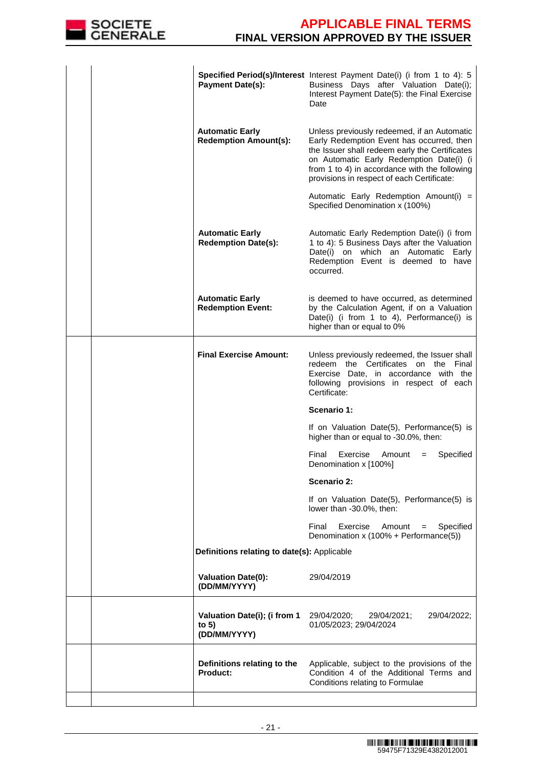

|  | <b>Payment Date(s):</b>                                 | Specified Period(s)/Interest Interest Payment Date(i) (i from 1 to 4): 5<br>Business Days after Valuation Date(i);<br>Interest Payment Date(5): the Final Exercise<br>Date                                                                                                            |
|--|---------------------------------------------------------|---------------------------------------------------------------------------------------------------------------------------------------------------------------------------------------------------------------------------------------------------------------------------------------|
|  | <b>Automatic Early</b><br><b>Redemption Amount(s):</b>  | Unless previously redeemed, if an Automatic<br>Early Redemption Event has occurred, then<br>the Issuer shall redeem early the Certificates<br>on Automatic Early Redemption Date(i) (i<br>from 1 to 4) in accordance with the following<br>provisions in respect of each Certificate: |
|  |                                                         | Automatic Early Redemption Amount(i) =<br>Specified Denomination x (100%)                                                                                                                                                                                                             |
|  | <b>Automatic Early</b><br><b>Redemption Date(s):</b>    | Automatic Early Redemption Date(i) (i from<br>1 to 4): 5 Business Days after the Valuation<br>Date(i) on which an Automatic Early<br>Redemption Event is deemed to have<br>occurred.                                                                                                  |
|  | <b>Automatic Early</b><br><b>Redemption Event:</b>      | is deemed to have occurred, as determined<br>by the Calculation Agent, if on a Valuation<br>Date(i) (i from 1 to 4), Performance(i) is<br>higher than or equal to 0%                                                                                                                  |
|  | <b>Final Exercise Amount:</b>                           | Unless previously redeemed, the Issuer shall<br>redeem the Certificates on the Final<br>Exercise Date, in accordance with the<br>following provisions in respect of each<br>Certificate:                                                                                              |
|  |                                                         | Scenario 1:                                                                                                                                                                                                                                                                           |
|  |                                                         | If on Valuation Date(5), Performance(5) is<br>higher than or equal to -30.0%, then:                                                                                                                                                                                                   |
|  |                                                         | Final<br>Exercise<br>Amount<br>Specified<br>Denomination x [100%]                                                                                                                                                                                                                     |
|  |                                                         | Scenario 2:                                                                                                                                                                                                                                                                           |
|  |                                                         | If on Valuation Date(5), Performance(5) is<br>lower than -30.0%, then:                                                                                                                                                                                                                |
|  |                                                         | Final<br>Exercise<br>Amount<br>Specified<br>$=$<br>Denomination x (100% + Performance(5))                                                                                                                                                                                             |
|  | Definitions relating to date(s): Applicable             |                                                                                                                                                                                                                                                                                       |
|  | <b>Valuation Date(0):</b><br>(DD/MM/YYYY)               | 29/04/2019                                                                                                                                                                                                                                                                            |
|  | Valuation Date(i); (i from 1<br>to $5)$<br>(DD/MM/YYYY) | 29/04/2020;<br>29/04/2021;<br>29/04/2022;<br>01/05/2023; 29/04/2024                                                                                                                                                                                                                   |
|  | Definitions relating to the<br>Product:                 | Applicable, subject to the provisions of the<br>Condition 4 of the Additional Terms and<br>Conditions relating to Formulae                                                                                                                                                            |
|  |                                                         |                                                                                                                                                                                                                                                                                       |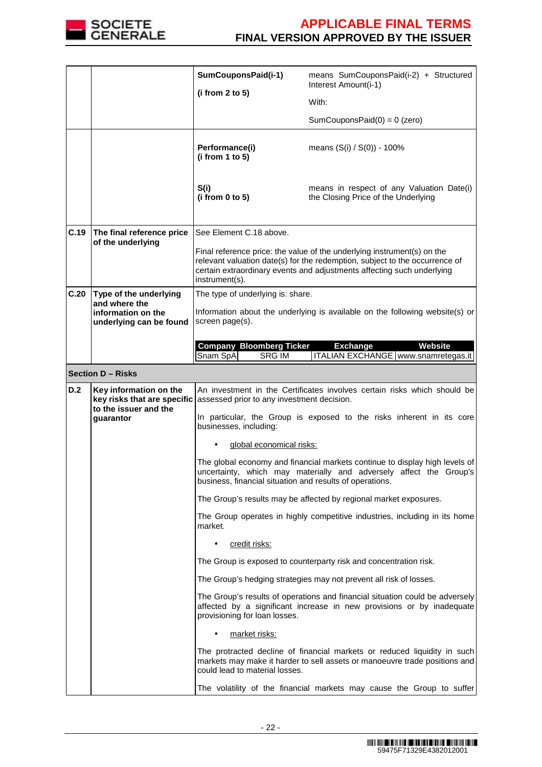

|      |                                                                                | SumCouponsPaid(i-1)                                      | means SumCouponsPaid(i-2) + Structured<br>Interest Amount(i-1)                                                                                                                                                                   |
|------|--------------------------------------------------------------------------------|----------------------------------------------------------|----------------------------------------------------------------------------------------------------------------------------------------------------------------------------------------------------------------------------------|
|      |                                                                                | (i from 2 to 5)                                          | With:                                                                                                                                                                                                                            |
|      |                                                                                |                                                          | SumCouponsPaid $(0) = 0$ (zero)                                                                                                                                                                                                  |
|      |                                                                                |                                                          |                                                                                                                                                                                                                                  |
|      |                                                                                | Performance(i)<br>(i from 1 to 5)                        | means $(S(i) / S(0)) - 100\%$                                                                                                                                                                                                    |
|      |                                                                                | S(i)<br>(i from 0 to 5)                                  | means in respect of any Valuation Date(i)<br>the Closing Price of the Underlying                                                                                                                                                 |
| C.19 | The final reference price                                                      | See Element C.18 above.                                  |                                                                                                                                                                                                                                  |
|      | of the underlying                                                              | instrument(s).                                           | Final reference price: the value of the underlying instrument(s) on the<br>relevant valuation date(s) for the redemption, subject to the occurrence of<br>certain extraordinary events and adjustments affecting such underlying |
| C.20 | Type of the underlying<br>and where the                                        | The type of underlying is: share.                        |                                                                                                                                                                                                                                  |
|      | information on the<br>underlying can be found                                  | screen page(s).                                          | Information about the underlying is available on the following website(s) or                                                                                                                                                     |
|      |                                                                                | <b>Company Bloomberg Ticker</b>                          | <b>Website</b><br><b>Exchange</b>                                                                                                                                                                                                |
|      |                                                                                | Snam SpA<br><b>SRG IM</b>                                | ITALIAN EXCHANGE   www.snamretegas.it                                                                                                                                                                                            |
|      | <b>Section D - Risks</b>                                                       |                                                          |                                                                                                                                                                                                                                  |
| D.2  | Key information on the<br>key risks that are specific<br>to the issuer and the | assessed prior to any investment decision.               | An investment in the Certificates involves certain risks which should be                                                                                                                                                         |
|      | guarantor                                                                      | businesses, including:                                   | In particular, the Group is exposed to the risks inherent in its core                                                                                                                                                            |
|      |                                                                                |                                                          |                                                                                                                                                                                                                                  |
|      |                                                                                | global economical risks:                                 |                                                                                                                                                                                                                                  |
|      |                                                                                | business, financial situation and results of operations. | The global economy and financial markets continue to display high levels of<br>uncertainty, which may materially and adversely affect the Group's                                                                                |
|      |                                                                                |                                                          | The Group's results may be affected by regional market exposures.                                                                                                                                                                |
|      |                                                                                | market.                                                  | The Group operates in highly competitive industries, including in its home                                                                                                                                                       |
|      |                                                                                | credit risks:<br>$\bullet$                               |                                                                                                                                                                                                                                  |
|      |                                                                                |                                                          | The Group is exposed to counterparty risk and concentration risk.                                                                                                                                                                |
|      |                                                                                |                                                          | The Group's hedging strategies may not prevent all risk of losses.                                                                                                                                                               |
|      |                                                                                | provisioning for loan losses.                            | The Group's results of operations and financial situation could be adversely<br>affected by a significant increase in new provisions or by inadequate                                                                            |
|      |                                                                                | market risks:                                            |                                                                                                                                                                                                                                  |
|      |                                                                                | could lead to material losses.                           | The protracted decline of financial markets or reduced liquidity in such<br>markets may make it harder to sell assets or manoeuvre trade positions and                                                                           |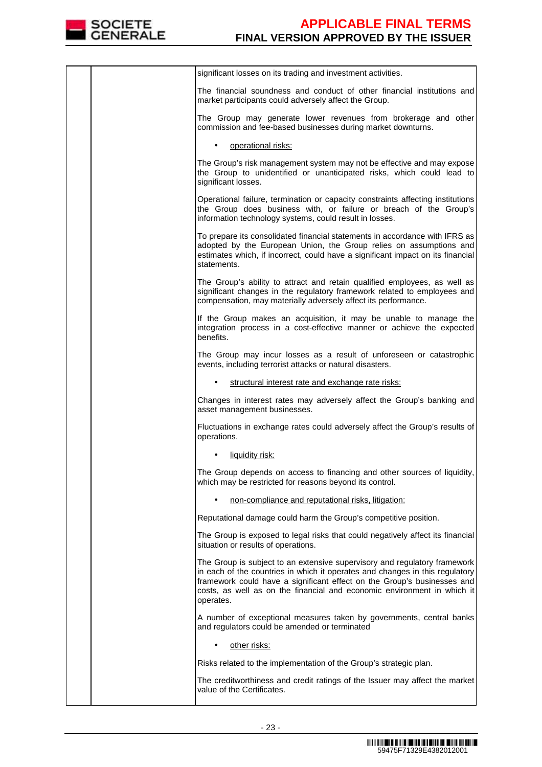

|  | significant losses on its trading and investment activities.                                                                                                                                                                                                                                                                 |
|--|------------------------------------------------------------------------------------------------------------------------------------------------------------------------------------------------------------------------------------------------------------------------------------------------------------------------------|
|  | The financial soundness and conduct of other financial institutions and<br>market participants could adversely affect the Group.                                                                                                                                                                                             |
|  | The Group may generate lower revenues from brokerage and other<br>commission and fee-based businesses during market downturns.                                                                                                                                                                                               |
|  | operational risks:                                                                                                                                                                                                                                                                                                           |
|  | The Group's risk management system may not be effective and may expose<br>the Group to unidentified or unanticipated risks, which could lead to<br>significant losses.                                                                                                                                                       |
|  | Operational failure, termination or capacity constraints affecting institutions<br>the Group does business with, or failure or breach of the Group's<br>information technology systems, could result in losses.                                                                                                              |
|  | To prepare its consolidated financial statements in accordance with IFRS as<br>adopted by the European Union, the Group relies on assumptions and<br>estimates which, if incorrect, could have a significant impact on its financial<br>statements.                                                                          |
|  | The Group's ability to attract and retain qualified employees, as well as<br>significant changes in the regulatory framework related to employees and<br>compensation, may materially adversely affect its performance.                                                                                                      |
|  | If the Group makes an acquisition, it may be unable to manage the<br>integration process in a cost-effective manner or achieve the expected<br>benefits.                                                                                                                                                                     |
|  | The Group may incur losses as a result of unforeseen or catastrophic<br>events, including terrorist attacks or natural disasters.                                                                                                                                                                                            |
|  | structural interest rate and exchange rate risks:                                                                                                                                                                                                                                                                            |
|  | Changes in interest rates may adversely affect the Group's banking and<br>asset management businesses.                                                                                                                                                                                                                       |
|  | Fluctuations in exchange rates could adversely affect the Group's results of<br>operations.                                                                                                                                                                                                                                  |
|  | liquidity risk:                                                                                                                                                                                                                                                                                                              |
|  | The Group depends on access to financing and other sources of liquidity,<br>which may be restricted for reasons beyond its control.                                                                                                                                                                                          |
|  | non-compliance and reputational risks, litigation:                                                                                                                                                                                                                                                                           |
|  | Reputational damage could harm the Group's competitive position.                                                                                                                                                                                                                                                             |
|  | The Group is exposed to legal risks that could negatively affect its financial<br>situation or results of operations.                                                                                                                                                                                                        |
|  | The Group is subject to an extensive supervisory and regulatory framework<br>in each of the countries in which it operates and changes in this regulatory<br>framework could have a significant effect on the Group's businesses and<br>costs, as well as on the financial and economic environment in which it<br>operates. |
|  | A number of exceptional measures taken by governments, central banks<br>and regulators could be amended or terminated                                                                                                                                                                                                        |
|  | other risks:                                                                                                                                                                                                                                                                                                                 |
|  | Risks related to the implementation of the Group's strategic plan.                                                                                                                                                                                                                                                           |
|  | The creditworthiness and credit ratings of the Issuer may affect the market<br>value of the Certificates.                                                                                                                                                                                                                    |
|  |                                                                                                                                                                                                                                                                                                                              |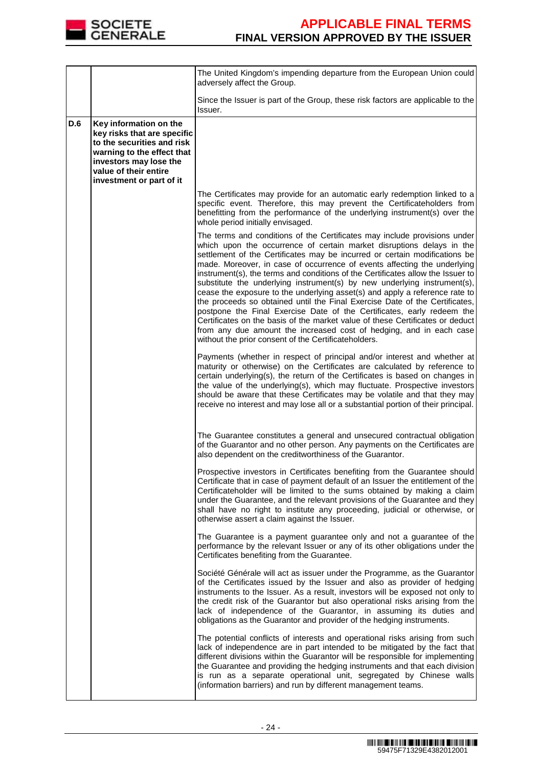

|     |                                                                                                                                                                                                  | The United Kingdom's impending departure from the European Union could<br>adversely affect the Group.                                                                                                                                                                                                                                                                                                                                                                                                                                                                                                                                                                                                                                                                                                                                                                                                                               |
|-----|--------------------------------------------------------------------------------------------------------------------------------------------------------------------------------------------------|-------------------------------------------------------------------------------------------------------------------------------------------------------------------------------------------------------------------------------------------------------------------------------------------------------------------------------------------------------------------------------------------------------------------------------------------------------------------------------------------------------------------------------------------------------------------------------------------------------------------------------------------------------------------------------------------------------------------------------------------------------------------------------------------------------------------------------------------------------------------------------------------------------------------------------------|
|     |                                                                                                                                                                                                  | Since the Issuer is part of the Group, these risk factors are applicable to the<br>Issuer.                                                                                                                                                                                                                                                                                                                                                                                                                                                                                                                                                                                                                                                                                                                                                                                                                                          |
| D.6 | Key information on the<br>key risks that are specific<br>to the securities and risk<br>warning to the effect that<br>investors may lose the<br>value of their entire<br>investment or part of it |                                                                                                                                                                                                                                                                                                                                                                                                                                                                                                                                                                                                                                                                                                                                                                                                                                                                                                                                     |
|     |                                                                                                                                                                                                  | The Certificates may provide for an automatic early redemption linked to a<br>specific event. Therefore, this may prevent the Certificateholders from<br>benefitting from the performance of the underlying instrument(s) over the<br>whole period initially envisaged.                                                                                                                                                                                                                                                                                                                                                                                                                                                                                                                                                                                                                                                             |
|     |                                                                                                                                                                                                  | The terms and conditions of the Certificates may include provisions under<br>which upon the occurrence of certain market disruptions delays in the<br>settlement of the Certificates may be incurred or certain modifications be<br>made. Moreover, in case of occurrence of events affecting the underlying<br>instrument(s), the terms and conditions of the Certificates allow the Issuer to<br>substitute the underlying instrument(s) by new underlying instrument(s),<br>cease the exposure to the underlying asset(s) and apply a reference rate to<br>the proceeds so obtained until the Final Exercise Date of the Certificates,<br>postpone the Final Exercise Date of the Certificates, early redeem the<br>Certificates on the basis of the market value of these Certificates or deduct<br>from any due amount the increased cost of hedging, and in each case<br>without the prior consent of the Certificateholders. |
|     |                                                                                                                                                                                                  | Payments (whether in respect of principal and/or interest and whether at<br>maturity or otherwise) on the Certificates are calculated by reference to<br>certain underlying(s), the return of the Certificates is based on changes in<br>the value of the underlying(s), which may fluctuate. Prospective investors<br>should be aware that these Certificates may be volatile and that they may<br>receive no interest and may lose all or a substantial portion of their principal.                                                                                                                                                                                                                                                                                                                                                                                                                                               |
|     |                                                                                                                                                                                                  | The Guarantee constitutes a general and unsecured contractual obligation<br>of the Guarantor and no other person. Any payments on the Certificates are<br>also dependent on the creditworthiness of the Guarantor.                                                                                                                                                                                                                                                                                                                                                                                                                                                                                                                                                                                                                                                                                                                  |
|     |                                                                                                                                                                                                  | Prospective investors in Certificates benefiting from the Guarantee should<br>Certificate that in case of payment default of an Issuer the entitlement of the<br>Certificateholder will be limited to the sums obtained by making a claim<br>under the Guarantee, and the relevant provisions of the Guarantee and they<br>shall have no right to institute any proceeding, judicial or otherwise, or<br>otherwise assert a claim against the Issuer.                                                                                                                                                                                                                                                                                                                                                                                                                                                                               |
|     |                                                                                                                                                                                                  | The Guarantee is a payment guarantee only and not a guarantee of the<br>performance by the relevant Issuer or any of its other obligations under the<br>Certificates benefiting from the Guarantee.                                                                                                                                                                                                                                                                                                                                                                                                                                                                                                                                                                                                                                                                                                                                 |
|     |                                                                                                                                                                                                  | Société Générale will act as issuer under the Programme, as the Guarantor<br>of the Certificates issued by the Issuer and also as provider of hedging<br>instruments to the Issuer. As a result, investors will be exposed not only to<br>the credit risk of the Guarantor but also operational risks arising from the<br>lack of independence of the Guarantor, in assuming its duties and<br>obligations as the Guarantor and provider of the hedging instruments.                                                                                                                                                                                                                                                                                                                                                                                                                                                                |
|     |                                                                                                                                                                                                  | The potential conflicts of interests and operational risks arising from such<br>lack of independence are in part intended to be mitigated by the fact that<br>different divisions within the Guarantor will be responsible for implementing<br>the Guarantee and providing the hedging instruments and that each division<br>is run as a separate operational unit, segregated by Chinese walls<br>(information barriers) and run by different management teams.                                                                                                                                                                                                                                                                                                                                                                                                                                                                    |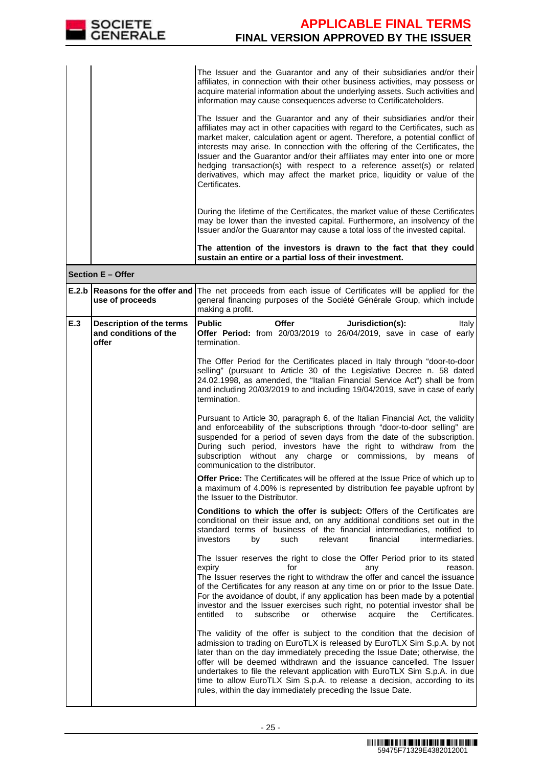|     | <b>SOCIETE</b><br><b>GENERALE</b>                          | <b>APPLICABLE FINAL TERMS</b><br><b>FINAL VERSION APPROVED BY THE ISSUER</b>                                                                                                                                                                                                                                                                                                                                                                                                                                                                                                       |
|-----|------------------------------------------------------------|------------------------------------------------------------------------------------------------------------------------------------------------------------------------------------------------------------------------------------------------------------------------------------------------------------------------------------------------------------------------------------------------------------------------------------------------------------------------------------------------------------------------------------------------------------------------------------|
|     |                                                            |                                                                                                                                                                                                                                                                                                                                                                                                                                                                                                                                                                                    |
|     |                                                            | The Issuer and the Guarantor and any of their subsidiaries and/or their<br>affiliates, in connection with their other business activities, may possess or<br>acquire material information about the underlying assets. Such activities and<br>information may cause consequences adverse to Certificateholders.                                                                                                                                                                                                                                                                    |
|     |                                                            | The Issuer and the Guarantor and any of their subsidiaries and/or their<br>affiliates may act in other capacities with regard to the Certificates, such as<br>market maker, calculation agent or agent. Therefore, a potential conflict of<br>interests may arise. In connection with the offering of the Certificates, the<br>Issuer and the Guarantor and/or their affiliates may enter into one or more<br>hedging transaction(s) with respect to a reference asset(s) or related<br>derivatives, which may affect the market price, liquidity or value of the<br>Certificates. |
|     |                                                            | During the lifetime of the Certificates, the market value of these Certificates<br>may be lower than the invested capital. Furthermore, an insolvency of the<br>Issuer and/or the Guarantor may cause a total loss of the invested capital.                                                                                                                                                                                                                                                                                                                                        |
|     |                                                            | The attention of the investors is drawn to the fact that they could<br>sustain an entire or a partial loss of their investment.                                                                                                                                                                                                                                                                                                                                                                                                                                                    |
|     | <b>Section E - Offer</b>                                   |                                                                                                                                                                                                                                                                                                                                                                                                                                                                                                                                                                                    |
|     | use of proceeds                                            | <b>E.2.b Reasons for the offer and The net proceeds from each issue of Certificates will be applied for the</b><br>general financing purposes of the Société Générale Group, which include<br>making a profit.                                                                                                                                                                                                                                                                                                                                                                     |
| E.3 | Description of the terms<br>and conditions of the<br>offer | <b>Public</b><br><b>Offer</b><br>Jurisdiction(s):<br>Italy<br>Offer Period: from 20/03/2019 to 26/04/2019, save in case of early<br>termination.                                                                                                                                                                                                                                                                                                                                                                                                                                   |
|     |                                                            | The Offer Period for the Certificates placed in Italy through "door-to-door<br>selling" (pursuant to Article 30 of the Legislative Decree n. 58 dated<br>24.02.1998, as amended, the "Italian Financial Service Act") shall be from<br>and including 20/03/2019 to and including 19/04/2019, save in case of early<br>termination.                                                                                                                                                                                                                                                 |
|     |                                                            | Pursuant to Article 30, paragraph 6, of the Italian Financial Act, the validity<br>and enforceability of the subscriptions through "door-to-door selling" are<br>suspended for a period of seven days from the date of the subscription.<br>During such period, investors have the right to withdraw from the<br>subscription without any charge or commissions,<br>by means<br>of<br>communication to the distributor.                                                                                                                                                            |
|     |                                                            | Offer Price: The Certificates will be offered at the Issue Price of which up to<br>a maximum of 4.00% is represented by distribution fee payable upfront by<br>the Issuer to the Distributor.                                                                                                                                                                                                                                                                                                                                                                                      |
|     |                                                            | Conditions to which the offer is subject: Offers of the Certificates are<br>conditional on their issue and, on any additional conditions set out in the<br>standard terms of business of the financial intermediaries, notified to<br>such<br>relevant<br>financial<br>intermediaries.<br>investors<br>by                                                                                                                                                                                                                                                                          |
|     |                                                            | The Issuer reserves the right to close the Offer Period prior to its stated<br>expiry<br>for<br>reason.<br>any<br>The Issuer reserves the right to withdraw the offer and cancel the issuance<br>of the Certificates for any reason at any time on or prior to the Issue Date.<br>For the avoidance of doubt, if any application has been made by a potential<br>investor and the Issuer exercises such right, no potential investor shall be<br>entitled<br>subscribe<br>otherwise<br>acquire<br>Certificates.<br>to<br>or<br>the                                                 |
|     |                                                            | The validity of the offer is subject to the condition that the decision of<br>admission to trading on EuroTLX is released by EuroTLX Sim S.p.A. by not<br>later than on the day immediately preceding the Issue Date; otherwise, the<br>offer will be deemed withdrawn and the issuance cancelled. The Issuer<br>undertakes to file the relevant application with EuroTLX Sim S.p.A. in due<br>time to allow EuroTLX Sim S.p.A. to release a decision, according to its<br>rules, within the day immediately preceding the Issue Date.                                             |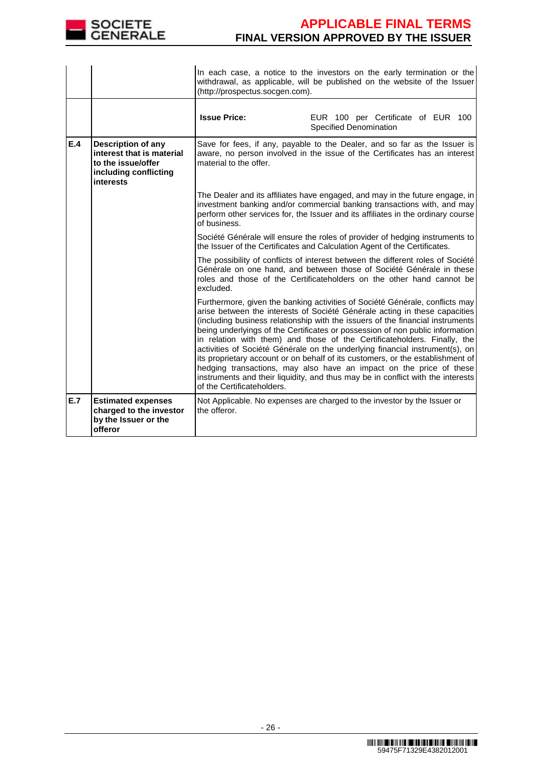

|     |                                                                                                                    | In each case, a notice to the investors on the early termination or the<br>withdrawal, as applicable, will be published on the website of the Issuer<br>(http://prospectus.socgen.com). |                                                                                                                                                                                                                                                                                                                                                                                                                                                                                                                                                                                                                                                                                                                                       |  |
|-----|--------------------------------------------------------------------------------------------------------------------|-----------------------------------------------------------------------------------------------------------------------------------------------------------------------------------------|---------------------------------------------------------------------------------------------------------------------------------------------------------------------------------------------------------------------------------------------------------------------------------------------------------------------------------------------------------------------------------------------------------------------------------------------------------------------------------------------------------------------------------------------------------------------------------------------------------------------------------------------------------------------------------------------------------------------------------------|--|
|     |                                                                                                                    | <b>Issue Price:</b>                                                                                                                                                                     | EUR 100 per Certificate of EUR 100<br>Specified Denomination                                                                                                                                                                                                                                                                                                                                                                                                                                                                                                                                                                                                                                                                          |  |
| E.4 | Description of any<br>interest that is material<br>to the issue/offer<br>including conflicting<br><b>interests</b> | Save for fees, if any, payable to the Dealer, and so far as the Issuer is<br>aware, no person involved in the issue of the Certificates has an interest<br>material to the offer.       |                                                                                                                                                                                                                                                                                                                                                                                                                                                                                                                                                                                                                                                                                                                                       |  |
|     |                                                                                                                    | of business.                                                                                                                                                                            | The Dealer and its affiliates have engaged, and may in the future engage, in<br>investment banking and/or commercial banking transactions with, and may<br>perform other services for, the Issuer and its affiliates in the ordinary course                                                                                                                                                                                                                                                                                                                                                                                                                                                                                           |  |
|     |                                                                                                                    |                                                                                                                                                                                         | Société Générale will ensure the roles of provider of hedging instruments to<br>the Issuer of the Certificates and Calculation Agent of the Certificates.                                                                                                                                                                                                                                                                                                                                                                                                                                                                                                                                                                             |  |
|     |                                                                                                                    | excluded.                                                                                                                                                                               | The possibility of conflicts of interest between the different roles of Société<br>Générale on one hand, and between those of Société Générale in these<br>roles and those of the Certificateholders on the other hand cannot be                                                                                                                                                                                                                                                                                                                                                                                                                                                                                                      |  |
|     |                                                                                                                    | of the Certificateholders.                                                                                                                                                              | Furthermore, given the banking activities of Société Générale, conflicts may<br>arise between the interests of Société Générale acting in these capacities<br>(including business relationship with the issuers of the financial instruments<br>being underlyings of the Certificates or possession of non public information<br>in relation with them) and those of the Certificateholders. Finally, the<br>activities of Société Générale on the underlying financial instrument(s), on<br>its proprietary account or on behalf of its customers, or the establishment of<br>hedging transactions, may also have an impact on the price of these<br>instruments and their liquidity, and thus may be in conflict with the interests |  |
| E.7 | <b>Estimated expenses</b><br>charged to the investor<br>by the Issuer or the<br>offeror                            | the offeror.                                                                                                                                                                            | Not Applicable. No expenses are charged to the investor by the Issuer or                                                                                                                                                                                                                                                                                                                                                                                                                                                                                                                                                                                                                                                              |  |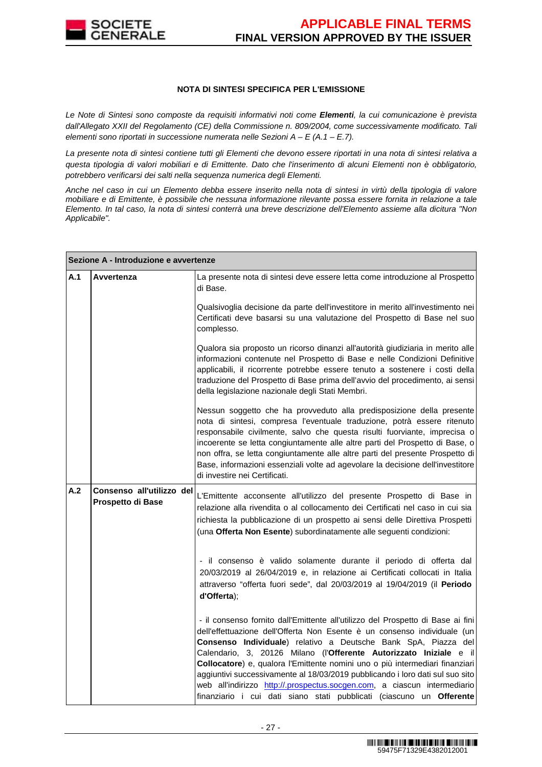

### **NOTA DI SINTESI SPECIFICA PER L'EMISSIONE**

Le Note di Sintesi sono composte da requisiti informativi noti come **Elementi**, la cui comunicazione è prevista dall'Allegato XXII del Regolamento (CE) della Commissione n. 809/2004, come successivamente modificato. Tali elementi sono riportati in successione numerata nelle Sezioni  $A - E(A.1 - E.7)$ .

La presente nota di sintesi contiene tutti gli Elementi che devono essere riportati in una nota di sintesi relativa a questa tipologia di valori mobiliari e di Emittente. Dato che l'inserimento di alcuni Elementi non è obbligatorio, potrebbero verificarsi dei salti nella sequenza numerica degli Elementi.

Anche nel caso in cui un Elemento debba essere inserito nella nota di sintesi in virtù della tipologia di valore mobiliare e di Emittente, è possibile che nessuna informazione rilevante possa essere fornita in relazione a tale Elemento. In tal caso, la nota di sintesi conterrà una breve descrizione dell'Elemento assieme alla dicitura "Non Applicabile".

|     | Sezione A - Introduzione e avvertenze          |                                                                                                                                                                                                                                                                                                                                                                                                                                                                                                                                                                                                                          |
|-----|------------------------------------------------|--------------------------------------------------------------------------------------------------------------------------------------------------------------------------------------------------------------------------------------------------------------------------------------------------------------------------------------------------------------------------------------------------------------------------------------------------------------------------------------------------------------------------------------------------------------------------------------------------------------------------|
| A.1 | Avvertenza                                     | La presente nota di sintesi deve essere letta come introduzione al Prospetto<br>di Base.                                                                                                                                                                                                                                                                                                                                                                                                                                                                                                                                 |
|     |                                                | Qualsivoglia decisione da parte dell'investitore in merito all'investimento nei<br>Certificati deve basarsi su una valutazione del Prospetto di Base nel suo<br>complesso.                                                                                                                                                                                                                                                                                                                                                                                                                                               |
|     |                                                | Qualora sia proposto un ricorso dinanzi all'autorità giudiziaria in merito alle<br>informazioni contenute nel Prospetto di Base e nelle Condizioni Definitive<br>applicabili, il ricorrente potrebbe essere tenuto a sostenere i costi della<br>traduzione del Prospetto di Base prima dell'avvio del procedimento, ai sensi<br>della legislazione nazionale degli Stati Membri.                                                                                                                                                                                                                                         |
|     |                                                | Nessun soggetto che ha provveduto alla predisposizione della presente<br>nota di sintesi, compresa l'eventuale traduzione, potrà essere ritenuto<br>responsabile civilmente, salvo che questa risulti fuorviante, imprecisa o<br>incoerente se letta congiuntamente alle altre parti del Prospetto di Base, o<br>non offra, se letta congiuntamente alle altre parti del presente Prospetto di<br>Base, informazioni essenziali volte ad agevolare la decisione dell'investitore<br>di investire nei Certificati.                                                                                                        |
| A.2 | Consenso all'utilizzo del<br>Prospetto di Base | L'Emittente acconsente all'utilizzo del presente Prospetto di Base in<br>relazione alla rivendita o al collocamento dei Certificati nel caso in cui sia<br>richiesta la pubblicazione di un prospetto ai sensi delle Direttiva Prospetti<br>(una Offerta Non Esente) subordinatamente alle seguenti condizioni:                                                                                                                                                                                                                                                                                                          |
|     |                                                | - il consenso è valido solamente durante il periodo di offerta dal<br>20/03/2019 al 26/04/2019 e, in relazione ai Certificati collocati in Italia<br>attraverso "offerta fuori sede", dal 20/03/2019 al 19/04/2019 (il Periodo<br>d'Offerta);                                                                                                                                                                                                                                                                                                                                                                            |
|     |                                                | - il consenso fornito dall'Emittente all'utilizzo del Prospetto di Base ai fini<br>dell'effettuazione dell'Offerta Non Esente è un consenso individuale (un<br>Consenso Individuale) relativo a Deutsche Bank SpA, Piazza del<br>Calendario, 3, 20126 Milano (l'Offerente Autorizzato Iniziale e il<br>Collocatore) e, qualora l'Emittente nomini uno o più intermediari finanziari<br>aggiuntivi successivamente al 18/03/2019 pubblicando i loro dati sul suo sito<br>web all'indirizzo http://.prospectus.socgen.com, a ciascun intermediario<br>finanziario i cui dati siano stati pubblicati (ciascuno un Offerente |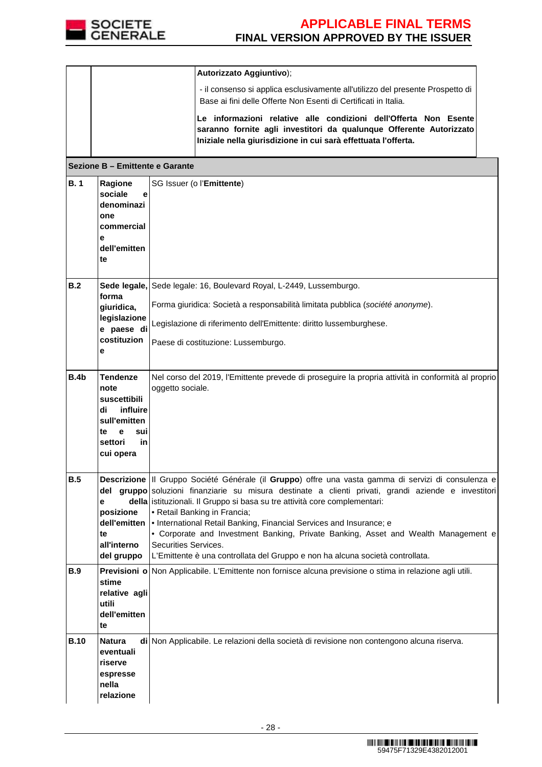

|             |                                                                                       |                                                                                                    | Autorizzato Aggiuntivo);                                                                                                                                                                                                                                                                                                                                                                                                                                                                                                                                                 |  |
|-------------|---------------------------------------------------------------------------------------|----------------------------------------------------------------------------------------------------|--------------------------------------------------------------------------------------------------------------------------------------------------------------------------------------------------------------------------------------------------------------------------------------------------------------------------------------------------------------------------------------------------------------------------------------------------------------------------------------------------------------------------------------------------------------------------|--|
|             |                                                                                       |                                                                                                    | - il consenso si applica esclusivamente all'utilizzo del presente Prospetto di<br>Base ai fini delle Offerte Non Esenti di Certificati in Italia.                                                                                                                                                                                                                                                                                                                                                                                                                        |  |
|             |                                                                                       |                                                                                                    | Le informazioni relative alle condizioni dell'Offerta Non Esente<br>saranno fornite agli investitori da qualunque Offerente Autorizzato<br>Iniziale nella giurisdizione in cui sarà effettuata l'offerta.                                                                                                                                                                                                                                                                                                                                                                |  |
|             | Sezione B - Emittente e Garante                                                       |                                                                                                    |                                                                                                                                                                                                                                                                                                                                                                                                                                                                                                                                                                          |  |
| <b>B.1</b>  | Ragione<br>sociale<br>е<br>denominazi<br>one<br>commercial<br>е<br>dell'emitten<br>te |                                                                                                    | SG Issuer (o l'Emittente)                                                                                                                                                                                                                                                                                                                                                                                                                                                                                                                                                |  |
| B.2         | forma                                                                                 |                                                                                                    | Sede legale, Sede legale: 16, Boulevard Royal, L-2449, Lussemburgo.                                                                                                                                                                                                                                                                                                                                                                                                                                                                                                      |  |
|             | giuridica,<br>legislazione<br>e paese di<br>costituzion<br>е                          |                                                                                                    | Forma giuridica: Società a responsabilità limitata pubblica (société anonyme).                                                                                                                                                                                                                                                                                                                                                                                                                                                                                           |  |
|             |                                                                                       |                                                                                                    | Legislazione di riferimento dell'Emittente: diritto lussemburghese.                                                                                                                                                                                                                                                                                                                                                                                                                                                                                                      |  |
|             |                                                                                       |                                                                                                    | Paese di costituzione: Lussemburgo.                                                                                                                                                                                                                                                                                                                                                                                                                                                                                                                                      |  |
| <b>B.4b</b> | <b>Tendenze</b>                                                                       | Nel corso del 2019, l'Emittente prevede di proseguire la propria attività in conformità al proprio |                                                                                                                                                                                                                                                                                                                                                                                                                                                                                                                                                                          |  |
|             | note<br>suscettibili                                                                  | oggetto sociale.                                                                                   |                                                                                                                                                                                                                                                                                                                                                                                                                                                                                                                                                                          |  |
|             | influire<br>di<br>sull'emitten                                                        |                                                                                                    |                                                                                                                                                                                                                                                                                                                                                                                                                                                                                                                                                                          |  |
|             | e<br>te<br>sui<br>in<br>settori                                                       |                                                                                                    |                                                                                                                                                                                                                                                                                                                                                                                                                                                                                                                                                                          |  |
|             | cui opera                                                                             |                                                                                                    |                                                                                                                                                                                                                                                                                                                                                                                                                                                                                                                                                                          |  |
| B.5         | е<br>posizione<br>dell'emitten<br>te<br>all'interno<br>del gruppo                     | Securities Services.                                                                               | Descrizione III Gruppo Société Générale (il Gruppo) offre una vasta gamma di servizi di consulenza e<br>del gruppo soluzioni finanziarie su misura destinate a clienti privati, grandi aziende e investitori<br>della istituzionali. Il Gruppo si basa su tre attività core complementari:<br>• Retail Banking in Francia;<br>. International Retail Banking, Financial Services and Insurance; e<br>• Corporate and Investment Banking, Private Banking, Asset and Wealth Management e<br>L'Emittente è una controllata del Gruppo e non ha alcuna società controllata. |  |
| <b>B.9</b>  | stime                                                                                 |                                                                                                    | Previsioni o Non Applicabile. L'Emittente non fornisce alcuna previsione o stima in relazione agli utili.                                                                                                                                                                                                                                                                                                                                                                                                                                                                |  |
|             | relative agli<br>utili<br>dell'emitten<br>te                                          |                                                                                                    |                                                                                                                                                                                                                                                                                                                                                                                                                                                                                                                                                                          |  |
| <b>B.10</b> | <b>Natura</b><br>eventuali<br>riserve                                                 |                                                                                                    | di Non Applicabile. Le relazioni della società di revisione non contengono alcuna riserva.                                                                                                                                                                                                                                                                                                                                                                                                                                                                               |  |
|             | espresse<br>nella<br>relazione                                                        |                                                                                                    |                                                                                                                                                                                                                                                                                                                                                                                                                                                                                                                                                                          |  |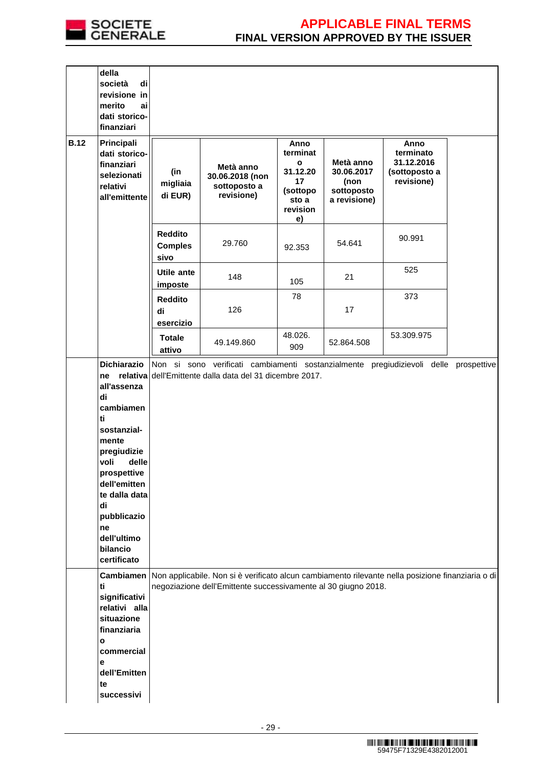

|             | della<br>di<br>società<br>revisione in<br>merito<br>ai<br>dati storico-<br>finanziari                                                                                                                                                                     |                                          |                                                                                                                                                                     |                                                                                           |                                                               |                                                                |             |
|-------------|-----------------------------------------------------------------------------------------------------------------------------------------------------------------------------------------------------------------------------------------------------------|------------------------------------------|---------------------------------------------------------------------------------------------------------------------------------------------------------------------|-------------------------------------------------------------------------------------------|---------------------------------------------------------------|----------------------------------------------------------------|-------------|
| <b>B.12</b> | Principali<br>dati storico-<br>finanziari<br>selezionati<br>relativi<br>all'emittente                                                                                                                                                                     | (in<br>migliaia<br>di EUR)               | Metà anno<br>30.06.2018 (non<br>sottoposto a<br>revisione)                                                                                                          | Anno<br>terminat<br>$\mathbf{o}$<br>31.12.20<br>17<br>(sottopo<br>sto a<br>revision<br>e) | Metà anno<br>30.06.2017<br>(non<br>sottoposto<br>a revisione) | Anno<br>terminato<br>31.12.2016<br>(sottoposto a<br>revisione) |             |
|             |                                                                                                                                                                                                                                                           | <b>Reddito</b><br><b>Comples</b><br>sivo | 29.760                                                                                                                                                              | 92.353                                                                                    | 54.641                                                        | 90.991                                                         |             |
|             |                                                                                                                                                                                                                                                           | Utile ante<br>imposte                    | 148                                                                                                                                                                 | 105                                                                                       | 21                                                            | 525                                                            |             |
|             |                                                                                                                                                                                                                                                           | <b>Reddito</b><br>di<br>esercizio        | 126                                                                                                                                                                 | 78                                                                                        | 17                                                            | 373                                                            |             |
|             |                                                                                                                                                                                                                                                           | <b>Totale</b><br>attivo                  | 49.149.860                                                                                                                                                          | 48.026.<br>909                                                                            | 52.864.508                                                    | 53.309.975                                                     |             |
|             | <b>Dichiarazio</b><br>relativa<br>ne<br>all'assenza<br>di<br>cambiamen<br>ti<br>sostanzial-<br>mente<br>pregiudizie<br>voli<br>delle<br>prospettive<br>dell'emitten<br>te dalla data<br>di<br>pubblicazio<br>ne<br>dell'ultimo<br>bilancio<br>certificato |                                          | Non si sono verificati cambiamenti sostanzialmente pregiudizievoli delle<br>dell'Emittente dalla data del 31 dicembre 2017.                                         |                                                                                           |                                                               |                                                                | prospettive |
|             | Cambiamen<br>ti<br>significativi<br>relativi alla<br>situazione<br>finanziaria<br>$\mathbf{o}$<br>commercial<br>е<br>dell'Emitten<br>te<br>successivi                                                                                                     |                                          | Non applicabile. Non si è verificato alcun cambiamento rilevante nella posizione finanziaria o di<br>negoziazione dell'Emittente successivamente al 30 giugno 2018. |                                                                                           |                                                               |                                                                |             |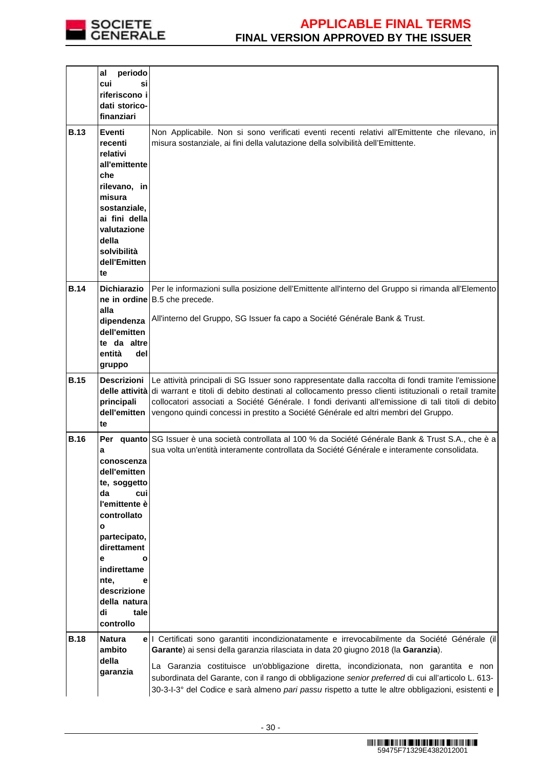

|             | periodo<br>al<br>cui<br>si<br>riferiscono i<br>dati storico-<br>finanziari                                                                                                                                                       |                                                                                                                                                                                                                                                                                                                                                                                                                                                                                       |
|-------------|----------------------------------------------------------------------------------------------------------------------------------------------------------------------------------------------------------------------------------|---------------------------------------------------------------------------------------------------------------------------------------------------------------------------------------------------------------------------------------------------------------------------------------------------------------------------------------------------------------------------------------------------------------------------------------------------------------------------------------|
| <b>B.13</b> | Eventi<br>recenti<br>relativi<br>all'emittente<br>che<br>rilevano, in<br>misura<br>sostanziale,<br>ai fini della<br>valutazione<br>della<br>solvibilità<br>dell'Emitten<br>te                                                    | Non Applicabile. Non si sono verificati eventi recenti relativi all'Emittente che rilevano, in<br>misura sostanziale, ai fini della valutazione della solvibilità dell'Emittente.                                                                                                                                                                                                                                                                                                     |
| <b>B.14</b> | <b>Dichiarazio</b><br>alla<br>dipendenza<br>dell'emitten<br>te da altre<br>entità<br>del<br>gruppo                                                                                                                               | Per le informazioni sulla posizione dell'Emittente all'interno del Gruppo si rimanda all'Elemento<br>ne in ordine B.5 che precede.<br>All'interno del Gruppo, SG Issuer fa capo a Société Générale Bank & Trust.                                                                                                                                                                                                                                                                      |
| <b>B.15</b> | <b>Descrizioni</b><br>principali<br>dell'emitten<br>te                                                                                                                                                                           | Le attività principali di SG Issuer sono rappresentate dalla raccolta di fondi tramite l'emissione<br>delle attività di warrant e titoli di debito destinati al collocamento presso clienti istituzionali o retail tramite<br>collocatori associati a Société Générale. I fondi derivanti all'emissione di tali titoli di debito<br>vengono quindi concessi in prestito a Société Générale ed altri membri del Gruppo.                                                                |
| <b>B.16</b> | a<br>conoscenza<br>dell'emitten<br>te, soggetto<br>da<br>cui<br>l'emittente è<br>controllato<br>o<br>partecipato,<br>direttament<br>е<br>o<br>indirettame<br>nte,<br>e<br>descrizione<br>della natura<br>di<br>tale<br>controllo | Per quanto SG Issuer è una società controllata al 100 % da Société Générale Bank & Trust S.A., che è a<br>sua volta un'entità interamente controllata da Société Générale e interamente consolidata.                                                                                                                                                                                                                                                                                  |
| <b>B.18</b> | <b>Natura</b><br>ambito<br>della<br>garanzia                                                                                                                                                                                     | e I Certificati sono garantiti incondizionatamente e irrevocabilmente da Société Générale (il<br>Garante) ai sensi della garanzia rilasciata in data 20 giugno 2018 (la Garanzia).<br>La Garanzia costituisce un'obbligazione diretta, incondizionata, non garantita e non<br>subordinata del Garante, con il rango di obbligazione senior preferred di cui all'articolo L. 613-<br>30-3-I-3° del Codice e sarà almeno pari passu rispetto a tutte le altre obbligazioni, esistenti e |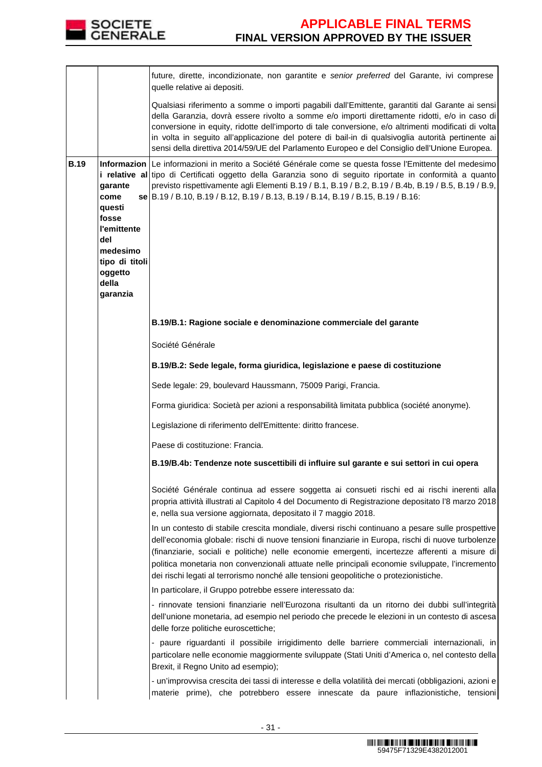

|             |                                                                                                                        | future, dirette, incondizionate, non garantite e senior preferred del Garante, ivi comprese<br>quelle relative ai depositi.                                                                                                                                                                                                                                                                                                                                                                                  |
|-------------|------------------------------------------------------------------------------------------------------------------------|--------------------------------------------------------------------------------------------------------------------------------------------------------------------------------------------------------------------------------------------------------------------------------------------------------------------------------------------------------------------------------------------------------------------------------------------------------------------------------------------------------------|
|             |                                                                                                                        | Qualsiasi riferimento a somme o importi pagabili dall'Emittente, garantiti dal Garante ai sensi<br>della Garanzia, dovrà essere rivolto a somme e/o importi direttamente ridotti, e/o in caso di<br>conversione in equity, ridotte dell'importo di tale conversione, e/o altrimenti modificati di volta<br>in volta in seguito all'applicazione del potere di bail-in di qualsivoglia autorità pertinente ai<br>sensi della direttiva 2014/59/UE del Parlamento Europeo e del Consiglio dell'Unione Europea. |
| <b>B.19</b> | garante<br>come<br>questi<br>fosse<br>l'emittente<br>del<br>medesimo<br>tipo di titoli<br>oggetto<br>della<br>garanzia | Informazion Le informazioni in merito a Société Générale come se questa fosse l'Emittente del medesimo<br>i relative al tipo di Certificati oggetto della Garanzia sono di seguito riportate in conformità a quanto<br>previsto rispettivamente agli Elementi B.19 / B.1, B.19 / B.2, B.19 / B.4b, B.19 / B.5, B.19 / B.9,<br>se   B.19 / B.10, B.19 / B.12, B.19 / B.13, B.19 / B.14, B.19 / B.15, B.19 / B.16:                                                                                             |
|             |                                                                                                                        | B.19/B.1: Ragione sociale e denominazione commerciale del garante                                                                                                                                                                                                                                                                                                                                                                                                                                            |
|             |                                                                                                                        | Société Générale                                                                                                                                                                                                                                                                                                                                                                                                                                                                                             |
|             |                                                                                                                        | B.19/B.2: Sede legale, forma giuridica, legislazione e paese di costituzione                                                                                                                                                                                                                                                                                                                                                                                                                                 |
|             |                                                                                                                        | Sede legale: 29, boulevard Haussmann, 75009 Parigi, Francia.                                                                                                                                                                                                                                                                                                                                                                                                                                                 |
|             |                                                                                                                        | Forma giuridica: Società per azioni a responsabilità limitata pubblica (société anonyme).                                                                                                                                                                                                                                                                                                                                                                                                                    |
|             |                                                                                                                        | Legislazione di riferimento dell'Emittente: diritto francese.                                                                                                                                                                                                                                                                                                                                                                                                                                                |
|             |                                                                                                                        | Paese di costituzione: Francia.                                                                                                                                                                                                                                                                                                                                                                                                                                                                              |
|             |                                                                                                                        | B.19/B.4b: Tendenze note suscettibili di influire sul garante e sui settori in cui opera                                                                                                                                                                                                                                                                                                                                                                                                                     |
|             |                                                                                                                        | Société Générale continua ad essere soggetta ai consueti rischi ed ai rischi inerenti alla<br>propria attività illustrati al Capitolo 4 del Documento di Registrazione depositato l'8 marzo 2018<br>e, nella sua versione aggiornata, depositato il 7 maggio 2018.                                                                                                                                                                                                                                           |
|             |                                                                                                                        | In un contesto di stabile crescita mondiale, diversi rischi continuano a pesare sulle prospettive<br>dell'economia globale: rischi di nuove tensioni finanziarie in Europa, rischi di nuove turbolenze<br>(finanziarie, sociali e politiche) nelle economie emergenti, incertezze afferenti a misure di<br>politica monetaria non convenzionali attuate nelle principali economie sviluppate, l'incremento<br>dei rischi legati al terrorismo nonché alle tensioni geopolitiche o protezionistiche.          |
|             |                                                                                                                        | In particolare, il Gruppo potrebbe essere interessato da:<br>- rinnovate tensioni finanziarie nell'Eurozona risultanti da un ritorno dei dubbi sull'integrità                                                                                                                                                                                                                                                                                                                                                |
|             |                                                                                                                        | dell'unione monetaria, ad esempio nel periodo che precede le elezioni in un contesto di ascesa<br>delle forze politiche euroscettiche;                                                                                                                                                                                                                                                                                                                                                                       |
|             |                                                                                                                        | - paure riguardanti il possibile irrigidimento delle barriere commerciali internazionali, in<br>particolare nelle economie maggiormente sviluppate (Stati Uniti d'America o, nel contesto della<br>Brexit, il Regno Unito ad esempio);                                                                                                                                                                                                                                                                       |
|             |                                                                                                                        | - un'improvvisa crescita dei tassi di interesse e della volatilità dei mercati (obbligazioni, azioni e<br>materie prime), che potrebbero essere innescate da paure inflazionistiche, tensioni                                                                                                                                                                                                                                                                                                                |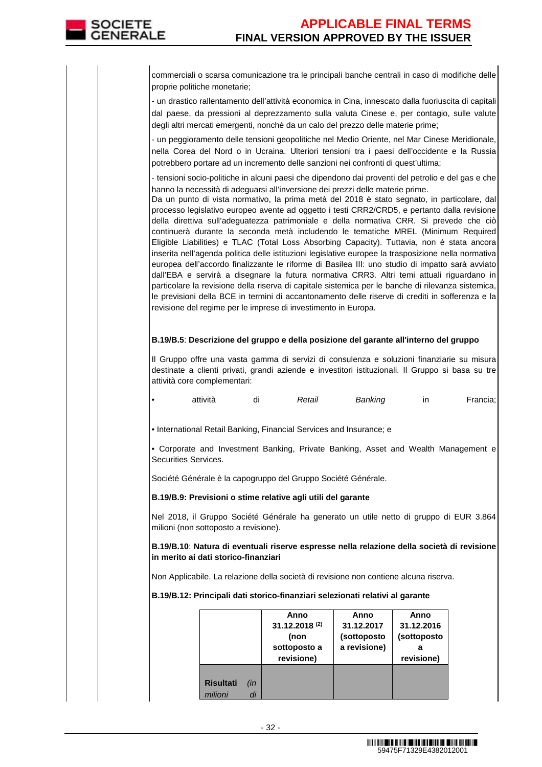commerciali o scarsa comunicazione tra le principali banche centrali in caso di modifiche delle proprie politiche monetarie;

- un drastico rallentamento dell'attività economica in Cina, innescato dalla fuoriuscita di capitali dal paese, da pressioni al deprezzamento sulla valuta Cinese e, per contagio, sulle valute degli altri mercati emergenti, nonché da un calo del prezzo delle materie prime;

- un peggioramento delle tensioni geopolitiche nel Medio Oriente, nel Mar Cinese Meridionale, nella Corea del Nord o in Ucraina. Ulteriori tensioni tra i paesi dell'occidente e la Russia potrebbero portare ad un incremento delle sanzioni nei confronti di quest'ultima;

- tensioni socio-politiche in alcuni paesi che dipendono dai proventi del petrolio e del gas e che hanno la necessità di adeguarsi all'inversione dei prezzi delle materie prime.

Da un punto di vista normativo, la prima metà del 2018 è stato segnato, in particolare, dal processo legislativo europeo avente ad oggetto i testi CRR2/CRD5, e pertanto dalla revisione della direttiva sull'adeguatezza patrimoniale e della normativa CRR. Si prevede che ciò continuerà durante la seconda metà includendo le tematiche MREL (Minimum Required Eligible Liabilities) e TLAC (Total Loss Absorbing Capacity). Tuttavia, non è stata ancora inserita nell'agenda politica delle istituzioni legislative europee la trasposizione nella normativa europea dell'accordo finalizzante le riforme di Basilea III: uno studio di impatto sarà avviato dall'EBA e servirà a disegnare la futura normativa CRR3. Altri temi attuali riguardano in particolare la revisione della riserva di capitale sistemica per le banche di rilevanza sistemica, le previsioni della BCE in termini di accantonamento delle riserve di crediti in sofferenza e la revisione del regime per le imprese di investimento in Europa.

### **B.19/B.5**: **Descrizione del gruppo e della posizione del garante all'interno del gruppo**

Il Gruppo offre una vasta gamma di servizi di consulenza e soluzioni finanziarie su misura destinate a clienti privati, grandi aziende e investitori istituzionali. Il Gruppo si basa su tre attività core complementari:

| Retail<br>attività<br>Banking |  |  |  |  |  |  | Francia; |
|-------------------------------|--|--|--|--|--|--|----------|
|-------------------------------|--|--|--|--|--|--|----------|

• International Retail Banking, Financial Services and Insurance; e

• Corporate and Investment Banking, Private Banking, Asset and Wealth Management e Securities Services.

Société Générale è la capogruppo del Gruppo Société Générale.

### **B.19/B.9: Previsioni o stime relative agli utili del garante**

Nel 2018, il Gruppo Société Générale ha generato un utile netto di gruppo di EUR 3.864 milioni (non sottoposto a revisione).

**B.19/B.10**: **Natura di eventuali riserve espresse nella relazione della società di revisione in merito ai dati storico-finanziari**

Non Applicabile. La relazione della società di revisione non contiene alcuna riserva.

**B.19/B.12: Principali dati storico-finanziari selezionati relativi al garante** 

|                             |     | Anno<br>31.12.2018 (2)<br>(non<br>sottoposto a<br>revisione) | Anno<br>31.12.2017<br>(sottoposto<br>a revisione) | Anno<br>31.12.2016<br>(sottoposto<br>revisione) |
|-----------------------------|-----|--------------------------------------------------------------|---------------------------------------------------|-------------------------------------------------|
| <b>Risultati</b><br>milioni | ín. |                                                              |                                                   |                                                 |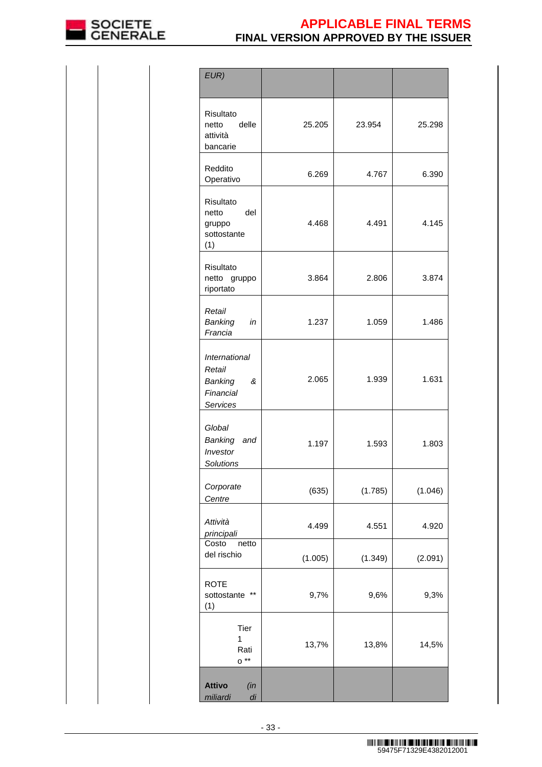

| EUR)                                                                           |         |         |         |
|--------------------------------------------------------------------------------|---------|---------|---------|
| Risultato<br>delle<br>netto<br>attività<br>bancarie                            | 25.205  | 23.954  | 25.298  |
| Reddito<br>Operativo                                                           | 6.269   | 4.767   | 6.390   |
| Risultato<br>del<br>netto<br>gruppo<br>sottostante<br>(1)                      | 4.468   | 4.491   | 4.145   |
| Risultato<br>netto gruppo<br>riportato                                         | 3.864   | 2.806   | 3.874   |
| Retail<br>Banking<br>in<br>Francia                                             | 1.237   | 1.059   | 1.486   |
| <i><b>International</b></i><br>Retail<br>Banking<br>&<br>Financial<br>Services | 2.065   | 1.939   | 1.631   |
| Global<br>Banking and<br>Investor<br>Solutions                                 | 1.197   | 1.593   | 1.803   |
| Corporate<br>Centre                                                            | (635)   | (1.785) | (1.046) |
| Attività<br>principali                                                         | 4.499   | 4.551   | 4.920   |
| netto<br>Costo<br>del rischio                                                  | (1.005) | (1.349) | (2.091) |
| <b>ROTE</b><br>$***$<br>sottostante<br>(1)                                     | 9,7%    | 9,6%    | 9,3%    |
| <b>Tier</b><br>1<br>Rati<br>$0**$                                              | 13,7%   | 13,8%   | 14,5%   |
| <b>Attivo</b><br>(in<br>miliardi<br>di                                         |         |         |         |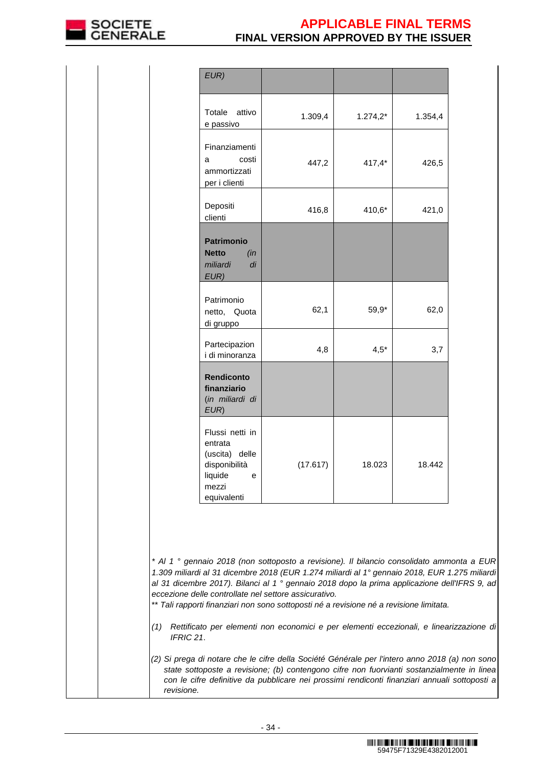

| EUR)                                                                                                  |          |            |         |
|-------------------------------------------------------------------------------------------------------|----------|------------|---------|
| Totale attivo<br>e passivo                                                                            | 1.309,4  | $1.274,2*$ | 1.354,4 |
| Finanziamenti<br>costi<br>a<br>ammortizzati<br>per i clienti                                          | 447,2    | $417,4*$   | 426,5   |
| Depositi<br>clienti                                                                                   | 416,8    | 410,6*     | 421,0   |
| <b>Patrimonio</b><br><b>Netto</b><br>(in<br>miliardi<br>di<br>EUR)                                    |          |            |         |
| Patrimonio<br>netto, Quota<br>di gruppo                                                               | 62,1     | 59,9*      | 62,0    |
| Partecipazion<br>i di minoranza                                                                       | 4,8      | $4,5*$     | 3,7     |
| <b>Rendiconto</b><br>finanziario<br>(in miliardi di<br>EUR)                                           |          |            |         |
| Flussi netti in<br>entrata<br>(uscita) delle<br>disponibilità<br>liquide<br>e<br>mezzi<br>equivalenti | (17.617) | 18.023     | 18.442  |

\* Al 1 ° gennaio 2018 (non sottoposto a revisione). Il bilancio consolidato ammonta a EUR 1.309 miliardi al 31 dicembre 2018 (EUR 1.274 miliardi al 1° gennaio 2018, EUR 1.275 miliardi al 31 dicembre 2017). Bilanci al 1 ° gennaio 2018 dopo la prima applicazione dell'IFRS 9, ad eccezione delle controllate nel settore assicurativo.

\*\* Tali rapporti finanziari non sono sottoposti né a revisione né a revisione limitata.

- (1) Rettificato per elementi non economici e per elementi eccezionali, e linearizzazione di IFRIC 21.
- (2) Si prega di notare che le cifre della Société Générale per l'intero anno 2018 (a) non sono state sottoposte a revisione; (b) contengono cifre non fuorvianti sostanzialmente in linea con le cifre definitive da pubblicare nei prossimi rendiconti finanziari annuali sottoposti a revisione.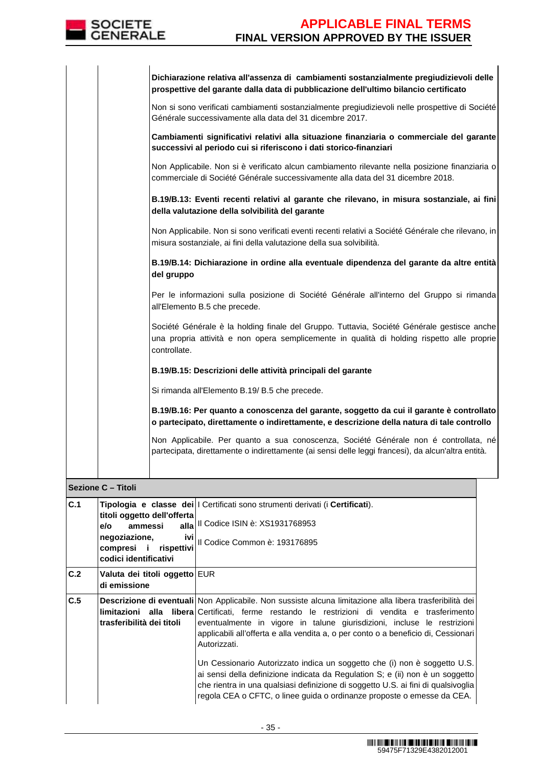

|                                                                        |                                               |                                                                                                                                                                                            | Dichiarazione relativa all'assenza di cambiamenti sostanzialmente pregiudizievoli delle<br>prospettive del garante dalla data di pubblicazione dell'ultimo bilancio certificato                                                                                                                                                                                                            |                                                                                           |  |  |
|------------------------------------------------------------------------|-----------------------------------------------|--------------------------------------------------------------------------------------------------------------------------------------------------------------------------------------------|--------------------------------------------------------------------------------------------------------------------------------------------------------------------------------------------------------------------------------------------------------------------------------------------------------------------------------------------------------------------------------------------|-------------------------------------------------------------------------------------------|--|--|
|                                                                        |                                               |                                                                                                                                                                                            | Non si sono verificati cambiamenti sostanzialmente pregiudizievoli nelle prospettive di Société<br>Générale successivamente alla data del 31 dicembre 2017.                                                                                                                                                                                                                                |                                                                                           |  |  |
|                                                                        |                                               |                                                                                                                                                                                            | Cambiamenti significativi relativi alla situazione finanziaria o commerciale del garante<br>successivi al periodo cui si riferiscono i dati storico-finanziari                                                                                                                                                                                                                             |                                                                                           |  |  |
|                                                                        |                                               |                                                                                                                                                                                            | Non Applicabile. Non si è verificato alcun cambiamento rilevante nella posizione finanziaria o<br>commerciale di Société Générale successivamente alla data del 31 dicembre 2018.                                                                                                                                                                                                          |                                                                                           |  |  |
|                                                                        |                                               |                                                                                                                                                                                            | B.19/B.13: Eventi recenti relativi al garante che rilevano, in misura sostanziale, ai fini<br>della valutazione della solvibilità del garante                                                                                                                                                                                                                                              |                                                                                           |  |  |
|                                                                        |                                               |                                                                                                                                                                                            | Non Applicabile. Non si sono verificati eventi recenti relativi a Société Générale che rilevano, in<br>misura sostanziale, ai fini della valutazione della sua solvibilità.                                                                                                                                                                                                                |                                                                                           |  |  |
|                                                                        |                                               | del gruppo                                                                                                                                                                                 | B.19/B.14: Dichiarazione in ordine alla eventuale dipendenza del garante da altre entità                                                                                                                                                                                                                                                                                                   |                                                                                           |  |  |
|                                                                        |                                               |                                                                                                                                                                                            | all'Elemento B.5 che precede.                                                                                                                                                                                                                                                                                                                                                              | Per le informazioni sulla posizione di Société Générale all'interno del Gruppo si rimanda |  |  |
|                                                                        |                                               | controllate.                                                                                                                                                                               | Société Générale è la holding finale del Gruppo. Tuttavia, Société Générale gestisce anche<br>una propria attività e non opera semplicemente in qualità di holding rispetto alle proprie                                                                                                                                                                                                   |                                                                                           |  |  |
|                                                                        |                                               |                                                                                                                                                                                            | B.19/B.15: Descrizioni delle attività principali del garante                                                                                                                                                                                                                                                                                                                               |                                                                                           |  |  |
|                                                                        |                                               |                                                                                                                                                                                            | Si rimanda all'Elemento B.19/ B.5 che precede.                                                                                                                                                                                                                                                                                                                                             |                                                                                           |  |  |
|                                                                        |                                               |                                                                                                                                                                                            | B.19/B.16: Per quanto a conoscenza del garante, soggetto da cui il garante è controllato<br>o partecipato, direttamente o indirettamente, e descrizione della natura di tale controllo                                                                                                                                                                                                     |                                                                                           |  |  |
|                                                                        |                                               | Non Applicabile. Per quanto a sua conoscenza, Société Générale non é controllata, né<br>partecipata, direttamente o indirettamente (ai sensi delle leggi francesi), da alcun'altra entità. |                                                                                                                                                                                                                                                                                                                                                                                            |                                                                                           |  |  |
|                                                                        | Sezione C - Titoli                            |                                                                                                                                                                                            |                                                                                                                                                                                                                                                                                                                                                                                            |                                                                                           |  |  |
| C.1                                                                    |                                               |                                                                                                                                                                                            | Tipologia e classe dei I Certificati sono strumenti derivati (i Certificati).                                                                                                                                                                                                                                                                                                              |                                                                                           |  |  |
|                                                                        | titoli oggetto dell'offerta                   |                                                                                                                                                                                            | alla II Codice ISIN è: XS1931768953                                                                                                                                                                                                                                                                                                                                                        |                                                                                           |  |  |
| e/o<br>ammessi<br>negoziazione,<br>compresi i<br>codici identificativi |                                               | ivi<br>rispettivi                                                                                                                                                                          | Il Codice Common è: 193176895                                                                                                                                                                                                                                                                                                                                                              |                                                                                           |  |  |
| C.2                                                                    | Valuta dei titoli oggetto EUR<br>di emissione |                                                                                                                                                                                            |                                                                                                                                                                                                                                                                                                                                                                                            |                                                                                           |  |  |
| C.5                                                                    | trasferibilità dei titoli                     |                                                                                                                                                                                            | Descrizione di eventuali Non Applicabile. Non sussiste alcuna limitazione alla libera trasferibilità dei<br>limitazioni alla libera Certificati, ferme restando le restrizioni di vendita e trasferimento<br>eventualmente in vigore in talune giurisdizioni, incluse le restrizioni<br>applicabili all'offerta e alla vendita a, o per conto o a beneficio di, Cessionari<br>Autorizzati. |                                                                                           |  |  |
|                                                                        |                                               |                                                                                                                                                                                            | Un Cessionario Autorizzato indica un soggetto che (i) non è soggetto U.S.<br>ai sensi della definizione indicata da Regulation S; e (ii) non è un soggetto<br>che rientra in una qualsiasi definizione di soggetto U.S. ai fini di qualsivoglia<br>regola CEA o CFTC, o linee guida o ordinanze proposte o emesse da CEA.                                                                  |                                                                                           |  |  |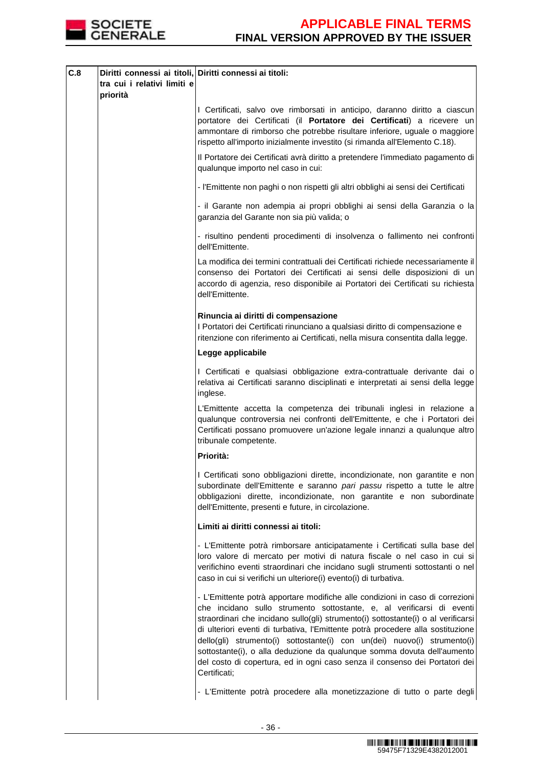

| C.8 | Diritti connessi ai titoli, Diritti connessi ai titoli:<br>tra cui i relativi limiti e<br>priorità |                                                                                                                                                                                                                                                                                                                                                                                                                                                                                                                                                                                      |
|-----|----------------------------------------------------------------------------------------------------|--------------------------------------------------------------------------------------------------------------------------------------------------------------------------------------------------------------------------------------------------------------------------------------------------------------------------------------------------------------------------------------------------------------------------------------------------------------------------------------------------------------------------------------------------------------------------------------|
|     |                                                                                                    | I Certificati, salvo ove rimborsati in anticipo, daranno diritto a ciascun<br>portatore dei Certificati (il Portatore dei Certificati) a ricevere un<br>ammontare di rimborso che potrebbe risultare inferiore, uguale o maggiore<br>rispetto all'importo inizialmente investito (si rimanda all'Elemento C.18).                                                                                                                                                                                                                                                                     |
|     |                                                                                                    | Il Portatore dei Certificati avrà diritto a pretendere l'immediato pagamento di<br>qualunque importo nel caso in cui:                                                                                                                                                                                                                                                                                                                                                                                                                                                                |
|     |                                                                                                    | - l'Emittente non paghi o non rispetti gli altri obblighi ai sensi dei Certificati                                                                                                                                                                                                                                                                                                                                                                                                                                                                                                   |
|     |                                                                                                    | - il Garante non adempia ai propri obblighi ai sensi della Garanzia o la<br>garanzia del Garante non sia più valida; o                                                                                                                                                                                                                                                                                                                                                                                                                                                               |
|     |                                                                                                    | - risultino pendenti procedimenti di insolvenza o fallimento nei confronti<br>dell'Emittente.                                                                                                                                                                                                                                                                                                                                                                                                                                                                                        |
|     |                                                                                                    | La modifica dei termini contrattuali dei Certificati richiede necessariamente il<br>consenso dei Portatori dei Certificati ai sensi delle disposizioni di un<br>accordo di agenzia, reso disponibile ai Portatori dei Certificati su richiesta<br>dell'Emittente.                                                                                                                                                                                                                                                                                                                    |
|     |                                                                                                    | Rinuncia ai diritti di compensazione<br>I Portatori dei Certificati rinunciano a qualsiasi diritto di compensazione e<br>ritenzione con riferimento ai Certificati, nella misura consentita dalla legge.                                                                                                                                                                                                                                                                                                                                                                             |
|     |                                                                                                    | Legge applicabile                                                                                                                                                                                                                                                                                                                                                                                                                                                                                                                                                                    |
|     |                                                                                                    | I Certificati e qualsiasi obbligazione extra-contrattuale derivante dai o<br>relativa ai Certificati saranno disciplinati e interpretati ai sensi della legge<br>inglese.                                                                                                                                                                                                                                                                                                                                                                                                            |
|     |                                                                                                    | L'Emittente accetta la competenza dei tribunali inglesi in relazione a<br>qualunque controversia nei confronti dell'Emittente, e che i Portatori dei<br>Certificati possano promuovere un'azione legale innanzi a qualunque altro<br>tribunale competente.                                                                                                                                                                                                                                                                                                                           |
|     |                                                                                                    | Priorità:                                                                                                                                                                                                                                                                                                                                                                                                                                                                                                                                                                            |
|     |                                                                                                    | I Certificati sono obbligazioni dirette, incondizionate, non garantite e non<br>subordinate dell'Emittente e saranno pari passu rispetto a tutte le altre<br>obbligazioni dirette, incondizionate, non garantite e non subordinate<br>dell'Emittente, presenti e future, in circolazione.                                                                                                                                                                                                                                                                                            |
|     |                                                                                                    | Limiti ai diritti connessi ai titoli:                                                                                                                                                                                                                                                                                                                                                                                                                                                                                                                                                |
|     |                                                                                                    | - L'Emittente potrà rimborsare anticipatamente i Certificati sulla base del<br>loro valore di mercato per motivi di natura fiscale o nel caso in cui si<br>verifichino eventi straordinari che incidano sugli strumenti sottostanti o nel<br>caso in cui si verifichi un ulteriore(i) evento(i) di turbativa.                                                                                                                                                                                                                                                                        |
|     |                                                                                                    | - L'Emittente potrà apportare modifiche alle condizioni in caso di correzioni<br>che incidano sullo strumento sottostante, e, al verificarsi di eventi<br>straordinari che incidano sullo(gli) strumento(i) sottostante(i) o al verificarsi<br>di ulteriori eventi di turbativa, l'Emittente potrà procedere alla sostituzione<br>dello(gli) strumento(i) sottostante(i) con un(dei) nuovo(i) strumento(i)<br>sottostante(i), o alla deduzione da qualunque somma dovuta dell'aumento<br>del costo di copertura, ed in ogni caso senza il consenso dei Portatori dei<br>Certificati; |
|     |                                                                                                    | - L'Emittente potrà procedere alla monetizzazione di tutto o parte degli                                                                                                                                                                                                                                                                                                                                                                                                                                                                                                             |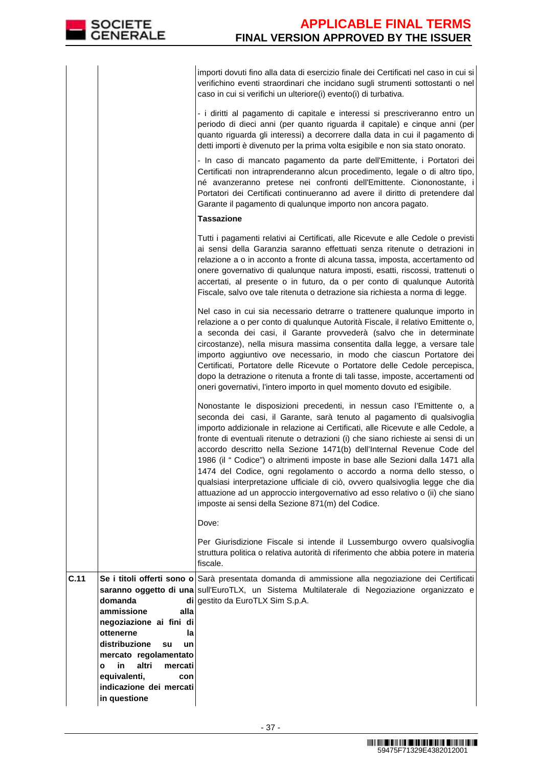importi dovuti fino alla data di esercizio finale dei Certificati nel caso in cui si verifichino eventi straordinari che incidano sugli strumenti sottostanti o nel caso in cui si verifichi un ulteriore(i) evento(i) di turbativa.

- i diritti al pagamento di capitale e interessi si prescriveranno entro un periodo di dieci anni (per quanto riguarda il capitale) e cinque anni (per quanto riguarda gli interessi) a decorrere dalla data in cui il pagamento di detti importi è divenuto per la prima volta esigibile e non sia stato onorato.

 - In caso di mancato pagamento da parte dell'Emittente, i Portatori dei Certificati non intraprenderanno alcun procedimento, legale o di altro tipo, né avanzeranno pretese nei confronti dell'Emittente. Ciononostante, i Portatori dei Certificati continueranno ad avere il diritto di pretendere dal Garante il pagamento di qualunque importo non ancora pagato.

### **Tassazione**

Tutti i pagamenti relativi ai Certificati, alle Ricevute e alle Cedole o previsti ai sensi della Garanzia saranno effettuati senza ritenute o detrazioni in relazione a o in acconto a fronte di alcuna tassa, imposta, accertamento od onere governativo di qualunque natura imposti, esatti, riscossi, trattenuti o accertati, al presente o in futuro, da o per conto di qualunque Autorità Fiscale, salvo ove tale ritenuta o detrazione sia richiesta a norma di legge. Nel caso in cui sia necessario detrarre o trattenere qualunque importo in relazione a o per conto di qualunque Autorità Fiscale, il relativo Emittente o, a seconda dei casi, il Garante provvederà (salvo che in determinate circostanze), nella misura massima consentita dalla legge, a versare tale importo aggiuntivo ove necessario, in modo che ciascun Portatore dei Certificati, Portatore delle Ricevute o Portatore delle Cedole percepisca, dopo la detrazione o ritenuta a fronte di tali tasse, imposte, accertamenti od oneri governativi, l'intero importo in quel momento dovuto ed esigibile. Nonostante le disposizioni precedenti, in nessun caso l'Emittente o, a seconda dei casi, il Garante, sarà tenuto al pagamento di qualsivoglia

importo addizionale in relazione ai Certificati, alle Ricevute e alle Cedole, a fronte di eventuali ritenute o detrazioni (i) che siano richieste ai sensi di un accordo descritto nella Sezione 1471(b) dell'Internal Revenue Code del 1986 (il " Codice") o altrimenti imposte in base alle Sezioni dalla 1471 alla 1474 del Codice, ogni regolamento o accordo a norma dello stesso, o qualsiasi interpretazione ufficiale di ciò, ovvero qualsivoglia legge che dia attuazione ad un approccio intergovernativo ad esso relativo o (ii) che siano imposte ai sensi della Sezione 871(m) del Codice.

Dove:

**o in altri mercati equivalenti, con indicazione dei mercati** 

**in questione**

Per Giurisdizione Fiscale si intende il Lussemburgo ovvero qualsivoglia struttura politica o relativa autorità di riferimento che abbia potere in materia fiscale.

**C.11 Se i titoli offerti sono o saranno oggetto di una domanda di ammissione alla negoziazione ai fini di ottenerne la distribuzione su un mercato regolamentato**  Sarà presentata domanda di ammissione alla negoziazione dei Certificati sull'EuroTLX, un Sistema Multilaterale di Negoziazione organizzato e gestito da EuroTLX Sim S.p.A.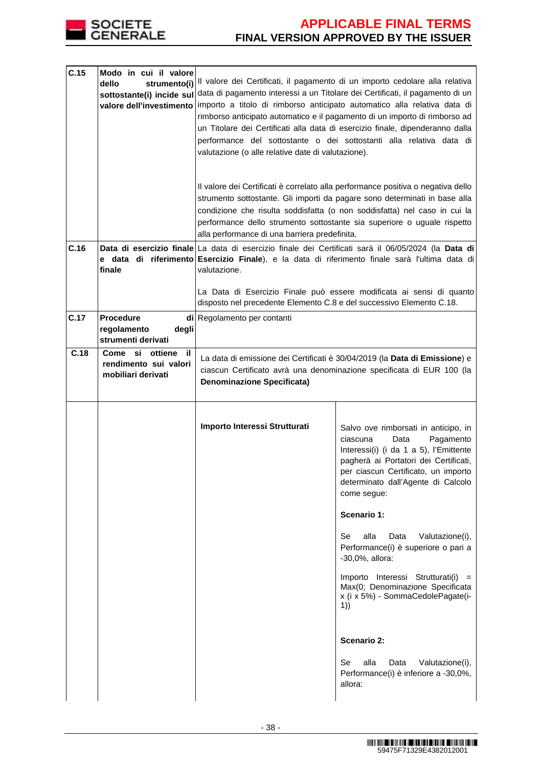

| C.15 | Modo in cui il valore<br>dello<br>strumento(i)<br>sottostante(i) incide sul<br>valore dell'investimento | Il valore dei Certificati, il pagamento di un importo cedolare alla relativa<br>data di pagamento interessi a un Titolare dei Certificati, il pagamento di un<br>importo a titolo di rimborso anticipato automatico alla relativa data di<br>rimborso anticipato automatico e il pagamento di un importo di rimborso ad<br>un Titolare dei Certificati alla data di esercizio finale, dipenderanno dalla<br>performance del sottostante o dei sottostanti alla relativa data di<br>valutazione (o alle relative date di valutazione).<br>Il valore dei Certificati è correlato alla performance positiva o negativa dello<br>strumento sottostante. Gli importi da pagare sono determinati in base alla |                                                                                                                                                                                                                                                      |
|------|---------------------------------------------------------------------------------------------------------|---------------------------------------------------------------------------------------------------------------------------------------------------------------------------------------------------------------------------------------------------------------------------------------------------------------------------------------------------------------------------------------------------------------------------------------------------------------------------------------------------------------------------------------------------------------------------------------------------------------------------------------------------------------------------------------------------------|------------------------------------------------------------------------------------------------------------------------------------------------------------------------------------------------------------------------------------------------------|
|      |                                                                                                         | condizione che risulta soddisfatta (o non soddisfatta) nel caso in cui la<br>performance dello strumento sottostante sia superiore o uguale rispetto<br>alla performance di una barriera predefinita.                                                                                                                                                                                                                                                                                                                                                                                                                                                                                                   |                                                                                                                                                                                                                                                      |
| C.16 | finale                                                                                                  | Data di esercizio finale La data di esercizio finale dei Certificati sarà il 06/05/2024 (la Data di<br>e data di riferimento Esercizio Finale), e la data di riferimento finale sarà l'ultima data di<br>valutazione.                                                                                                                                                                                                                                                                                                                                                                                                                                                                                   |                                                                                                                                                                                                                                                      |
|      |                                                                                                         | disposto nel precedente Elemento C.8 e del successivo Elemento C.18.                                                                                                                                                                                                                                                                                                                                                                                                                                                                                                                                                                                                                                    | La Data di Esercizio Finale può essere modificata ai sensi di quanto                                                                                                                                                                                 |
| C.17 | <b>Procedure</b><br>regolamento<br>degli<br>strumenti derivati                                          | di Regolamento per contanti                                                                                                                                                                                                                                                                                                                                                                                                                                                                                                                                                                                                                                                                             |                                                                                                                                                                                                                                                      |
| C.18 | Come si<br>ottiene<br>-il<br>rendimento sui valori<br>mobiliari derivati                                | <b>Denominazione Specificata)</b>                                                                                                                                                                                                                                                                                                                                                                                                                                                                                                                                                                                                                                                                       | La data di emissione dei Certificati è 30/04/2019 (la Data di Emissione) e<br>ciascun Certificato avrà una denominazione specificata di EUR 100 (la                                                                                                  |
|      |                                                                                                         | Importo Interessi Strutturati                                                                                                                                                                                                                                                                                                                                                                                                                                                                                                                                                                                                                                                                           | Salvo ove rimborsati in anticipo, in<br>ciascuna<br>Data<br>Pagamento<br>Interessi(i) (i da 1 a 5), l'Emittente<br>pagherà ai Portatori dei Certificati,<br>per ciascun Certificato, un importo<br>determinato dall'Agente di Calcolo<br>come segue: |
|      |                                                                                                         |                                                                                                                                                                                                                                                                                                                                                                                                                                                                                                                                                                                                                                                                                                         | Scenario 1:                                                                                                                                                                                                                                          |
|      |                                                                                                         |                                                                                                                                                                                                                                                                                                                                                                                                                                                                                                                                                                                                                                                                                                         | Se<br>alla<br>Data<br>Valutazione(i),<br>Performance(i) è superiore o pari a<br>-30,0%, allora:                                                                                                                                                      |
|      |                                                                                                         |                                                                                                                                                                                                                                                                                                                                                                                                                                                                                                                                                                                                                                                                                                         | Importo Interessi Strutturati(i)<br>Max(0; Denominazione Specificata<br>x (i x 5%) - SommaCedolePagate(i-<br>1)                                                                                                                                      |
|      |                                                                                                         |                                                                                                                                                                                                                                                                                                                                                                                                                                                                                                                                                                                                                                                                                                         | Scenario 2:                                                                                                                                                                                                                                          |
|      |                                                                                                         |                                                                                                                                                                                                                                                                                                                                                                                                                                                                                                                                                                                                                                                                                                         | alla<br>Se<br>Data<br>Valutazione(i),<br>Performance(i) è inferiore a -30,0%,<br>allora:                                                                                                                                                             |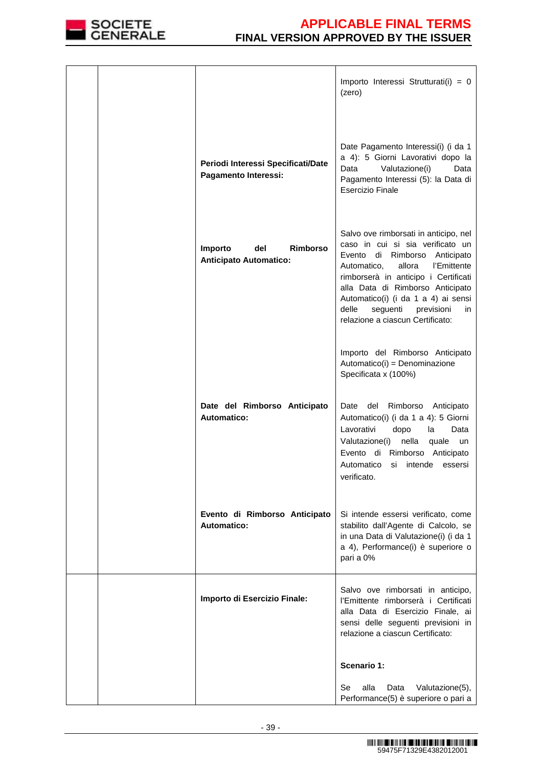

|                                                             | Importo Interessi Strutturati(i) = $0$<br>(zero)                                                                                                                                                                                                                                                                                                             |
|-------------------------------------------------------------|--------------------------------------------------------------------------------------------------------------------------------------------------------------------------------------------------------------------------------------------------------------------------------------------------------------------------------------------------------------|
| Periodi Interessi Specificati/Date<br>Pagamento Interessi:  | Date Pagamento Interessi(i) (i da 1<br>a 4): 5 Giorni Lavorativi dopo la<br>Data<br>Valutazione(i)<br>Data<br>Pagamento Interessi (5): la Data di<br><b>Esercizio Finale</b>                                                                                                                                                                                 |
| Rimborso<br>Importo<br>del<br><b>Anticipato Automatico:</b> | Salvo ove rimborsati in anticipo, nel<br>caso in cui si sia verificato un<br>Evento<br>di<br>Rimborso<br>Anticipato<br>Automatico,<br>allora<br>l'Emittente<br>rimborserà in anticipo i Certificati<br>alla Data di Rimborso Anticipato<br>Automatico(i) (i da 1 a 4) ai sensi<br>delle<br>seguenti<br>previsioni<br>in.<br>relazione a ciascun Certificato: |
|                                                             | Importo del Rimborso Anticipato<br>Automatico(i) = Denominazione<br>Specificata x (100%)                                                                                                                                                                                                                                                                     |
| Date del Rimborso Anticipato<br>Automatico:                 | del<br>Rimborso<br>Date<br>Anticipato<br>Automatico(i) (i da 1 a 4): 5 Giorni<br>Lavorativi<br>dopo<br>Data<br>la<br>Valutazione(i)<br>nella<br>quale<br>un<br>Evento di<br>Rimborso<br>Anticipato<br>Automatico<br>si intende essersi<br>verificato.                                                                                                        |
| Evento di Rimborso Anticipato<br>Automatico:                | Si intende essersi verificato, come<br>stabilito dall'Agente di Calcolo, se<br>in una Data di Valutazione(i) (i da 1<br>a 4), Performance(i) è superiore o<br>pari a 0%                                                                                                                                                                                      |
| Importo di Esercizio Finale:                                | Salvo ove rimborsati in anticipo,<br>l'Emittente rimborserà i Certificati<br>alla Data di Esercizio Finale, ai<br>sensi delle seguenti previsioni in<br>relazione a ciascun Certificato:                                                                                                                                                                     |
|                                                             | Scenario 1:                                                                                                                                                                                                                                                                                                                                                  |
|                                                             | alla<br>Valutazione(5),<br>Se<br>Data<br>Performance(5) è superiore o pari a                                                                                                                                                                                                                                                                                 |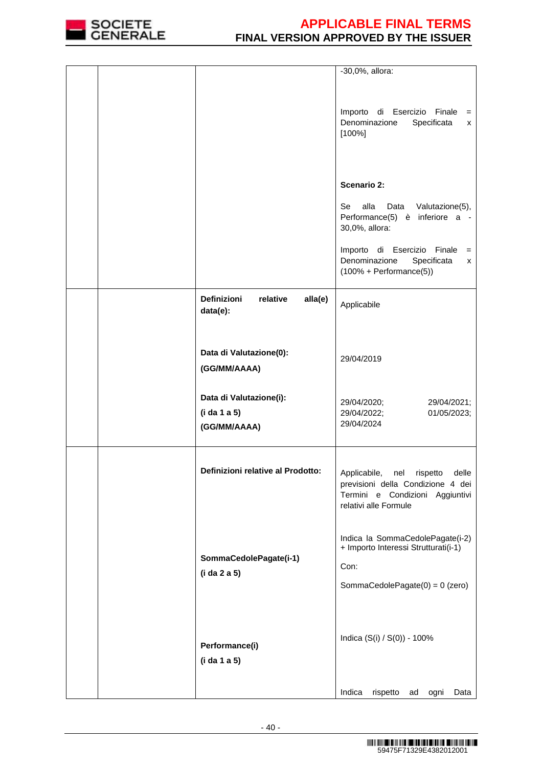

|  |                                                | -30,0%, allora:                                                                                                                           |
|--|------------------------------------------------|-------------------------------------------------------------------------------------------------------------------------------------------|
|  |                                                | Importo di Esercizio Finale =<br>Denominazione<br>Specificata<br>X<br>$[100\%]$                                                           |
|  |                                                | <b>Scenario 2:</b>                                                                                                                        |
|  |                                                | Se<br>alla<br>Valutazione(5),<br>Data<br>Performance(5) è inferiore a -<br>30,0%, allora:                                                 |
|  |                                                | Importo di Esercizio Finale =<br>Denominazione<br>Specificata<br>X<br>$(100% + Performance(5))$                                           |
|  | Definizioni<br>relative<br>alla(e)<br>data(e): | Applicabile                                                                                                                               |
|  | Data di Valutazione(0):                        | 29/04/2019                                                                                                                                |
|  | (GG/MM/AAAA)                                   |                                                                                                                                           |
|  | Data di Valutazione(i):                        | 29/04/2020;<br>29/04/2021;                                                                                                                |
|  | (i da 1 a 5)<br>(GG/MM/AAAA)                   | 29/04/2022;<br>01/05/2023;<br>29/04/2024                                                                                                  |
|  | Definizioni relative al Prodotto:              | Applicabile,<br>rispetto<br>delle<br>nel<br>previsioni della Condizione 4 dei<br>Termini e Condizioni Aggiuntivi<br>relativi alle Formule |
|  |                                                | Indica la SommaCedolePagate(i-2)<br>+ Importo Interessi Strutturati(i-1)                                                                  |
|  | SommaCedolePagate(i-1)<br>(i da 2 a 5)         | Con:                                                                                                                                      |
|  |                                                | SommaCedolePagate $(0) = 0$ (zero)                                                                                                        |
|  | Performance(i)<br>(i da 1 a 5)                 | Indica (S(i) / S(0)) - 100%                                                                                                               |
|  |                                                | Indica<br>rispetto<br>ad<br>ogni<br>Data                                                                                                  |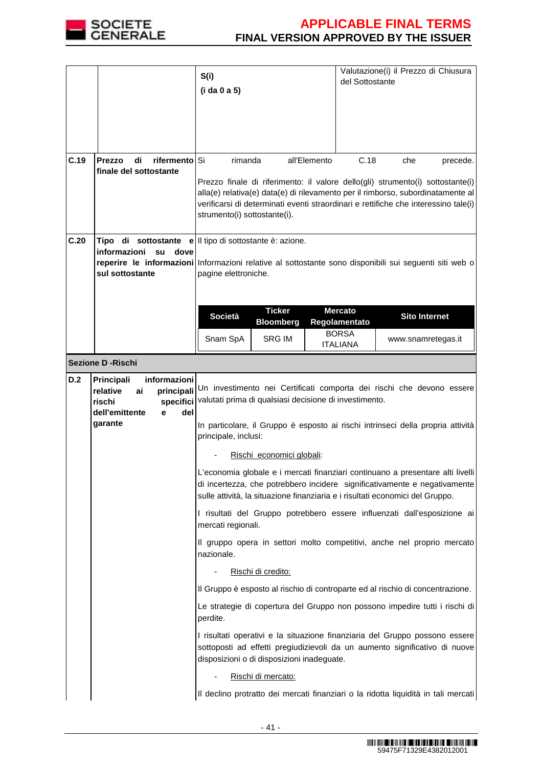

|      |                                                                                                                 | S(i)<br>(i da 0 a 5)                                                             | Valutazione(i) il Prezzo di Chiusura<br>del Sottostante                                                                                                                                                                                      |
|------|-----------------------------------------------------------------------------------------------------------------|----------------------------------------------------------------------------------|----------------------------------------------------------------------------------------------------------------------------------------------------------------------------------------------------------------------------------------------|
| C.19 | di<br>rifermento<br>Prezzo<br>finale del sottostante                                                            | Si<br>rimanda<br>all'Elemento                                                    | C.18<br>che<br>precede.<br>Prezzo finale di riferimento: il valore dello(gli) strumento(i) sottostante(i)                                                                                                                                    |
|      |                                                                                                                 | strumento(i) sottostante(i).                                                     | alla(e) relativa(e) data(e) di rilevamento per il rimborso, subordinatamente al<br>verificarsi di determinati eventi straordinari e rettifiche che interessino tale(i)                                                                       |
| C.20 | informazioni<br>su<br>dove<br>sul sottostante                                                                   | Tipo di sottostante e III tipo di sottostante è: azione.<br>pagine elettroniche. | reperire le informazioni Informazioni relative al sottostante sono disponibili sui seguenti siti web o                                                                                                                                       |
|      |                                                                                                                 | <b>Ticker</b><br><b>Società</b><br><b>Bloomberg</b>                              | <b>Mercato</b><br><b>Sito Internet</b><br>Regolamentato                                                                                                                                                                                      |
|      |                                                                                                                 | <b>SRG IM</b><br>Snam SpA                                                        | <b>BORSA</b><br>www.snamretegas.it<br><b>ITALIANA</b>                                                                                                                                                                                        |
|      | <b>Sezione D - Rischi</b>                                                                                       |                                                                                  |                                                                                                                                                                                                                                              |
| D.2  | informazioni<br>Principali<br>principali<br>relative<br>ai<br>specifici<br>rischi<br>dell'emittente<br>del<br>e | valutati prima di qualsiasi decisione di investimento.                           | Un investimento nei Certificati comporta dei rischi che devono essere                                                                                                                                                                        |
|      | garante                                                                                                         | principale, inclusi:                                                             | In particolare, il Gruppo è esposto ai rischi intrinseci della propria attività                                                                                                                                                              |
|      |                                                                                                                 | Rischi economici globali:                                                        |                                                                                                                                                                                                                                              |
|      |                                                                                                                 |                                                                                  | L'economia globale e i mercati finanziari continuano a presentare alti livelli<br>di incertezza, che potrebbero incidere significativamente e negativamente<br>sulle attività, la situazione finanziaria e i risultati economici del Gruppo. |
|      |                                                                                                                 | mercati regionali.                                                               | I risultati del Gruppo potrebbero essere influenzati dall'esposizione ai                                                                                                                                                                     |
|      |                                                                                                                 | nazionale.                                                                       | Il gruppo opera in settori molto competitivi, anche nel proprio mercato                                                                                                                                                                      |
|      |                                                                                                                 | Rischi di credito:                                                               |                                                                                                                                                                                                                                              |
|      |                                                                                                                 |                                                                                  | Il Gruppo è esposto al rischio di controparte ed al rischio di concentrazione.                                                                                                                                                               |
|      |                                                                                                                 | perdite.                                                                         | Le strategie di copertura del Gruppo non possono impedire tutti i rischi di                                                                                                                                                                  |
|      |                                                                                                                 | disposizioni o di disposizioni inadeguate.                                       | I risultati operativi e la situazione finanziaria del Gruppo possono essere<br>sottoposti ad effetti pregiudizievoli da un aumento significativo di nuove                                                                                    |
|      |                                                                                                                 | Rischi di mercato:                                                               |                                                                                                                                                                                                                                              |
|      |                                                                                                                 |                                                                                  | Il declino protratto dei mercati finanziari o la ridotta liquidità in tali mercati                                                                                                                                                           |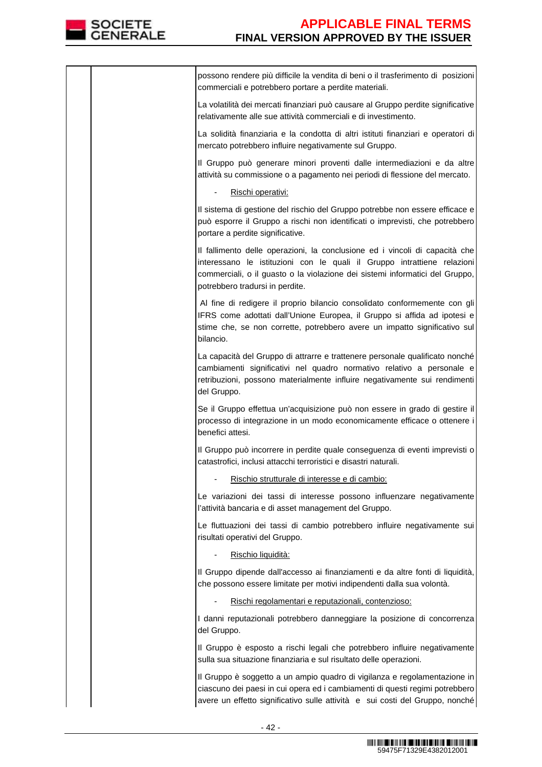

| possono rendere più difficile la vendita di beni o il trasferimento di posizioni<br>commerciali e potrebbero portare a perdite materiali.                                                                                                                                 |
|---------------------------------------------------------------------------------------------------------------------------------------------------------------------------------------------------------------------------------------------------------------------------|
| La volatilità dei mercati finanziari può causare al Gruppo perdite significative<br>relativamente alle sue attività commerciali e di investimento.                                                                                                                        |
| La solidità finanziaria e la condotta di altri istituti finanziari e operatori di<br>mercato potrebbero influire negativamente sul Gruppo.                                                                                                                                |
| Il Gruppo può generare minori proventi dalle intermediazioni e da altre<br>attività su commissione o a pagamento nei periodi di flessione del mercato.                                                                                                                    |
| Rischi operativi:                                                                                                                                                                                                                                                         |
| Il sistema di gestione del rischio del Gruppo potrebbe non essere efficace e<br>può esporre il Gruppo a rischi non identificati o imprevisti, che potrebbero<br>portare a perdite significative.                                                                          |
| Il fallimento delle operazioni, la conclusione ed i vincoli di capacità che<br>interessano le istituzioni con le quali il Gruppo intrattiene relazioni<br>commerciali, o il guasto o la violazione dei sistemi informatici del Gruppo,<br>potrebbero tradursi in perdite. |
| Al fine di redigere il proprio bilancio consolidato conformemente con gli<br>IFRS come adottati dall'Unione Europea, il Gruppo si affida ad ipotesi e<br>stime che, se non corrette, potrebbero avere un impatto significativo sul<br>bilancio.                           |
| La capacità del Gruppo di attrarre e trattenere personale qualificato nonché<br>cambiamenti significativi nel quadro normativo relativo a personale e<br>retribuzioni, possono materialmente influire negativamente sui rendimenti<br>del Gruppo.                         |
| Se il Gruppo effettua un'acquisizione può non essere in grado di gestire il<br>processo di integrazione in un modo economicamente efficace o ottenere i<br>benefici attesi.                                                                                               |
| Il Gruppo può incorrere in perdite quale conseguenza di eventi imprevisti o<br>catastrofici, inclusi attacchi terroristici e disastri naturali.                                                                                                                           |
| Rischio strutturale di interesse e di cambio:                                                                                                                                                                                                                             |
| Le variazioni dei tassi di interesse possono influenzare negativamente<br>l'attività bancaria e di asset management del Gruppo.                                                                                                                                           |
| Le fluttuazioni dei tassi di cambio potrebbero influire negativamente sui<br>risultati operativi del Gruppo.                                                                                                                                                              |
| Rischio liquidità:                                                                                                                                                                                                                                                        |
| Il Gruppo dipende dall'accesso ai finanziamenti e da altre fonti di liquidità,<br>che possono essere limitate per motivi indipendenti dalla sua volontà.                                                                                                                  |
| Rischi regolamentari e reputazionali, contenzioso:                                                                                                                                                                                                                        |
| I danni reputazionali potrebbero danneggiare la posizione di concorrenza<br>del Gruppo.                                                                                                                                                                                   |
| Il Gruppo è esposto a rischi legali che potrebbero influire negativamente<br>sulla sua situazione finanziaria e sul risultato delle operazioni.                                                                                                                           |
| Il Gruppo è soggetto a un ampio quadro di vigilanza e regolamentazione in<br>ciascuno dei paesi in cui opera ed i cambiamenti di questi regimi potrebbero<br>avere un effetto significativo sulle attività e sui costi del Gruppo, nonché                                 |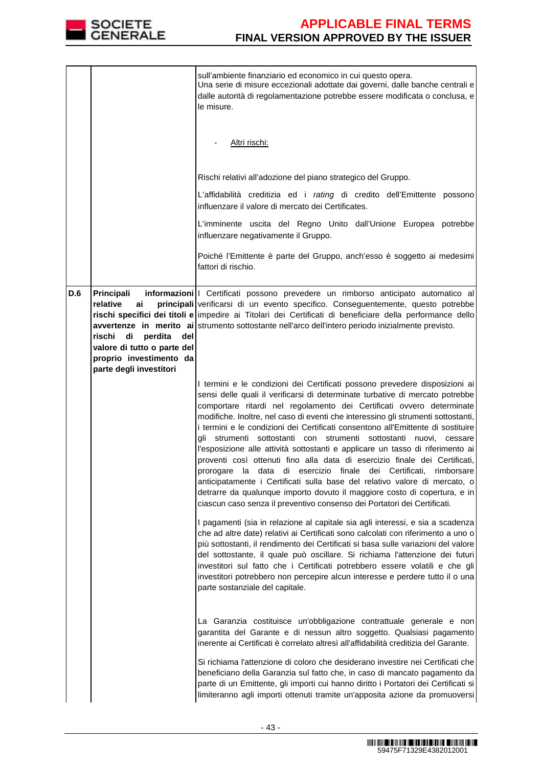

|            |                                                                                                                                                     | sull'ambiente finanziario ed economico in cui questo opera.<br>Una serie di misure eccezionali adottate dai governi, dalle banche centrali e<br>dalle autorità di regolamentazione potrebbe essere modificata o conclusa, e<br>le misure.<br>Altri rischi:<br>Rischi relativi all'adozione del piano strategico del Gruppo.<br>L'affidabilità creditizia ed i rating di credito dell'Emittente possono<br>influenzare il valore di mercato dei Certificates.<br>L'imminente uscita del Regno Unito dall'Unione Europea potrebbe<br>influenzare negativamente il Gruppo.                                                                                                                                                                                                                                                                                                                                                                                             |
|------------|-----------------------------------------------------------------------------------------------------------------------------------------------------|---------------------------------------------------------------------------------------------------------------------------------------------------------------------------------------------------------------------------------------------------------------------------------------------------------------------------------------------------------------------------------------------------------------------------------------------------------------------------------------------------------------------------------------------------------------------------------------------------------------------------------------------------------------------------------------------------------------------------------------------------------------------------------------------------------------------------------------------------------------------------------------------------------------------------------------------------------------------|
|            |                                                                                                                                                     | Poiché l'Emittente è parte del Gruppo, anch'esso è soggetto ai medesimi<br>fattori di rischio.                                                                                                                                                                                                                                                                                                                                                                                                                                                                                                                                                                                                                                                                                                                                                                                                                                                                      |
| <b>D.6</b> | Principali<br>relative<br>ai<br>rischi<br>di<br>perdita<br>del<br>valore di tutto o parte del<br>proprio investimento da<br>parte degli investitori | informazioni   Certificati possono prevedere un rimborso anticipato automatico al<br>principali verificarsi di un evento specifico. Conseguentemente, questo potrebbe<br>rischi specifici dei titoli e impedire ai Titolari dei Certificati di beneficiare della performance dello<br>avvertenze in merito ai strumento sottostante nell'arco dell'intero periodo inizialmente previsto.                                                                                                                                                                                                                                                                                                                                                                                                                                                                                                                                                                            |
|            |                                                                                                                                                     | I termini e le condizioni dei Certificati possono prevedere disposizioni ai<br>sensi delle quali il verificarsi di determinate turbative di mercato potrebbe<br>comportare ritardi nel regolamento dei Certificati ovvero determinate<br>modifiche. Inoltre, nel caso di eventi che interessino gli strumenti sottostanti,<br>i termini e le condizioni dei Certificati consentono all'Emittente di sostituire<br>gli strumenti sottostanti con strumenti sottostanti nuovi, cessare<br>l'esposizione alle attività sottostanti e applicare un tasso di riferimento ai<br>proventi così ottenuti fino alla data di esercizio finale dei Certificati,<br>prorogare la data di esercizio finale dei Certificati,<br>rimborsare<br>anticipatamente i Certificati sulla base del relativo valore di mercato, o<br>detrarre da qualunque importo dovuto il maggiore costo di copertura, e in<br>ciascun caso senza il preventivo consenso dei Portatori dei Certificati. |
|            |                                                                                                                                                     | I pagamenti (sia in relazione al capitale sia agli interessi, e sia a scadenza<br>che ad altre date) relativi ai Certificati sono calcolati con riferimento a uno o<br>più sottostanti, il rendimento dei Certificati si basa sulle variazioni del valore<br>del sottostante, il quale può oscillare. Si richiama l'attenzione dei futuri<br>investitori sul fatto che i Certificati potrebbero essere volatili e che gli<br>investitori potrebbero non percepire alcun interesse e perdere tutto il o una<br>parte sostanziale del capitale.                                                                                                                                                                                                                                                                                                                                                                                                                       |
|            |                                                                                                                                                     | La Garanzia costituisce un'obbligazione contrattuale generale e non<br>garantita del Garante e di nessun altro soggetto. Qualsiasi pagamento<br>inerente ai Certificati è correlato altresì all'affidabilità creditizia del Garante.                                                                                                                                                                                                                                                                                                                                                                                                                                                                                                                                                                                                                                                                                                                                |
|            |                                                                                                                                                     | Si richiama l'attenzione di coloro che desiderano investire nei Certificati che<br>beneficiano della Garanzia sul fatto che, in caso di mancato pagamento da<br>parte di un Emittente, gli importi cui hanno diritto i Portatori dei Certificati si<br>limiteranno agli importi ottenuti tramite un'apposita azione da promuoversi                                                                                                                                                                                                                                                                                                                                                                                                                                                                                                                                                                                                                                  |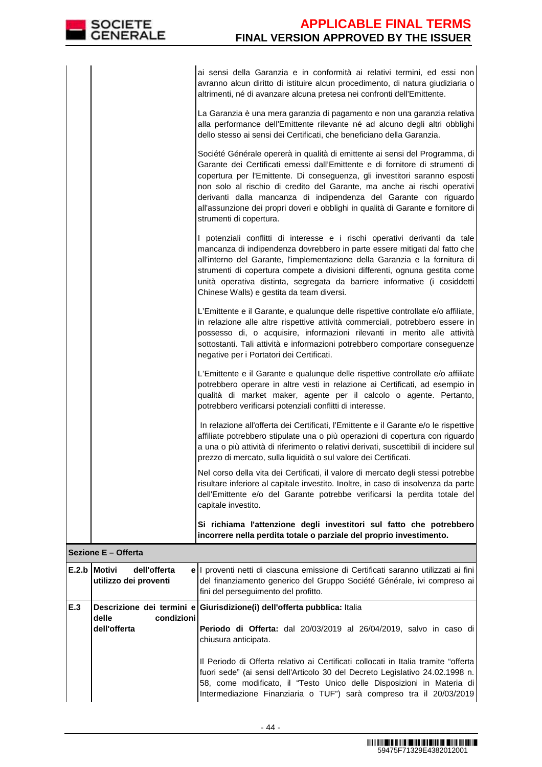ai sensi della Garanzia e in conformità ai relativi termini, ed essi non avranno alcun diritto di istituire alcun procedimento, di natura giudiziaria o altrimenti, né di avanzare alcuna pretesa nei confronti dell'Emittente.

La Garanzia è una mera garanzia di pagamento e non una garanzia relativa alla performance dell'Emittente rilevante né ad alcuno degli altri obblighi dello stesso ai sensi dei Certificati, che beneficiano della Garanzia.

Société Générale opererà in qualità di emittente ai sensi del Programma, di Garante dei Certificati emessi dall'Emittente e di fornitore di strumenti di copertura per l'Emittente. Di conseguenza, gli investitori saranno esposti non solo al rischio di credito del Garante, ma anche ai rischi operativi derivanti dalla mancanza di indipendenza del Garante con riguardo all'assunzione dei propri doveri e obblighi in qualità di Garante e fornitore di strumenti di copertura.

I potenziali conflitti di interesse e i rischi operativi derivanti da tale mancanza di indipendenza dovrebbero in parte essere mitigati dal fatto che all'interno del Garante, l'implementazione della Garanzia e la fornitura di strumenti di copertura compete a divisioni differenti, ognuna gestita come unità operativa distinta, segregata da barriere informative (i cosiddetti Chinese Walls) e gestita da team diversi.

L'Emittente e il Garante, e qualunque delle rispettive controllate e/o affiliate, in relazione alle altre rispettive attività commerciali, potrebbero essere in possesso di, o acquisire, informazioni rilevanti in merito alle attività sottostanti. Tali attività e informazioni potrebbero comportare conseguenze negative per i Portatori dei Certificati.

L'Emittente e il Garante e qualunque delle rispettive controllate e/o affiliate potrebbero operare in altre vesti in relazione ai Certificati, ad esempio in qualità di market maker, agente per il calcolo o agente. Pertanto, potrebbero verificarsi potenziali conflitti di interesse.

In relazione all'offerta dei Certificati, l'Emittente e il Garante e/o le rispettive affiliate potrebbero stipulate una o più operazioni di copertura con riguardo a una o più attività di riferimento o relativi derivati, suscettibili di incidere sul prezzo di mercato, sulla liquidità o sul valore dei Certificati.

 Nel corso della vita dei Certificati, il valore di mercato degli stessi potrebbe risultare inferiore al capitale investito. Inoltre, in caso di insolvenza da parte dell'Emittente e/o del Garante potrebbe verificarsi la perdita totale del capitale investito.

**Si richiama l'attenzione degli investitori sul fatto che potrebbero incorrere nella perdita totale o parziale del proprio investimento.**

### **Sezione E – Offerta**

|     | E.2.b Motivi<br>dell'offerta |                                                                                                                                                                                                         |
|-----|------------------------------|---------------------------------------------------------------------------------------------------------------------------------------------------------------------------------------------------------|
|     | utilizzo dei proventi        | e   I proventi netti di ciascuna emissione di Certificati saranno utilizzati ai fini<br>del finanziamento generico del Gruppo Société Générale, ivi compreso ai<br>fini del perseguimento del profitto. |
| E.3 |                              | Descrizione dei termini e Giurisdizione(i) dell'offerta pubblica: Italia                                                                                                                                |
|     | condizioni<br>delle          |                                                                                                                                                                                                         |
|     | dell'offerta                 | Periodo di Offerta: dal 20/03/2019 al 26/04/2019, salvo in caso di                                                                                                                                      |
|     |                              | chiusura anticipata.                                                                                                                                                                                    |
|     |                              | III Periodo di Offerta relativo ai Certificati collocati in Italia tramite "offerta                                                                                                                     |
|     |                              | fuori sede" (ai sensi dell'Articolo 30 del Decreto Legislativo 24.02.1998 n.                                                                                                                            |
|     |                              | 58, come modificato, il "Testo Unico delle Disposizioni in Materia di                                                                                                                                   |
|     |                              | Intermediazione Finanziaria o TUF") sarà compreso tra il 20/03/2019                                                                                                                                     |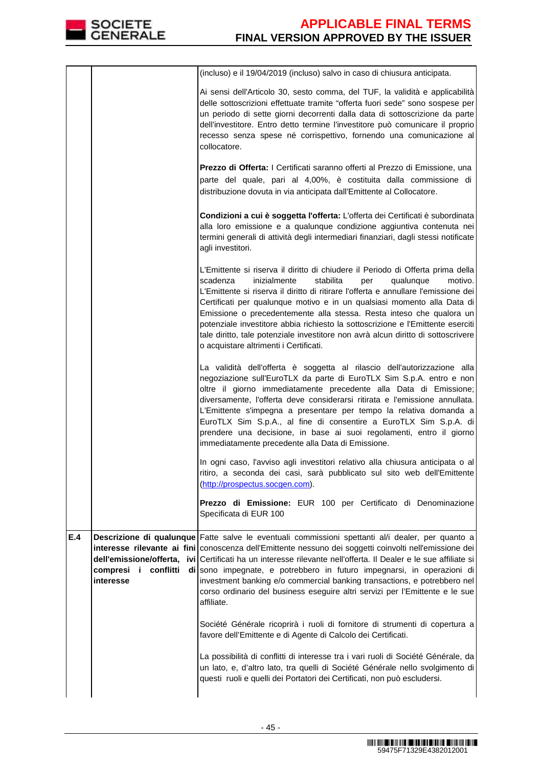

|     |           | (incluso) e il 19/04/2019 (incluso) salvo in caso di chiusura anticipata.                                                                                                                                                                                                                                                                                                                                                                                                                                                                                                                                           |
|-----|-----------|---------------------------------------------------------------------------------------------------------------------------------------------------------------------------------------------------------------------------------------------------------------------------------------------------------------------------------------------------------------------------------------------------------------------------------------------------------------------------------------------------------------------------------------------------------------------------------------------------------------------|
|     |           | Ai sensi dell'Articolo 30, sesto comma, del TUF, la validità e applicabilità<br>delle sottoscrizioni effettuate tramite "offerta fuori sede" sono sospese per<br>un periodo di sette giorni decorrenti dalla data di sottoscrizione da parte<br>dell'investitore. Entro detto termine l'investitore può comunicare il proprio<br>recesso senza spese né corrispettivo, fornendo una comunicazione al<br>collocatore.                                                                                                                                                                                                |
|     |           | Prezzo di Offerta: I Certificati saranno offerti al Prezzo di Emissione, una<br>parte del quale, pari al 4,00%, è costituita dalla commissione di<br>distribuzione dovuta in via anticipata dall'Emittente al Collocatore.                                                                                                                                                                                                                                                                                                                                                                                          |
|     |           | Condizioni a cui è soggetta l'offerta: L'offerta dei Certificati è subordinata<br>alla loro emissione e a qualunque condizione aggiuntiva contenuta nei<br>termini generali di attività degli intermediari finanziari, dagli stessi notificate<br>agli investitori.                                                                                                                                                                                                                                                                                                                                                 |
|     |           | L'Emittente si riserva il diritto di chiudere il Periodo di Offerta prima della<br>stabilita<br>scadenza<br>inizialmente<br>per<br>qualunque<br>motivo.<br>L'Emittente si riserva il diritto di ritirare l'offerta e annullare l'emissione dei<br>Certificati per qualunque motivo e in un qualsiasi momento alla Data di<br>Emissione o precedentemente alla stessa. Resta inteso che qualora un<br>potenziale investitore abbia richiesto la sottoscrizione e l'Emittente eserciti<br>tale diritto, tale potenziale investitore non avrà alcun diritto di sottoscrivere<br>o acquistare altrimenti i Certificati. |
|     |           | La validità dell'offerta è soggetta al rilascio dell'autorizzazione alla<br>negoziazione sull'EuroTLX da parte di EuroTLX Sim S.p.A. entro e non<br>oltre il giorno immediatamente precedente alla Data di Emissione;<br>diversamente, l'offerta deve considerarsi ritirata e l'emissione annullata.<br>L'Emittente s'impegna a presentare per tempo la relativa domanda a<br>EuroTLX Sim S.p.A., al fine di consentire a EuroTLX Sim S.p.A. di<br>prendere una decisione, in base ai suoi regolamenti, entro il giorno<br>immediatamente precedente alla Data di Emissione.                                        |
|     |           | In ogni caso, l'avviso agli investitori relativo alla chiusura anticipata o al<br>ritiro, a seconda dei casi, sarà pubblicato sul sito web dell'Emittente<br>(http://prospectus.socgen.com).                                                                                                                                                                                                                                                                                                                                                                                                                        |
|     |           | Prezzo di Emissione: EUR 100 per Certificato di Denominazione<br>Specificata di EUR 100                                                                                                                                                                                                                                                                                                                                                                                                                                                                                                                             |
| E.4 | interesse | Descrizione di qualunque Fatte salve le eventuali commissioni spettanti al/i dealer, per quanto a<br>interesse rilevante ai fini conoscenza dell'Emittente nessuno dei soggetti coinvolti nell'emissione dei<br>dell'emissione/offerta, ivi Certificati ha un interesse rilevante nell'offerta. Il Dealer e le sue affiliate si<br>compresi i conflitti di sono impegnate, e potrebbero in futuro impegnarsi, in operazioni di<br>investment banking e/o commercial banking transactions, e potrebbero nel<br>corso ordinario del business eseguire altri servizi per l'Emittente e le sue<br>affiliate.            |
|     |           | Société Générale ricoprirà i ruoli di fornitore di strumenti di copertura a<br>favore dell'Emittente e di Agente di Calcolo dei Certificati.                                                                                                                                                                                                                                                                                                                                                                                                                                                                        |
|     |           | La possibilità di conflitti di interesse tra i vari ruoli di Société Générale, da<br>un lato, e, d'altro lato, tra quelli di Société Générale nello svolgimento di<br>questi ruoli e quelli dei Portatori dei Certificati, non può escludersi.                                                                                                                                                                                                                                                                                                                                                                      |